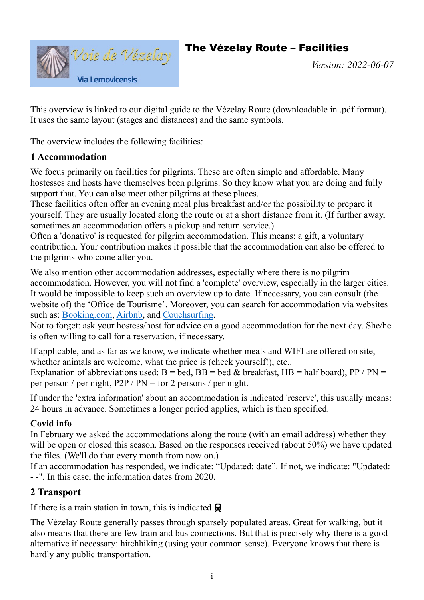The Vézelay Route – Facilities



This overview is linked to our digital guide to the Vézelay Route (downloadable in .pdf format). It uses the same layout (stages and distances) and the same symbols.

The overview includes the following facilities:

#### **1 Accommodation**

We focus primarily on facilities for pilgrims. These are often simple and affordable. Many hostesses and hosts have themselves been pilgrims. So they know what you are doing and fully support that. You can also meet other pilgrims at these places.

These facilities often offer an evening meal plus breakfast and/or the possibility to prepare it yourself. They are usually located along the route or at a short distance from it. (If further away, sometimes an accommodation offers a pickup and return service.)

Often a 'donativo' is requested for pilgrim accommodation. This means: a gift, a voluntary contribution. Your contribution makes it possible that the accommodation can also be offered to the pilgrims who come after you.

We also mention other accommodation addresses, especially where there is no pilgrim accommodation. However, you will not find a 'complete' overview, especially in the larger cities. It would be impossible to keep such an overview up to date. If necessary, you can consult (the website of) the 'Office de Tourisme'. Moreover, you can search for accommodation via websites such as: [Booking.com,](http://booking.com/) [Airbnb,](http://airbnb.fr/) and [Couchsurfing.](http://couchsurfing.com/)

Not to forget: ask your hostess/host for advice on a good accommodation for the next day. She/he is often willing to call for a reservation, if necessary.

If applicable, and as far as we know, we indicate whether meals and WIFI are offered on site, whether animals are welcome, what the price is (check yourself!), etc...

Explanation of abbreviations used:  $B = bed$ ,  $BB = bed$  & breakfast,  $HB = half board$ ),  $PP / PN =$ per person / per night, P2P / PN = for 2 persons / per night.

If under the 'extra information' about an accommodation is indicated 'reserve', this usually means: 24 hours in advance. Sometimes a longer period applies, which is then specified.

#### **Covid info**

In February we asked the accommodations along the route (with an email address) whether they will be open or closed this season. Based on the responses received (about 50%) we have updated the files. (We'll do that every month from now on.)

If an accommodation has responded, we indicate: "Updated: date". If not, we indicate: "Updated: - -". In this case, the information dates from 2020.

#### **2 Transport**

If there is a train station in town, this is indicated  $\bigoplus$ 

The Vézelay Route generally passes through sparsely populated areas. Great for walking, but it also means that there are few train and bus connections. But that is precisely why there is a good alternative if necessary: hitchhiking (using your common sense). Everyone knows that there is hardly any public transportation.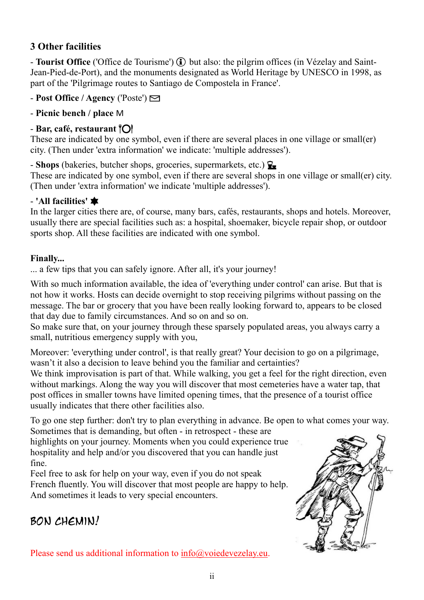#### **3 Other facilities**

- **Tourist Office** ('Office de Tourisme') **(i)** but also: the pilgrim offices (in Vézelay and Saint-Jean-Pied-de-Port), and the monuments designated as World Heritage by UNESCO in 1998, as part of the 'Pilgrimage routes to Santiago de Compostela in France'.

#### $-$  **Post Office** / **Agency** ('Poste')  $\triangleright$

#### - **Picnic bench / place** M

#### **- Bar, café, restaurant**  $\mathbb{R}$

These are indicated by one symbol, even if there are several places in one village or small(er) city. (Then under 'extra information' we indicate: 'multiple addresses').

 $\blacksquare$  **Shops** (bakeries, butcher shops, groceries, supermarkets, etc.)  $\mathbf{Q}$ 

These are indicated by one symbol, even if there are several shops in one village or small(er) city. (Then under 'extra information' we indicate 'multiple addresses').

#### **- 'All facilities'**

In the larger cities there are, of course, many bars, cafés, restaurants, shops and hotels. Moreover, usually there are special facilities such as: a hospital, shoemaker, bicycle repair shop, or outdoor sports shop. All these facilities are indicated with one symbol.

#### **Finally...**

... a few tips that you can safely ignore. After all, it's your journey!

With so much information available, the idea of 'everything under control' can arise. But that is not how it works. Hosts can decide overnight to stop receiving pilgrims without passing on the message. The bar or grocery that you have been really looking forward to, appears to be closed that day due to family circumstances. And so on and so on.

So make sure that, on your journey through these sparsely populated areas, you always carry a small, nutritious emergency supply with you,

Moreover: 'everything under control', is that really great? Your decision to go on a pilgrimage, wasn't it also a decision to leave behind you the familiar and certainties?

We think improvisation is part of that. While walking, you get a feel for the right direction, even without markings. Along the way you will discover that most cemeteries have a water tap, that post offices in smaller towns have limited opening times, that the presence of a tourist office usually indicates that there other facilities also.

To go one step further: don't try to plan everything in advance. Be open to what comes your way.

Sometimes that is demanding, but often - in retrospect - these are highlights on your journey. Moments when you could experience true hospitality and help and/or you discovered that you can handle just fine.

Feel free to ask for help on your way, even if you do not speak French fluently. You will discover that most people are happy to help. And sometimes it leads to very special encounters.

## Bon chemin!

Please send us additional information to [info@voiedevezelay.eu.](mailto:info@voiedevezelay.eu)

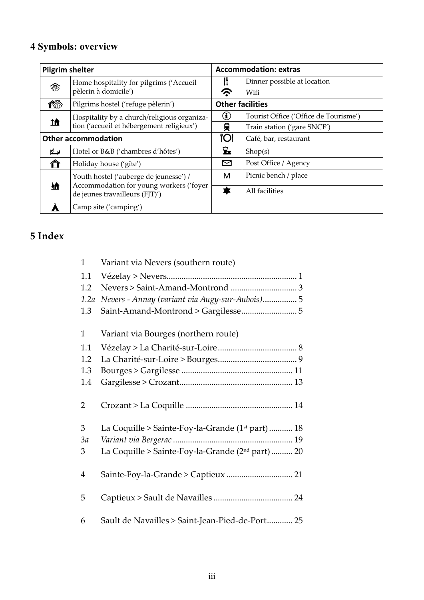# **4 Symbols: overview**

| <b>Pilgrim shelter</b> |                                                                                   | <b>Accommodation: extras</b> |                                       |  |
|------------------------|-----------------------------------------------------------------------------------|------------------------------|---------------------------------------|--|
| 翁                      | Home hospitality for pilgrims ('Accueil                                           |                              | Dinner possible at location           |  |
|                        | pèlerin à domicile')                                                              | ふ                            | Wifi                                  |  |
| ඟ                      | Pilgrims hostel ('refuge pèlerin')                                                |                              | <b>Other facilities</b>               |  |
|                        | Hospitality by a church/religious organiza-                                       | $\bf G$                      | Tourist Office ('Office de Tourisme') |  |
| 止                      | tion ('accueil et hébergement religieux')                                         | 貝                            | Train station ('gare SNCF')           |  |
|                        | <b>Other accommodation</b>                                                        | <b>"Ol</b>                   | Café, bar, restaurant                 |  |
| ఆ                      | Hotel or B&B ('chambres d'hôtes')                                                 | Ł                            | Shop(s)                               |  |
| ∩                      | Holiday house ('gîte')                                                            | 罓                            | Post Office / Agency                  |  |
|                        | Youth hostel ('auberge de jeunesse') /<br>Accommodation for young workers ('foyer | M                            | Picnic bench / place                  |  |
| 给                      | de jeunes travailleurs (FJT)')                                                    |                              | All facilities                        |  |
|                        | Camp site ('camping')                                                             |                              |                                       |  |

### **5 Index**

| $\mathbf{1}$   | Variant via Nevers (southern route)                          |  |
|----------------|--------------------------------------------------------------|--|
| 1.1            |                                                              |  |
| 1.2            |                                                              |  |
| 1.2a           | Nevers - Annay (variant via Augy-sur-Aubois) 5               |  |
| 1.3            | Saint-Amand-Montrond > Gargilesse 5                          |  |
| $\mathbf{1}$   | Variant via Bourges (northern route)                         |  |
| 1.1            |                                                              |  |
| 1.2            |                                                              |  |
| 1.3            |                                                              |  |
| 1.4            |                                                              |  |
| $\overline{2}$ |                                                              |  |
| 3              | La Coquille > Sainte-Foy-la-Grande $(1st$ part)  18          |  |
| 3a             |                                                              |  |
| 3              | La Coquille > Sainte-Foy-la-Grande (2 <sup>nd</sup> part) 20 |  |
| 4              | Sainte-Foy-la-Grande > Captieux  21                          |  |
| 5              |                                                              |  |
| 6              | Sault de Navailles > Saint-Jean-Pied-de-Port 25              |  |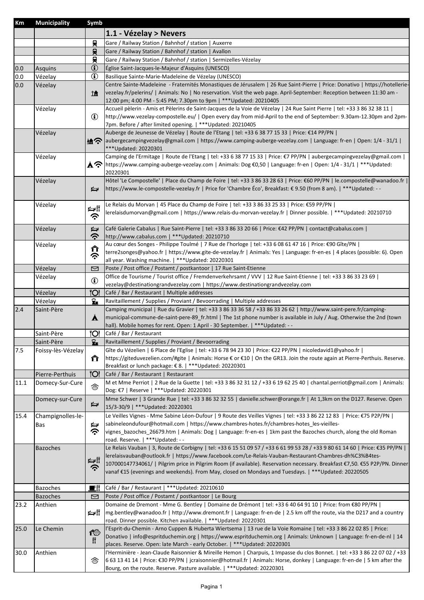| Km   | <b>Municipality</b> | Symb             |                                                                                                                                                                                                                                      |
|------|---------------------|------------------|--------------------------------------------------------------------------------------------------------------------------------------------------------------------------------------------------------------------------------------|
|      |                     |                  | 1.1 - Vézelay > Nevers                                                                                                                                                                                                               |
|      |                     | 貝                | Gare / Railway Station / Bahnhof / station   Auxerre                                                                                                                                                                                 |
|      |                     | 貝                | Gare / Railway Station / Bahnhof / station   Avallon                                                                                                                                                                                 |
|      |                     | 貝                | Gare / Railway Station / Bahnhof / station   Sermizelles-Vézelay                                                                                                                                                                     |
| 0.0  | Asquins             | $\bf{G}$         | Église Saint-Jacques-le-Majeur d'Asquins (UNESCO)                                                                                                                                                                                    |
| 0.0  | Vézelay             | $\bf{G}$         | Basilique Sainte-Marie-Madeleine de Vézelay (UNESCO)                                                                                                                                                                                 |
| 0.0  | Vézelay             |                  | Centre Sainte-Madeleine - Fraternités Monastiques de Jérusalem   26 Rue Saint-Pierre   Price: Donativo   https://hotellerie-                                                                                                         |
|      |                     | Ħ                | vezelay.fr/pelerins/   Animals: No   No reservation. Visit the web page. April-September: Reception between 11:30 am -                                                                                                               |
|      |                     |                  | 12:00 pm; 4:00 PM - 5:45 PM; 7.30pm to 9pm   *** Updated: 20210405                                                                                                                                                                   |
|      | Vézelay             |                  | Accueil pèlerin - Amis et Pèlerins de Saint-Jacques de la Voie de Vézelay   24 Rue Saint Pierre   tel: +33 3 86 32 38 11                                                                                                             |
|      |                     | $\bf{f}$         | http://www.vezelay-compostelle.eu/   Open every day from mid-April to the end of September: 9.30am-12.30pm and 2pm-                                                                                                                  |
|      |                     |                  | 7pm. Before / after limited opening.   *** Updated: 20210405                                                                                                                                                                         |
|      | Vézelay             |                  | Auberge de Jeunesse de Vézelay   Route de l'Etang   tel: +33 6 38 77 15 33   Price: €14 PP/PN                                                                                                                                        |
|      |                     |                  | https://www.camping.auberge-vezelay.com   https://www.camping-auberge-vezelay.com   Language: fr-en   Open: 1/4 - 31/1                                                                                                               |
|      |                     |                  | *** Updated: 20220301<br>Camping de l'Ermitage   Route de l'Etang   tel: +33 6 38 77 15 33   Price: €7 PP/PN   aubergecampingvezelay@gmail.com                                                                                       |
|      | Vézelay             |                  | $\triangle$ $\bigcap$  https://www.camping-auberge-vezelay.com   Animals: Dog €0,50   Language: fr-en   Open: 1/4 - 31/1   ***Updated:                                                                                               |
|      |                     |                  | 20220301                                                                                                                                                                                                                             |
|      | Vézelay             |                  | Hôtel 'Le Compostelle'   Place du Champ de Foire   tel: +33 3 86 33 28 63   Price: €60 PP/PN   le.compostelle@wanadoo.fr                                                                                                             |
|      |                     | ⋭                | https://www.le-compostelle-vezelay.fr   Price for 'Chambre Éco', Breakfast: €9.50 (from 8 am).   ***Updated: - -                                                                                                                     |
|      |                     |                  |                                                                                                                                                                                                                                      |
|      | Vézelay             |                  | Le Relais du Morvan   45 Place du Champ de Foire   tel: +33 3 86 33 25 33   Price: €59 PP/PN                                                                                                                                         |
|      |                     | ⊯∦<br>ふ          | lerelaisdumorvan@gmail.com   https://www.relais-du-morvan-vezelay.fr   Dinner possible.   ***Updated: 20210710                                                                                                                       |
|      |                     |                  |                                                                                                                                                                                                                                      |
|      | Vézelay             | ⋭                | Café Galerie Cabalus   Rue Saint-Pierre   tel: +33 3 86 33 20 66   Price: €42 PP/PN   contact@cabalus.com                                                                                                                            |
|      |                     | ら                | http://www.cabalus.com   ***Updated: 20210710                                                                                                                                                                                        |
|      | Vézelay             | ⇑                | Au cœur des Songes - Philippe Toulmé   7 Rue de l'horloge   tel: +33 6 08 61 47 16   Price: €90 Gîte/PN                                                                                                                              |
|      |                     | ふ                | terre2songes@yahoo.fr   https://www.gite-de-vezelay.fr   Animals: Yes   Language: fr-en-es   4 places (possible: 6). Open<br>all year. Washing machine.   *** Updated: 20220301                                                      |
|      | Vézelay             | ⊠                | Poste / Post office / Postamt / postkantoor   17 Rue Saint-Etienne                                                                                                                                                                   |
|      | Vézelay             |                  | Office de Tourisme / Tourist office / Fremdenverkehrsamt / VVV   12 Rue Saint-Etienne   tel: +33 3 86 33 23 69                                                                                                                       |
|      |                     | $\bigcirc$       | vezelay@destinationgrandvezelay.com   https://www.destinationgrandvezelay.com                                                                                                                                                        |
|      | Vézelay             | <b>"Ol</b>       | Café / Bar / Restaurant   Multiple addresses                                                                                                                                                                                         |
|      | Vézelay             | £.               | Ravitaillement / Supplies / Proviant / Bevoorrading   Multiple addresses                                                                                                                                                             |
| 2.4  | Saint-Père          |                  | Camping municipal   Rue du Gravier   tel: +33 3 86 33 36 58 / +33 86 33 26 62   http://www.saint-pere.fr/camping-                                                                                                                    |
|      |                     | $\blacktriangle$ | municipal-commune-de-saint-pere-89_fr.html   The 1st phone number is available in July / Aug. Otherwise the 2nd (town                                                                                                                |
|      |                     |                  | hall). Mobile homes for rent. Open: 1 April - 30 September.   *** Updated: --                                                                                                                                                        |
|      | Saint-Père          | 'Ol              | Café / Bar / Restaurant                                                                                                                                                                                                              |
|      | Saint-Père          | $\mathbf{z}$     | Ravitaillement / Supplies / Proviant / Bevoorrading                                                                                                                                                                                  |
| 7.5  | Foissy-lès-Vézelay  |                  | Gîte du Vézelien   6 Place de l'Eglise   tel: +33 6 78 94 23 30   Price: €22 PP/PN   nicoledavid1@yahoo.fr                                                                                                                           |
|      |                     | ∩                | https://giteduvezelien.com/#gite   Animals: Horse € or €10   On the GR13. Join the route again at Pierre-Perthuis. Reserve.                                                                                                          |
|      |                     |                  | Breakfast or lunch package: €8.   *** Updated: 20220301                                                                                                                                                                              |
|      | Pierre-Perthuis     | <b>"Ol</b>       | Café / Bar / Restaurant   Restaurant<br>M et Mme Perriot   2 Rue de la Guette   tel: +33 3 86 32 31 12 / +33 6 19 62 25 40   chantal.perriot@gmail.com   Animals:                                                                    |
| 11.1 | Domecy-Sur-Cure     | 念                | Dog: €7   Reserve   ***Updated: 20220301                                                                                                                                                                                             |
|      | Domecy-sur-Cure     |                  | Mme Schwer   3 Grande Rue   tel: +33 3 86 32 32 55   danielle.schwer@orange.fr   At 1,3km on the D127. Reserve. Open                                                                                                                 |
|      |                     | Ą                | 15/3-30/9   *** Updated: 20220301                                                                                                                                                                                                    |
| 15.4 | Champignolles-le-   |                  | Le Veilles Vignes - Mme Sabine Léon-Dufour   9 Route des Veilles Vignes   tel: +33 3 86 22 12 83   Price: €75 P2P/PN                                                                                                                 |
|      | Bas                 | ⋭                | sabineleondufour@hotmail.com   https://www.chambres-hotes.fr/chambres-hotes_les-vieilles-                                                                                                                                            |
|      |                     | ふ                | vignes_bazoches_26679.htm   Animals: Dog   Language: fr-en-es   1km past the Bazoches church, along the old Roman                                                                                                                    |
|      |                     |                  | road. Reserve.   *** Updated: - -                                                                                                                                                                                                    |
|      | <b>Bazoches</b>     |                  | Le Relais Vauban   3, Route de Corbigny   tel: +33 6 15 51 09 57 / +33 6 61 99 53 28 / +33 9 80 61 14 60   Price: €35 PP/PN                                                                                                          |
|      |                     | ⊯⊯               | lerelaisvauban@outlook.fr   https://www.facebook.com/Le-Relais-Vauban-Restaurant-Chambres-dh%C3%B4tes-                                                                                                                               |
|      |                     | ふ                | 107000147734061/   Pilgrim price in Pilgrim Room (if available). Reservation necessary. Breakfast €7,50. €55 P2P/PN. Dinner                                                                                                          |
|      |                     |                  | vanaf €15 (evenings and weekends). From May, closed on Mondays and Tuesdays.   *** Updated: 20220505                                                                                                                                 |
|      |                     |                  |                                                                                                                                                                                                                                      |
|      | <b>Bazoches</b>     | g۴               | Café / Bar / Restaurant   *** Updated: 20210610                                                                                                                                                                                      |
|      | <b>Bazoches</b>     | ⊠                | Poste / Post office / Postamt / postkantoor   Le Bourg                                                                                                                                                                               |
| 23.2 | Anthien             | ⊯∦               | Domaine de Dremont - Mme G. Bentley   Domaine de Drémont   tel: +33 6 40 64 91 10   Price: from €80 PP/PN  <br>mg.bentley@wanadoo.fr   http://www.dremont.fr   Language: fr-en-de   2.5 km off the route, via the D217 and a country |
|      |                     |                  | road. Dinner possible. Kitchen available.   *** Updated: 20220301                                                                                                                                                                    |
| 25.0 | Le Chemin           |                  | l'Esprit-du-Chemin - Arno Cuppen & Huberta Wiertsema   13 rue de la Voie Romaine   tel: +33 3 86 22 02 85   Price:                                                                                                                   |
|      |                     | ඟ                | Donativo   info@espritduchemin.org   https://www.espritduchemin.org   Animals: Unknown   Language: fr-en-de-nl   14                                                                                                                  |
|      |                     | $\mathfrak{m}$   | places. Reserve. Open: late March - early October.   *** Updated: 20220301                                                                                                                                                           |
| 30.0 | Anthien             |                  | l'Herminière - Jean-Claude Raisonnier & Mireille Hemon   Charpuis, 1 Impasse du clos Bonnet.   tel: +33 3 86 22 07 02 / +33                                                                                                          |
|      |                     | 悆                | 663 13 41 14   Price: €30 PP/PN   jcraisonnier@hotmail.fr   Animals: Horse, donkey   Language: fr-en-de   5 km after the                                                                                                             |
|      |                     |                  | Bourg, on the route. Reserve. Pasture available.   *** Updated: 20220301                                                                                                                                                             |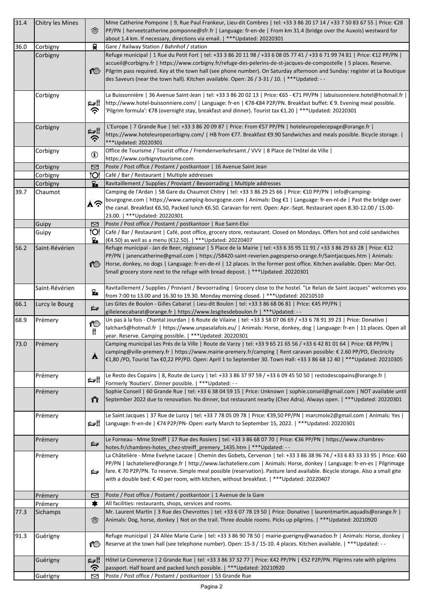| 31.4 | Chitry les Mines | 参                   | Mme Catherine Pompone   9, Rue Paul Frankeur, Lieu-dit Combres   tel: +33 3 86 20 17 14 / +33 7 50 83 67 55   Price: €28<br>PP/PN   herveetcatherine.pomponne@sfr.fr   Language: fr-en-de   From km 31.4 (bridge over the Auxois) westward for                                                                                                                                                                                                                                     |
|------|------------------|---------------------|------------------------------------------------------------------------------------------------------------------------------------------------------------------------------------------------------------------------------------------------------------------------------------------------------------------------------------------------------------------------------------------------------------------------------------------------------------------------------------|
| 36.0 | Corbigny         | 員                   | about 1.4 km. If necessary, directions via email.   *** Updated: 20220301<br>Gare / Railway Station / Bahnhof / station                                                                                                                                                                                                                                                                                                                                                            |
|      | Corbigny         | 1 organisas         | Refuge municipal   1 Rue du Petit Fort   tel: +33 3 86 20 11 98 / +33 6 08 05 77 41 / +33 6 71 99 74 81   Price: €12 PP/PN  <br>accueil@corbigny.fr   https://www.corbigny.fr/refuge-des-pelerins-de-st-jacques-de-compostelle   5 places. Reserve.<br>Pilgrim pass required. Key at the town hall (see phone number). On Saturday afternoon and Sunday: register at La Boutique<br>des Saveurs (near the town hall). Kitchen available. Open: 26 / 3-31 / 10.   *** Updated: --   |
|      | Corbigny         | ⊯∦<br>ဂ္ဂ           | La Buissonnière   36 Avenue Saint-Jean   tel: +33 3 86 20 02 13   Price: €65 - €71 PP/PN   labuissonniere.hotel@hotmail.fr  <br>http://www.hotel-buissonniere.com/   Language: fr-en   €78-€84 P2P/PN. Breakfast buffet: €9. Evening meal possible.<br>Pilgrim formula': €78 (overnight stay, breakfast and dinner). Tourist tax €1.20   ***Updated: 20220301                                                                                                                      |
|      | Corbigny         | ⊯∦<br>ふ             | L'Europe   7 Grande Rue   tel: +33 3 86 20 09 87   Price: From €57 PP/PN   hoteleuropelecepage@orange.fr  <br>https://www.hoteleuropecorbigny.com/   HB from €77. Breakfast €9.90 Sandwiches and meals possible. Bicycle storage.  <br>*** Updated: 20220301                                                                                                                                                                                                                       |
|      | Corbigny         | $\bigcirc$          | Office de Tourisme / Tourist office / Fremdenverkehrsamt / VVV   8 Place de l'Hôtel de Ville  <br>https://www.corbignytourisme.com                                                                                                                                                                                                                                                                                                                                                 |
|      | Corbigny         | ⊠                   | Poste / Post office / Postamt / postkantoor   16 Avenue Saint Jean                                                                                                                                                                                                                                                                                                                                                                                                                 |
|      | Corbigny         | 'Ol                 | Café / Bar / Restaurant   Multiple addresses                                                                                                                                                                                                                                                                                                                                                                                                                                       |
|      | Corbigny         | <del></del>         | Ravitaillement / Supplies / Proviant / Bevoorrading   Multiple addresses                                                                                                                                                                                                                                                                                                                                                                                                           |
| 39.7 | Chaumot          | 又も                  | Camping de l'Ardan   58 Gare du Chaumot Chitry   tel: +33 3 86 29 25 66   Price: €10 PP/PN   info@camping-<br>bourgogne.com   https://www.camping-bourgogne.com   Animals: Dog €1   Language: fr-en-nl-de   Past the bridge over<br>the canal. Breakfast €6.50, Packed lunch €6.50. Caravan for rent. Open: Apr.-Sept. Restaurant open 8.30-12.00 / 15.00-<br>23.00.   *** Updated: 20220301                                                                                       |
|      | Guipy            | ⊠                   | Poste / Post office / Postamt / postkantoor   Rue Saint-Eloi                                                                                                                                                                                                                                                                                                                                                                                                                       |
|      | Guipy            | 'Ol<br><del>⊾</del> | Café / Bar / Restaurant   Café, post office, grocery store, restaurant. Closed on Mondays. Offers hot and cold sandwiches<br>(€4.50) as well as a menu (€12.50).   ***Updated: 20220407                                                                                                                                                                                                                                                                                            |
| 56.2 | Saint-Révérien   | 检                   | Refuge municipal - Jan de Beer, régisseur   5 Place de la Mairie   tel: +33 6 35 95 11 91 / +33 3 86 29 63 28   Price: €12<br>PP/PN   janencatherine@gmail.com   https://58420-saint-reverien.pagesperso-orange.fr/Saintjacques.htm   Animals:<br>Horse, donkey, no dogs   Language: fr-en-de-nl   12 places. In the former post office. Kitchen available. Open: Mar-Oct.<br>Small grocery store next to the refuge with bread deposit.   *** Updated: 20220301                   |
|      | Saint-Révérien   | Ł                   | Ravitaillement / Supplies / Proviant / Bevoorrading   Grocery close to the hostel. "Le Relais de Saint Jacques" welcomes you<br>from 7:00 to 13.00 and 16.30 to 19.30. Monday morning closed.   *** Updated: 20210510                                                                                                                                                                                                                                                              |
| 66.1 | Lurcy le Bourg   | ⋭                   | Les Gites de Boulon - Gilles Cabarat   Lieu-dit Boulon   tel: +33 3 86 68 06 81   Price: €45 PP/PN  <br>gillelenecabarat@orange.fr   https://www.lesgitesdeboulon.fr   ***Updated: --                                                                                                                                                                                                                                                                                              |
| 68.9 | Prémery          | ඟ<br>11             | Un pas à la fois - Chantal Jourdan   6 Route de Vilaine   tel: +33 3 58 07 06 69 / +33 6 78 91 39 23   Price: Donativo  <br>talchan5@hotmail.fr   https://www.unpasalafois.eu/   Animals: Horse, donkey, dog   Language: fr-en   11 places. Open all<br>year. Reserve. Camping possible.   *** Updated: 20220301                                                                                                                                                                   |
| 73.0 | Prémery          | Å                   | Camping municipal Les Prés de la Ville   Route de Varzy   tel: +33 9 65 21 65 56 / +33 6 42 81 01 64   Price: €8 PP/PN  <br>camping@ville-premery.fr   https://www.mairie-premery.fr/camping   Rent caravan possible: € 2.60 PP/PD, Electricity<br>€1,80 /PD, Tourist Tax €0,22 PP/PD. Open: April 1 to September 30. Town Hall: +33 3 86 68 12 40   *** Updated: 20210305                                                                                                         |
|      | Prémery          | ⊯∦                  | Le Resto des Copains   8, Route de Lurcy   tel: +33 3 86 37 97 59 / +33 6 09 45 50 50   restodescopains@orange.fr  <br>Formerly 'Routiers'. Dinner possible.   *** Updated: - -                                                                                                                                                                                                                                                                                                    |
|      | Prémery          | ∩                   | Sophie Conseil   60 Grande Rue   tel: +33 6 38 04 59 15   Price: Unknown   sophie.conseil@gmail.com   NOT available until<br>September 2022 due to renovation. No dinner, but restaurant nearby (Chez Adra). Always open.   *** Updated: 20220301                                                                                                                                                                                                                                  |
|      | Prémery          | ⊯∦                  | Le Saint Jacques   37 Rue de Lurcy   tel: +33 7 78 05 09 78   Price: €39,50 PP/PN   marcmole2@gmail.com   Animals: Yes  <br>Language: fr-en-de   €74 P2P/PN- Open: early March to September 15, 2022.   ***Updated: 20220301                                                                                                                                                                                                                                                       |
|      | Prémery          | ⋭                   | Le Forneau - Mme Streiff   17 Rue des Rosiers   tel: +33 3 86 68 07 70   Price: €36 PP/PN   https://www.chambres-<br>hotes.fr/chambres-hotes_chez-streiff_premery_1435.htm   *** Updated: - -                                                                                                                                                                                                                                                                                      |
|      | Prémery          | ⋭                   | La Châtelière - Mme Evelyne Lacaze   Chemin des Gobets, Cervenon   tel: +33 3 86 38 96 74 / +33 6 83 33 33 95   Price: €60<br>PP/PN   lachateliere@orange.fr   http://www.lachateliere.com   Animals: Horse, donkey   Language: fr-en-es   Pilgrimage<br>fare. € 70 P2P/PN. To reserve. Simple meal possible (reservation). Pasture land available. Bicycle storage. Also a small gite<br>with a double bed: €40 per room, with kitchen, without breakfast.   ***Updated: 20220407 |
|      | Prémery          | ⊠                   | Poste / Post office / Postamt / postkantoor   1 Avenue de la Gare                                                                                                                                                                                                                                                                                                                                                                                                                  |
|      | Prémery          | ∗                   | All facilities: restaurants, shops, services and rooms.                                                                                                                                                                                                                                                                                                                                                                                                                            |
| 77.3 | <b>Sichamps</b>  | 念                   | Mr. Laurent Martin   3 Rue des Chevrottes   tel: +33 6 07 78 19 50   Price: Donativo   laurentmartin.aquadis@orange.fr  <br>Animals: Dog, horse, donkey   Not on the trail. Three double rooms. Picks up pilgrims.   *** Updated: 20210920                                                                                                                                                                                                                                         |
| 91.3 | Guérigny         | ඟ                   | Refuge municipal   24 Allée Marie Curie   tel: +33 3 86 90 78 50   mairie-guerigny@wanadoo.fr   Animals: Horse, donkey  <br>Reserve at the town hall (see telephone number). Open: 15-3 / 15-10. 4 places. Kitchen available.   *** Updated: --                                                                                                                                                                                                                                    |
|      | Guérigny         | ⊯‼<br><u>ぐ</u>      | Hôtel Le Commerce   2 Grande Rue   tel: +33 3 86 37 32 77   Price: €42 PP/PN   €52 P2P/PN. Pilgrims rate with pilgrims<br>passport. Half board and packed lunch possible.   *** Updated: 20210920                                                                                                                                                                                                                                                                                  |
|      | Guérigny         | ⊠                   | Poste / Post office / Postamt / postkantoor   53 Grande Rue                                                                                                                                                                                                                                                                                                                                                                                                                        |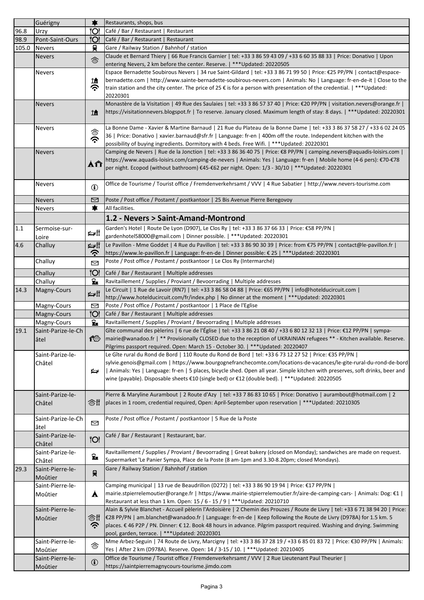|       | Guérigny           | ☀                | Restaurants, shops, bus                                                                                                                                                                                                                             |
|-------|--------------------|------------------|-----------------------------------------------------------------------------------------------------------------------------------------------------------------------------------------------------------------------------------------------------|
| 96.8  | Urzy               | ΪOΙ              | Café / Bar / Restaurant   Restaurant                                                                                                                                                                                                                |
| 98.9  | Pont-Saint-Ours    | 'Ol              | Café / Bar / Restaurant   Restaurant                                                                                                                                                                                                                |
| 105.0 | <b>Nevers</b>      | 9                | Gare / Railway Station / Bahnhof / station                                                                                                                                                                                                          |
|       | <b>Nevers</b>      | 参                | Claude et Bernard Thiery   66 Rue Francis Garnier   tel: +33 3 86 59 43 09 / +33 6 60 35 88 33   Price: Donativo   Upon                                                                                                                             |
|       |                    |                  | entering Nevers, 2 km before the center. Reserve.   *** Updated: 20220505                                                                                                                                                                           |
|       | Nevers             |                  | Espace Bernadette Soubirous Nevers   34 rue Saint-Gildard   tel: +33 3 86 71 99 50   Price: €25 PP/PN   contact@espace-                                                                                                                             |
|       |                    | 止<br><b>ごく</b>   | bernadette.com   http://www.sainte-bernadette-soubirous-nevers.com   Animals: No   Language: fr-en-de-it   Close to the<br>train station and the city center. The price of 25 € is for a person with presentation of the credential.   *** Updated: |
|       |                    |                  | 20220301                                                                                                                                                                                                                                            |
|       | <b>Nevers</b>      |                  | Monastère de la Visitation   49 Rue des Saulaies   tel: +33 3 86 57 37 40   Price: €20 PP/PN   visitation.nevers@orange.fr                                                                                                                          |
|       |                    | Ħ                | https://visitationnevers.blogspot.fr   To reserve. January closed. Maximum length of stay: 8 days.   ***Updated: 20220301                                                                                                                           |
|       |                    |                  |                                                                                                                                                                                                                                                     |
|       | Nevers             |                  | La Bonne Dame - Xavier & Martine Barnaud   21 Rue du Plateau de la Bonne Dame   tel: +33 3 86 37 58 27 / +33 6 02 24 05                                                                                                                             |
|       |                    | ◈<br>ら           | 36   Price: Donativo   xavier.barnaud@sfr.fr   Language: fr-en   400m off the route. Independent kitchen with the                                                                                                                                   |
|       |                    |                  | possibility of buying ingredients. Dormitory with 4 beds. Free Wifi.   *** Updated: 20220301                                                                                                                                                        |
|       | <b>Nevers</b>      |                  | Camping de Nevers   Rue de la Jonction   tel: +33 3 86 36 40 75   Price: €8 PP/PN   camping.nevers@aquadis-loisirs.com                                                                                                                              |
|       |                    | ÅÂ               | https://www.aquadis-loisirs.com/camping-de-nevers   Animals: Yes   Language: fr-en   Mobile home (4-6 pers): €70-€78                                                                                                                                |
|       |                    |                  | per night. Ecopod (without bathroom) €45-€62 per night. Open: 1/3 - 30/10   *** Updated: 20220301                                                                                                                                                   |
|       | <b>Nevers</b>      |                  | Office de Tourisme / Tourist office / Fremdenverkehrsamt / VVV   4 Rue Sabatier   http://www.nevers-tourisme.com                                                                                                                                    |
|       |                    | $\bf{G}$         |                                                                                                                                                                                                                                                     |
|       | <b>Nevers</b>      | 罓                | Poste / Post office / Postamt / postkantoor   25 Bis Avenue Pierre Beregovoy                                                                                                                                                                        |
|       | Nevers             | ★                | All facilities.                                                                                                                                                                                                                                     |
|       |                    |                  | 1.2 - Nevers > Saint-Amand-Montrond                                                                                                                                                                                                                 |
| 1.1   | Sermoise-sur-      |                  | Garden's Hotel   Route De Lyon (D907), Le Clos Ry   tel: +33 3 86 37 66 33   Price: €58 PP/PN                                                                                                                                                       |
|       | Loire              | اا ⊫∆            | gardenhotel58000@gmail.com   Dinner possible.   *** Updated: 20220301                                                                                                                                                                               |
| 4.6   | Challuy            | ा । ⊯⊴           | Le Pavillon - Mme Goddet   4 Rue du Pavillon   tel: +33 3 86 90 30 39   Price: from €75 PP/PN   contact@le-pavillon.fr                                                                                                                              |
|       |                    | ら                | https://www.le-pavillon.fr   Language: fr-en-de   Dinner possible: € 25   *** Updated: 20220301                                                                                                                                                     |
|       | Challuy            | 罓                | Poste / Post office / Postamt / postkantoor   Le Clos Ry (Intermarché)                                                                                                                                                                              |
|       |                    | <b>O</b>         |                                                                                                                                                                                                                                                     |
|       | Challuy<br>Challuy | $\mathbf{z}$     | Café / Bar / Restaurant   Multiple addresses<br>Ravitaillement / Supplies / Proviant / Bevoorrading   Multiple addresses                                                                                                                            |
| 14.3  | Magny-Cours        |                  | Le Circuit   1 Rue de Lavoir (RN7)   tel: +33 3 86 58 04 88   Price: €65 PP/PN   info@hotelducircuit.com                                                                                                                                            |
|       |                    | ⊯∦               | http://www.hotelducircuit.com/fr/index.php   No dinner at the moment   ***Updated: 20220301                                                                                                                                                         |
|       | Magny-Cours        | ⊠                | Poste / Post office / Postamt / postkantoor   1 Place de l'Eglise                                                                                                                                                                                   |
|       | Magny-Cours        | ľOl              | Café / Bar / Restaurant   Multiple addresses                                                                                                                                                                                                        |
|       | Magny-Cours        | <del></del>      | Ravitaillement / Supplies / Proviant / Bevoorrading   Multiple addresses                                                                                                                                                                            |
| 19.1  | Saint-Parize-le-Ch |                  | Gîte communal des pèlerins   6 rue de l'Église   tel: +33 3 86 21 08 40 / +33 6 80 12 32 13   Price: €12 PP/PN   sympa-                                                                                                                             |
|       | âtel               |                  | mairie@wanadoo.fr   ** Provisionally CLOSED due to the reception of UKRAINIAN refugees ** - Kitchen available. Reserve.                                                                                                                             |
|       |                    |                  | Pilgrims passport required. Open: March 15 - October 30.   *** Updated: 20220407                                                                                                                                                                    |
|       | Saint-Parize-le-   |                  | Le Gîte rural du Rond de Bord   110 Route du Rond de Bord   tel: +33 6 73 12 27 52   Price: €35 PP/PN                                                                                                                                               |
|       | Châtel             |                  | sylvie.genois@gmail.com   https://www.bourgognefranchecomte.com/locations-de-vacances/le-gite-rural-du-rond-de-bord                                                                                                                                 |
|       |                    | ⋭⋥               | Animals: Yes   Language: fr-en   5 places, bicycle shed. Open all year. Simple kitchen with preserves, soft drinks, beer and<br>wine (payable). Disposable sheets €10 (single bed) or €12 (double bed).   ***Updated: 20220505                      |
|       |                    |                  |                                                                                                                                                                                                                                                     |
|       | Saint-Parize-le-   |                  | Pierre & Maryline Aurambout   2 Route d'Azy   tel: +33 7 86 83 10 65   Price: Donativo   aurambout@hotmail.com   2                                                                                                                                  |
|       | Châtel             | ◈‼               | places in 1 room, credential required, Open: April-September upon reservation   *** Updated: 20210305                                                                                                                                               |
|       |                    |                  |                                                                                                                                                                                                                                                     |
|       | Saint-Parize-le-Ch |                  | Poste / Post office / Postamt / postkantoor   5 Rue de la Poste                                                                                                                                                                                     |
|       | âtel               | ⊠                |                                                                                                                                                                                                                                                     |
|       | Saint-Parize-le-   | $\overline{O}$   | Café / Bar / Restaurant   Restaurant, bar.                                                                                                                                                                                                          |
|       | Châtel             |                  |                                                                                                                                                                                                                                                     |
|       | Saint-Parize-le-   | $\mathbf{z}$     | Ravitaillement / Supplies / Proviant / Bevoorrading   Great bakery (closed on Monday); sandwiches are made on request.                                                                                                                              |
|       | Châtel             |                  | Supermarket 'Le Panier Sympa, Place de la Poste (8 am-1pm and 3.30-8.20pm; closed Mondays).                                                                                                                                                         |
| 29.3  | Saint-Pierre-le-   | 貝                | Gare / Railway Station / Bahnhof / station                                                                                                                                                                                                          |
|       | Moûtier            |                  |                                                                                                                                                                                                                                                     |
|       | Saint-Pierre-le-   |                  | Camping municipal   13 rue de Beaudrillon (D272)   tel: +33 3 86 90 19 94   Price: €17 PP/PN  <br>mairie.stpierrelemoutier@orange.fr   https://www.mairie-stpierrelemoutier.fr/aire-de-camping-cars-   Animals: Dog: €1                             |
|       | Moûtier            | $\blacktriangle$ | Restaurant at less than 1 km. Open: 15 / 6 - 15 / 9   *** Updated: 20210710                                                                                                                                                                         |
|       | Saint-Pierre-le-   |                  | Alain & Sylvie Blanchet - Accueil pèlerin l'Ardoisière   2 Chemin des Prouzes / Route de Livry   tel: +33 6 71 38 94 20   Price:                                                                                                                    |
|       | Moûtier            | ❀‼               | €28 PP/PN   am.blanchet@wanadoo.fr   Language: fr-en-de   Keep following the Route de Livry (D978A) for 1.5 km. 5                                                                                                                                   |
|       |                    | ふ                | places. € 46 P2P / PN. Dinner: € 12. Book 48 hours in advance. Pilgrim passport required. Washing and drying. Swimming                                                                                                                              |
|       |                    |                  | pool, garden, terrace.   *** Updated: 20220301                                                                                                                                                                                                      |
|       | Saint-Pierre-le-   | 念                | Mme Arbez-Seguin   74 Route de Livry, Marcigny   tel: +33 3 86 37 28 19 / +33 6 85 01 83 72   Price: €30 PP/PN   Animals:                                                                                                                           |
|       | Moûtier            |                  | Yes   After 2 km (D978A). Reserve. Open: 14 / 3-15 / 10.   *** Updated: 20210405                                                                                                                                                                    |
|       | Saint-Pierre-le-   | $\bigcirc$       | Office de Tourisme / Tourist office / Fremdenverkehrsamt / VVV   2 Rue Lieutenant Paul Theurier                                                                                                                                                     |
|       | Moûtier            |                  | https://saintpierremagnycours-tourisme.jimdo.com                                                                                                                                                                                                    |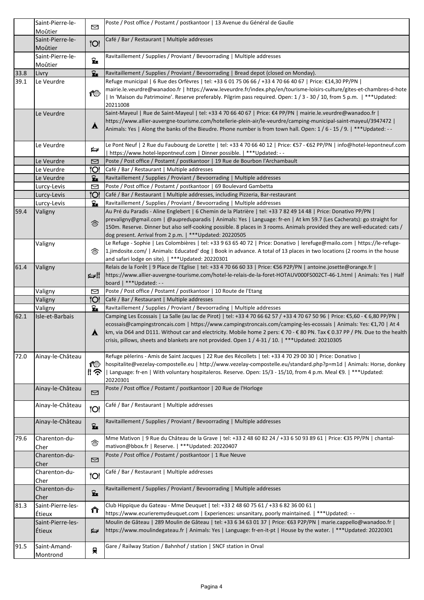|      | Saint-Pierre-le-            | ⊠                | Poste / Post office / Postamt / postkantoor   13 Avenue du Général de Gaulle                                                                                                                                                                         |
|------|-----------------------------|------------------|------------------------------------------------------------------------------------------------------------------------------------------------------------------------------------------------------------------------------------------------------|
|      | Moûtier                     |                  | Café / Bar / Restaurant   Multiple addresses                                                                                                                                                                                                         |
|      | Saint-Pierre-le-            | IO               |                                                                                                                                                                                                                                                      |
|      | Moûtier<br>Saint-Pierre-le- |                  | Ravitaillement / Supplies / Proviant / Bevoorrading   Multiple addresses                                                                                                                                                                             |
|      | Moûtier                     | $\mathbf{z}$     |                                                                                                                                                                                                                                                      |
| 33.8 | Livry                       | $\mathbf{z}$     | Ravitaillement / Supplies / Proviant / Bevoorrading   Bread depot (closed on Monday).                                                                                                                                                                |
| 39.1 | Le Veurdre                  |                  | Refuge municipal   6 Rue des Orfèvres   tel: +33 6 01 75 06 66 / +33 4 70 66 40 67   Price: €14,30 PP/PN                                                                                                                                             |
|      |                             | ඟ                | mairie.le.veurdre@wanadoo.fr   https://www.leveurdre.fr/index.php/en/tourisme-loisirs-culture/gites-et-chambres-d-hote                                                                                                                               |
|      |                             |                  | In 'Maison du Patrimoine'. Reserve preferably. Pilgrim pass required. Open: 1 / 3 - 30 / 10, from 5 p.m.   ***Updated:                                                                                                                               |
|      |                             |                  | 20211008                                                                                                                                                                                                                                             |
|      | Le Veurdre                  |                  | Saint-Mayeul   Rue de Saint-Mayeul   tel: +33 4 70 66 40 67   Price: €4 PP/PN   mairie.le.veurdre@wanadoo.fr                                                                                                                                         |
|      |                             | Å                | https://www.allier-auvergne-tourisme.com/hotellerie-plein-air/le-veurdre/camping-municipal-saint-mayeul/3947472                                                                                                                                      |
|      |                             |                  | Animals: Yes   Along the banks of the Bieudre. Phone number is from town hall. Open: 1 / 6 - 15 / 9.   *** Updated: --                                                                                                                               |
|      | Le Veurdre                  |                  | Le Pont Neuf   2 Rue du Faubourg de Lorette   tel: +33 4 70 66 40 12   Price: €57 - €62 PP/PN   info@hotel-lepontneuf.com                                                                                                                            |
|      |                             | ⋭                | https://www.hotel-lepontneuf.com   Dinner possible.   ***Updated: - -                                                                                                                                                                                |
|      | Le Veurdre                  | ⊠                | Poste / Post office / Postamt / postkantoor   19 Rue de Bourbon l'Archambault                                                                                                                                                                        |
|      | Le Veurdre                  | ''Ol             | Café / Bar / Restaurant   Multiple addresses                                                                                                                                                                                                         |
|      | Le Veurdre                  | $\mathbf{z}$     | Ravitaillement / Supplies / Proviant / Bevoorrading   Multiple addresses                                                                                                                                                                             |
|      | Lurcy-Levis                 | ⊠                | Poste / Post office / Postamt / postkantoor   69 Boulevard Gambetta                                                                                                                                                                                  |
|      | Lurcy-Levis                 | 'Ol              | Café / Bar / Restaurant   Multiple addresses, including Pizzeria, Bar-restaurant                                                                                                                                                                     |
|      | Lurcy-Levis                 | $\mathbf{z}$     | Ravitaillement / Supplies / Proviant / Bevoorrading   Multiple addresses                                                                                                                                                                             |
| 59.4 | Valigny                     |                  | Au Pré du Paradis - Aline Englebert   6 Chemin de la Platrière   tel: +33 7 82 49 14 48   Price: Donativo PP/PN                                                                                                                                      |
|      |                             | 念                | prevaligny@gmail.com   @aupreduparadis   Animals: Yes   Language: fr-en   At km 59.7 (Les Cacherats): go straight for                                                                                                                                |
|      |                             |                  | 150m. Reserve. Dinner but also self-cooking possible. 8 places in 3 rooms. Animals provided they are well-educated: cats /<br>dog present. Arrival from 2 p.m.   *** Updated: 20220505                                                               |
|      | Valigny                     |                  | Le Refuge - Sophie   Les Colombières   tel: +33 9 63 65 40 72   Price: Donativo   lerefuge@mailo.com   https://le-refuge-                                                                                                                            |
|      |                             | 翕                | 1.jimdosite.com/   Animals: Educated' dog   Book in advance. A total of 13 places in two locations (2 rooms in the house                                                                                                                             |
|      |                             |                  | and safari lodge on site).   *** Updated: 20220301                                                                                                                                                                                                   |
| 61.4 | Valigny                     |                  | Relais de la Forêt   9 Place de l'Eglise   tel: +33 4 70 66 60 33   Price: €56 P2P/PN   antoine.josette@orange.fr                                                                                                                                    |
|      |                             |                  | https://www.allier-auvergne-tourisme.com/hotel-le-relais-de-la-foret-HOTAUV000FS002CT-46-1.html   Animals: Yes   Half                                                                                                                                |
|      |                             |                  | board   *** Updated: --                                                                                                                                                                                                                              |
|      | Valigny                     | ⊠                | Poste / Post office / Postamt / postkantoor   10 Route de l'Etang                                                                                                                                                                                    |
|      | Valigny                     | 'Ol              | Café / Bar / Restaurant   Multiple addresses                                                                                                                                                                                                         |
|      | Valigny                     | <del></del>      | Ravitaillement / Supplies / Proviant / Bevoorrading   Multiple addresses                                                                                                                                                                             |
| 62.1 | Isle-et-Barbais             |                  | Camping Les Ecossais   La Salle (au lac de Pirot)   tel: +33 4 70 66 62 57 / +33 4 70 67 50 96   Price: €5,60 - € 6,80 PP/PN  <br>ecossais@campingstroncais.com   https://www.campingstroncais.com/camping-les-ecossais   Animals: Yes: €1,70   At 4 |
|      |                             | $\blacktriangle$ | km, via D64 and D111. Without car and electricity. Mobile home 2 pers: €70 - €80 PN. Tax €0.37 PP / PN. Due to the health                                                                                                                            |
|      |                             |                  | crisis, pillows, sheets and blankets are not provided. Open 1 / 4-31 / 10.   *** Updated: 20210305                                                                                                                                                   |
|      |                             |                  |                                                                                                                                                                                                                                                      |
| 72.0 | Ainay-le-Château            |                  | Refuge pèlerins - Amis de Saint Jacques   22 Rue des Récollets   tel: +33 4 70 29 00 30   Price: Donativo                                                                                                                                            |
|      |                             | ඟ                | hospitalite@vezelay-compostelle.eu   http://www.vezelay-compostelle.eu/standard.php?p=m1d   Animals: Horse, donkey                                                                                                                                   |
|      |                             | ‼ ◇              | Language: fr-en   With voluntary hospitaleros. Reserve. Open: 15/3 - 15/10, from 4 p.m. Meal €9.   *** Updated:                                                                                                                                      |
|      |                             |                  | 20220301<br>Poste / Post office / Postamt / postkantoor   20 Rue de l'Horloge                                                                                                                                                                        |
|      | Ainay-le-Château            | ⊠                |                                                                                                                                                                                                                                                      |
|      | Ainay-le-Château            | 'Ol              | Café / Bar / Restaurant   Multiple addresses                                                                                                                                                                                                         |
|      |                             |                  |                                                                                                                                                                                                                                                      |
|      | Ainay-le-Château            | $\mathbf{z}$     | Ravitaillement / Supplies / Proviant / Bevoorrading   Multiple addresses                                                                                                                                                                             |
| 79.6 | Charenton-du-               |                  | Mme Mativon   9 Rue du Château de la Grave   tel: +33 2 48 60 82 24 / +33 6 50 93 89 61   Price: €35 PP/PN   chantal-                                                                                                                                |
|      | Cher                        | 念                | mativon@bbox.fr   Reserve.   ***Updated: 20220407                                                                                                                                                                                                    |
|      | Charenton-du-               |                  | Poste / Post office / Postamt / postkantoor   1 Rue Neuve                                                                                                                                                                                            |
|      | Cher                        | ⊠                |                                                                                                                                                                                                                                                      |
|      | Charenton-du-               | <b>"Ol</b>       | Café / Bar / Restaurant   Multiple addresses                                                                                                                                                                                                         |
|      | Cher                        |                  |                                                                                                                                                                                                                                                      |
|      | Charenton-du-               | $\mathbf{z}$     | Ravitaillement / Supplies / Proviant / Bevoorrading   Multiple addresses                                                                                                                                                                             |
| 81.3 | Cher<br>Saint-Pierre-les-   |                  | Club Hippique du Gateau - Mme Deuquet   tel: +33 2 48 60 75 61 / +33 6 82 36 00 61                                                                                                                                                                   |
|      | Etieux                      | ⇑                | https://www.ecurieremydeuquet.com   Experiences: unsanitary, poorly maintained.   *** Updated: --                                                                                                                                                    |
|      | Saint-Pierre-les-           |                  | Moulin de Gâteau   289 Moulin de Gâteau   tel: +33 6 34 63 01 37   Price: €63 P2P/PN   marie.cappello@wanadoo.fr                                                                                                                                     |
|      | Étieux                      | ⋭                | https://www.moulindegateau.fr   Animals: Yes   Language: fr-en-it-pt   House by the water.   ***Updated: 20220301                                                                                                                                    |
|      |                             |                  |                                                                                                                                                                                                                                                      |
| 91.5 | Saint-Amand-                | 貝                | Gare / Railway Station / Bahnhof / station   SNCF station in Orval                                                                                                                                                                                   |
|      | Montrond                    |                  |                                                                                                                                                                                                                                                      |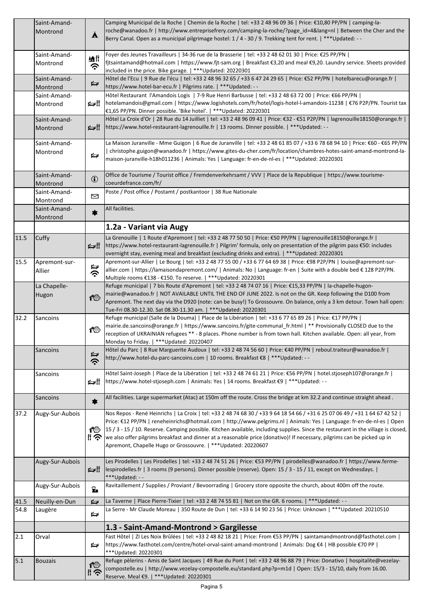|              | Saint-Amand-<br>Montrond  | Å            | Camping Municipal de la Roche   Chemin de la Roche   tel: +33 2 48 96 09 36   Price: €10,80 PP/PN   camping-la-<br>roche@wanadoo.fr   http://www.entreprisefrery.com/camping-la-roche/?page_id=4⟨=nl   Between the Cher and the<br>Berry Canal. Open as a municipal pilgrimage hostel: $1/4 - 30/9$ . Trekking tent for rent.   *** Updated: --                                                                                                                                                                                                                                            |
|--------------|---------------------------|--------------|--------------------------------------------------------------------------------------------------------------------------------------------------------------------------------------------------------------------------------------------------------------------------------------------------------------------------------------------------------------------------------------------------------------------------------------------------------------------------------------------------------------------------------------------------------------------------------------------|
|              | Saint-Amand-<br>Montrond  | 緰川<br>ふ      | Foyer des Jeunes Travailleurs   34-36 rue de la Brasserie   tel: +33 2 48 62 01 30   Price: €25 PP/PN  <br>fjtsaintamand@hotmail.com   https://www.fjt-sam.org   Breakfast €3,20 and meal €9,20. Laundry service. Sheets provided<br>included in the price. Bike garage.   *** Updated: 20220301                                                                                                                                                                                                                                                                                           |
|              | Saint-Amand-<br>Montrond  | Ą            | Hôtel de l'Ecu   9 Rue de l'écu   tel: +33 2 48 96 32 65 / +33 6 47 24 29 65   Price: €52 PP/PN   hotelbarecu@orange.fr  <br>https://www.hotel-bar-ecu.fr   Pilgrims rate.   *** Updated: - -                                                                                                                                                                                                                                                                                                                                                                                              |
|              | Saint-Amand-<br>Montrond  | ⊯∦           | Hôtel Restaurant l'Amandois Logis   7-9 Rue Henri Barbusse   tel: +33 2 48 63 72 00   Price: €66 PP/PN  <br>hotelamandois@gmail.com   https://www.logishotels.com/fr/hotel/logis-hotel-l-amandois-11238   €76 P2P/PN. Tourist tax<br>€1,65 PP/PN. Dinner possible. 'Bike hotel'.   *** Updated: 20220301                                                                                                                                                                                                                                                                                   |
|              | Saint-Amand-<br>Montrond  | ⊯⊯‼          | Hôtel La Croix d'Or   28 Rue du 14 Juilliet   tel: +33 2 48 96 09 41   Price: €32 - €51 P2P/PN   lagrenouille18150@orange.fr  <br>https://www.hotel-restaurant-lagrenouille.fr   13 rooms. Dinner possible.   ***Updated: - -                                                                                                                                                                                                                                                                                                                                                              |
|              | Saint-Amand-<br>Montrond  | Ŷ            | La Maison Juranville - Mme Guigon   6 Rue de Juranville   tel: +33 2 48 61 85 07 / +33 6 78 68 94 10   Price: €60 - €65 PP/PN<br>  christophe.guigon@wanadoo.fr   https://www.gites-du-cher.com/fr/location/chambres-hotes-saint-amand-montrond-la-<br>maison-juranville-h18h011236   Animals: Yes   Language: fr-en-de-nl-es   ***Updated: 20220301                                                                                                                                                                                                                                       |
|              | Saint-Amand-<br>Montrond  | $\mathbf{G}$ | Office de Tourisme / Tourist office / Fremdenverkehrsamt / VVV   Place de la Republique   https://www.tourisme-<br>coeurdefrance.com/fr/                                                                                                                                                                                                                                                                                                                                                                                                                                                   |
|              | Saint-Amand-<br>Montrond  | ⊠            | Poste / Post office / Postamt / postkantoor   38 Rue Nationale                                                                                                                                                                                                                                                                                                                                                                                                                                                                                                                             |
|              | Saint-Amand-<br>Montrond  | $\bigstar$   | All facilities.                                                                                                                                                                                                                                                                                                                                                                                                                                                                                                                                                                            |
|              |                           |              | 1.2a - Variant via Augy                                                                                                                                                                                                                                                                                                                                                                                                                                                                                                                                                                    |
| 11.5         | Cuffy                     | ⊯∦           | La Grenouille   1 Route d'Apremont   tel: +33 2 48 77 50 50   Price: €50 PP/PN   lagrenouille18150@orange.fr  <br>https://www.hotel-restaurant-lagrenouille.fr   Pilgrim' formula, only on presentation of the pilgrim pass €50: includes<br>overnight stay, evening meal and breakfast (excluding drinks and extra).   *** Updated: 20220301                                                                                                                                                                                                                                              |
| 15.5         | Apremont-sur-<br>Allier   | ⋭<br>ぐ       | Apremont-sur-Allier   Le Bourg   tel: +33 2 48 77 55 00 / +33 6 77 64 69 38   Price: €98 P2P/PN   louise@apremont-sur-<br>allier.com   https://lamaisondapremont.com/   Animals: No   Language: fr-en   Suite with a double bed € 128 P2P/PN.<br>Multiple rooms €138 - €150. To reserve.   *** Updated: 20220301                                                                                                                                                                                                                                                                           |
|              | La Chapelle-<br>Hugon     | 检            | Refuge municipal   7 bis Route d'Apremont   tel: +33 2 48 74 07 16   Price: €15,33 PP/PN   la-chapelle-hugon-<br>mairie@wanadoo.fr   NOT AVAILABLE UNTIL THE END OF JUNE 2022. Is not on the GR. Keep following the D100 from<br>Apremont. The next day via the D920 (note: can be busy!) To Grossouvre. On balance, only a 3 km detour. Town hall open:<br>Tue-Fri 08.30-12.30. Sat 08.30-11.30 am.   ***Updated: 20220301                                                                                                                                                                |
| 32.2         | Sancoins                  | ඟ            | Refuge municipal (Salle de la Douma)   Place de la Libération   tel: +33 6 77 65 89 26   Price: €17 PP/PN  <br>mairie.de.sancoins@orange.fr   https://www.sancoins.fr/gite-communal_fr.html   ** Provisionally CLOSED due to the<br>reception of UKRAINIAN refugees ** - 8 places. Phone number is from town hall. Kitchen available. Open: all year, from<br>Monday to Friday.   *** Updated: 20220407                                                                                                                                                                                    |
|              | <b>Sancoins</b>           | Ą<br>ふ       | Hôtel du Parc   8 Rue Marguerite Audoux   tel: +33 2 48 74 56 60   Price: €40 PP/PN   reboul.traiteur@wanadoo.fr  <br>http://www.hotel-du-parc-sancoins.com   10 rooms. Breakfast €8   ***Updated: --                                                                                                                                                                                                                                                                                                                                                                                      |
|              | Sancoins                  | r⊯‼i         | Hôtel Saint-Joseph   Place de la Libération   tel: +33 2 48 74 61 21   Price: €56 PP/PN   hotel.stjoseph107@orange.fr  <br>https://www.hotel-stjoseph.com   Animals: Yes   14 rooms. Breakfast €9   ***Updated: - -                                                                                                                                                                                                                                                                                                                                                                        |
|              | <b>Sancoins</b>           | ★            | All facilities. Large supermarket (Atac) at 150m off the route. Cross the bridge at km 32.2 and continue straight ahead.                                                                                                                                                                                                                                                                                                                                                                                                                                                                   |
| 37.2         | Augy-Sur-Aubois           | ඟ<br>‼ ⊝     | Nos Repos - René Heinrichs   La Croix   tel: +33 2 48 74 68 30 / +33 9 64 18 54 66 / +31 6 25 07 06 49 / +31 1 64 67 42 52  <br>Price: €12 PP/PN   reneheinrichs@hotmail.com   http://www.pelgrims.nl   Animals: Yes   Language: fr-en-de-nl-es   Open<br>15 / 3 - 15 / 10. Reserve. Camping possible. Kitchen available, including supplies. Since the restaurant in the village is closed,<br>we also offer pilgrims breakfast and dinner at a reasonable price (donativo)! If necessary, pilgrims can be picked up in<br>Apremont, Chapelle Hugo or Grossouvre.   *** Updated: 20220607 |
|              | Augy-Sur-Aubois           | ⊯∦           | Les Pirodelles   Les Pirodelles   tel: +33 2 48 74 51 26   Price: €53 PP/PN   pirodelles@wanadoo.fr   https://www.ferme-<br>lespirodelles.fr   3 rooms (9 persons). Dinner possible (reserve). Open: 15 / 3 - 15 / 11, except on Wednesdays.  <br>***Updated: --                                                                                                                                                                                                                                                                                                                           |
|              | Augy-Sur-Aubois           | $\mathbf{z}$ | Ravitaillement / Supplies / Proviant / Bevoorrading   Grocery store opposite the church, about 400m off the route.                                                                                                                                                                                                                                                                                                                                                                                                                                                                         |
| 41.5<br>54.8 | Neuilly-en-Dun<br>Laugère | ⋭            | La Taverne   Place Pierre-Tixier   tel: +33 2 48 74 55 81   Not on the GR. 6 rooms.  <br>$***$ Updated: --<br>La Serre - Mr Claude Moreau   350 Route de Dun   tel: +33 6 14 90 23 56   Price: Unknown   ***Updated: 20210510                                                                                                                                                                                                                                                                                                                                                              |
|              |                           | ⋭            |                                                                                                                                                                                                                                                                                                                                                                                                                                                                                                                                                                                            |
| 2.1          | Orval                     |              | 1.3 - Saint-Amand-Montrond > Gargilesse<br>Fast Hôtel   ZI Les Noix Brûlées   tel: +33 2 48 82 18 21   Price: From €53 PP/PN   saintamandmontrond@fasthotel.com                                                                                                                                                                                                                                                                                                                                                                                                                            |
|              |                           | ⋭            | https://www.fasthotel.com/centre/hotel-orval-saint-amand-montrond   Animals: Dog €4   HB possible €70 PP  <br>*** Updated: 20220301                                                                                                                                                                                                                                                                                                                                                                                                                                                        |
| 5.1          | <b>Bouzais</b>            | 伦<br>‼ ◇     | Refuge pèlerins - Amis de Saint Jacques   49 Rue du Pont   tel: +33 2 48 96 88 79   Price: Donativo   hospitalite@vezelay-<br>compostelle.eu   http://www.vezelay-compostelle.eu/standard.php?p=m1d   Open: 15/3 - 15/10, daily from 16.00.<br>Reserve. Meal €9.   *** Updated: 20220301                                                                                                                                                                                                                                                                                                   |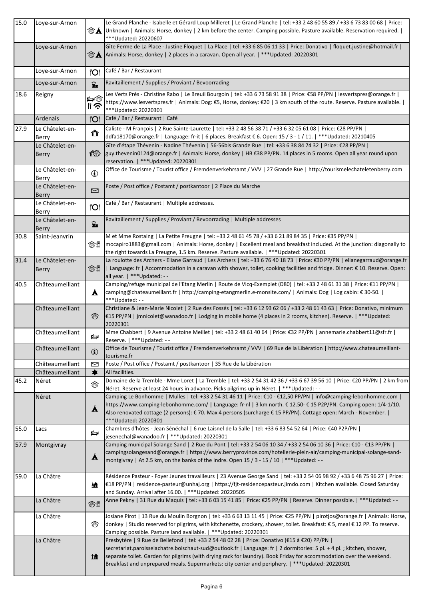| 15.0 | Loye-sur-Arnon                  | ◈▲               | Le Grand Planche - Isabelle et Gérard Loup Milleret   Le Grand Planche   tel: +33 2 48 60 55 89 / +33 6 73 83 00 68   Price:<br>Unknown   Animals: Horse, donkey   2 km before the center. Camping possible. Pasture available. Reservation required.  <br>***Updated: 20220607                                                                                                                                                                                                   |
|------|---------------------------------|------------------|-----------------------------------------------------------------------------------------------------------------------------------------------------------------------------------------------------------------------------------------------------------------------------------------------------------------------------------------------------------------------------------------------------------------------------------------------------------------------------------|
|      | Loye-sur-Arnon                  |                  | Gîte Ferme de La Place - Justine Floquet   La Place   tel: +33 6 85 06 11 33   Price: Donativo   floquet.justine@hotmail.fr  <br>◈À Animals: Horse, donkey   2 places in a caravan. Open all year.   ***Updated: 20220301                                                                                                                                                                                                                                                         |
|      | Loye-sur-Arnon                  | <b>"Ol</b>       | Café / Bar / Restaurant                                                                                                                                                                                                                                                                                                                                                                                                                                                           |
|      | Loye-sur-Arnon                  | $\mathbf{z}$     | Ravitaillement / Supplies / Proviant / Bevoorrading                                                                                                                                                                                                                                                                                                                                                                                                                               |
| 18.6 | Reigny                          | 的⊯<br>∦ چ        | Les Verts Prés - Christine Rabo   Le Breuil Bourgoin   tel: +33 6 73 58 91 38   Price: €58 PP/PN   lesvertspres@orange.fr  <br>https://www.lesvertspres.fr   Animals: Dog: €5, Horse, donkey: €20   3 km south of the route. Reserve. Pasture available.  <br>*** Updated: 20220301                                                                                                                                                                                               |
|      | Ardenais                        | $\mathcal{O}$    | Café / Bar / Restaurant   Café                                                                                                                                                                                                                                                                                                                                                                                                                                                    |
| 27.9 | Le Châtelet-en-                 | ⇑                | Caliste - M François   2 Rue Sainte-Laurette   tel: +33 2 48 56 38 71 / +33 6 32 05 61 08   Price: €28 PP/PN  <br>ddfa18170@orange.fr   Language: fr-it   6 places. Breakfast € 6. Open: 15 / 3 - 1 / 11.   *** Updated: 20210405                                                                                                                                                                                                                                                 |
|      | Berry<br>Le Châtelet-en-        |                  | Gîte d'étape Thévenin - Nadine Thévenin   56-56bis Grande Rue   tel: +33 6 38 84 74 32   Price: €28 PP/PN                                                                                                                                                                                                                                                                                                                                                                         |
|      | <b>Berry</b>                    | <b>TAR</b>       | guy.thevenin0124@orange.fr   Animals: Horse, donkey   HB €38 PP/PN. 14 places in 5 rooms. Open all year round upon<br>reservation.   *** Updated: 20220301                                                                                                                                                                                                                                                                                                                        |
|      | Le Châtelet-en-<br>Berry        | $\bigcirc$       | Office de Tourisme / Tourist office / Fremdenverkehrsamt / VVV   27 Grande Rue   http://tourismelechateletenberry.com                                                                                                                                                                                                                                                                                                                                                             |
|      | Le Châtelet-en-<br><b>Berry</b> | ⊠                | Poste / Post office / Postamt / postkantoor   2 Place du Marche                                                                                                                                                                                                                                                                                                                                                                                                                   |
|      | Le Châtelet-en-<br>Berry        | <b>"Ol</b>       | Café / Bar / Restaurant   Multiple addresses.                                                                                                                                                                                                                                                                                                                                                                                                                                     |
|      | Le Châtelet-en-<br><b>Berry</b> | $\mathbf{z}$     | Ravitaillement / Supplies / Proviant / Bevoorrading   Multiple addresses                                                                                                                                                                                                                                                                                                                                                                                                          |
| 30.8 | Saint-Jeanvrin                  | ❀‼               | M et Mme Rostaing   La Petite Preugne   tel: +33 2 48 61 45 78 / +33 6 21 89 84 35   Price: €35 PP/PN  <br>mocapiro1883@gmail.com   Animals: Horse, donkey   Excellent meal and breakfast included. At the junction: diagonally to<br>the right towards La Preugne, 1.5 km. Reserve. Pasture available.   *** Updated: 20220301                                                                                                                                                   |
| 31.4 | Le Châtelet-en-<br><b>Berry</b> |                  | La roulotte des Archers - Eliane Garraud   Les Archers   tel: +33 6 76 40 18 73   Price: €30 PP/PN   elianegarraud@orange.fr<br>standal and fields and friends and friends and friends: (20. of the search with shower, toilet, cooking facilities and fridge. Dinner: € 10. Reserve. Open:<br>all year.   *** Updated: - -                                                                                                                                                       |
| 40.5 | Châteaumeillant                 | $\blacktriangle$ | Camping/refuge municipal de l'Etang Merlin   Route de Vicq-Exemplet (D80)   tel: +33 2 48 61 31 38   Price: €11 PP/PN  <br>camping@chateaumeillant.fr   http://camping-etangmerlin.e-monsite.com/   Animals: Dog   Log cabin: € 30-50.  <br>***Updated: --                                                                                                                                                                                                                        |
|      | Châteaumeillant                 | 黍                | Christiane & Jean-Marie Nicolet   2 Rue des Fossés   tel: +33 6 12 93 62 06 / +33 2 48 61 43 63   Price: Donativo, minimum<br>$\epsilon$ €15 PP/PN   jmnicolet@wanadoo.fr   Lodging in mobile home (4 places in 2 rooms, kitchen). Reserve.   ***Updated:<br>20220301                                                                                                                                                                                                             |
|      | Châteaumeillant                 | ⋭                | Mme Chabbert   9 Avenue Antoine Meillet   tel: +33 2 48 61 40 64   Price: €32 PP/PN   annemarie.chabbert11@sfr.fr  <br>Reserve.   ***Updated: - -                                                                                                                                                                                                                                                                                                                                 |
|      | Châteaumeillant                 | $\bigcirc$       | Office de Tourisme / Tourist office / Fremdenverkehrsamt / VVV   69 Rue de la Libération   http://www.chateaumeillant-<br>tourisme.fr                                                                                                                                                                                                                                                                                                                                             |
|      | Châteaumeillant                 | ⊠                | Poste / Post office / Postamt / postkantoor   35 Rue de la Libération                                                                                                                                                                                                                                                                                                                                                                                                             |
| 45.2 | Châteaumeillant<br>Néret        | ★<br>念           | All facilities.<br>Domaine de la Tremble - Mme Loret   La Tremble   tel: +33 2 54 31 42 36 / +33 6 67 39 56 10   Price: €20 PP/PN   2 km from                                                                                                                                                                                                                                                                                                                                     |
|      | Néret                           | $\blacktriangle$ | Néret. Reserve at least 24 hours in advance. Picks pilgrims up in Néret.   *** Updated: --<br>Camping Le Bonhomme   Mulles   tel: +33 2 54 31 46 11   Price: €10 - €12,50 PP/PN   info@camping-lebonhomme.com  <br>https://www.camping-lebonhomme.com/   Language: fr-nl   3 km north. € 12.50- € 15 P2P/PN. Camping open: 1/4-1/10.<br>Also renovated cottage (2 persons): € 70. Max 4 persons (surcharge € 15 PP/PN). Cottage open: March - November.  <br>***Updated: 20220301 |
| 55.0 | Lacs                            | ⋭                | Chambres d'hôtes - Jean Sénéchal   6 rue Laisnel de la Salle   tel: +33 6 83 54 52 64   Price: €40 P2P/PN  <br>jesenechal@wanadoo.fr   ***Updated: 20220301                                                                                                                                                                                                                                                                                                                       |
| 57.9 | Montgivray                      | $\blacktriangle$ | Camping municipal Solange Sand   2 Rue du Pont   tel: +33 2 54 06 10 34 / +33 2 54 06 10 36   Price: €10 - €13 PP/PN  <br>campingsolangesand@orange.fr   https://www.berryprovince.com/hotellerie-plein-air/camping-municipal-solange-sand-<br>montgivray   At 2.5 km, on the banks of the Indre. Open 15 / 3 - 15 / 10   *** Updated: --                                                                                                                                         |
| 59.0 | La Châtre                       | 繪                | Résidence Pasteur - Foyer Jeunes travailleurs   23 Avenue George Sand   tel: +33 2 54 06 98 92 / +33 6 48 75 96 27   Price:<br>€18 PP/PN   residence-pasteur@unhaj.org   https://fjt-residencepasteur.jimdo.com   Kitchen available. Closed Saturday<br>and Sunday. Arrival after 16.00.   *** Updated: 20220505                                                                                                                                                                  |
|      | La Châtre                       | 念‼               | Anne Pekny   31 Rue du Maquis   tel: +33 6 03 15 41 85   Price: €25 PP/PN   Reserve. Dinner possible.   *** Updated: - -                                                                                                                                                                                                                                                                                                                                                          |
|      | La Châtre                       | 悆                | Josiane Pirot   13 Rue du Moulin Borgnon   tel: +33 6 63 13 11 45   Price: €25 PP/PN   pirotjos@orange.fr   Animals: Horse,<br>donkey   Studio reserved for pilgrims, with kitchenette, crockery, shower, toilet. Breakfast: € 5, meal € 12 PP. To reserve.<br>Camping possible. Pasture land available.   *** Updated: 20220301                                                                                                                                                  |
|      | La Châtre                       | Ħ                | Presbytère   9 Rue de Bellefond   tel: +33 2 54 48 02 28   Price: Donativo (€15 à €20) PP/PN  <br>secretariat.paroisselachatre.boischaut-sud@outlook.fr   Language: fr   2 dormitories: 5 pl. + 4 pl.; kitchen, shower,<br>separate toilet. Garden for pilgrims (with drying rack for laundry). Book Friday for accommodation over the weekend.<br>Breakfast and unprepared meals. Supermarkets: city center and periphery.   *** Updated: 20220301                               |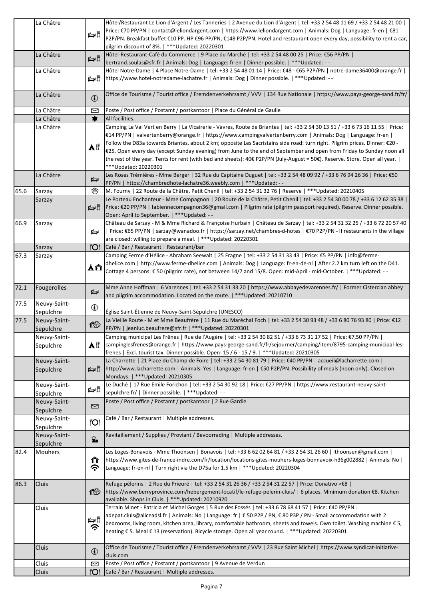|      | La Châtre      |              | Hôtel/Restaurant Le Lion d'Argent / Les Tanneries   2 Avenue du Lion d'Argent   tel: +33 2 54 48 11 69 / +33 2 54 48 21 00                                                |
|------|----------------|--------------|---------------------------------------------------------------------------------------------------------------------------------------------------------------------------|
|      |                |              | Price: €70 PP/PN   contact@leliondargent.com   https://www.leliondargent.com   Animals: Dog   Language: fr-en   €81                                                       |
|      |                | ⊯∦           | P2P/PN. Breakfast buffet €10 PP. HP €96 PP/PN, €148 P2P/PN. Hotel and restaurant open every day, possibility to rent a car,                                               |
|      |                |              | pilgrim discount of 8%.   *** Updated: 20220301                                                                                                                           |
|      | La Châtre      |              | Hôtel-Restaurant-Café du Commerce   9 Place du Marché   tel: +33 2 54 48 00 25   Price: €56 PP/PN                                                                         |
|      |                | ⊯∦           | bertrand.soulas@sfr.fr   Animals: Dog   Language: fr-en   Dinner possible.   ***Updated: - -                                                                              |
|      | La Châtre      |              | Hôtel Notre-Dame   4 Place Notre-Dame   tel: +33 2 54 48 01 14   Price: €48 - €65 P2P/PN   notre-dame36400@orange.fr                                                      |
|      |                | ⊯di          | https://www.hotel-notredame-lachatre.fr   Animals: Dog   Dinner possible.   ***Updated: - -                                                                               |
|      |                |              |                                                                                                                                                                           |
|      | La Châtre      |              | Office de Tourisme / Tourist office / Fremdenverkehrsamt / VVV   134 Rue Nationale   https://www.pays-george-sand.fr/fr/                                                  |
|      |                | $\mathbf{G}$ |                                                                                                                                                                           |
|      | La Châtre      | ⊠            | Poste / Post office / Postamt / postkantoor   Place du Général de Gaulle                                                                                                  |
|      | La Châtre      | $\bigstar$   | All facilities.                                                                                                                                                           |
|      | La Châtre      |              | Camping Le Val Vert en Berry   La Vicairerie - Vavres, Route de Briantes   tel: +33 2 54 30 13 51 / +33 6 73 16 11 55   Price:                                            |
|      |                |              | €14 PP/PN   valvertenberry@orange.fr   https://www.campingvalvertenberry.com   Animals: Dog   Language: fr-en                                                             |
|      |                |              | Follow the D83a towards Briantes, about 2 km; opposite Les Sacristains side road: turn right. Pilgrim prices. Dinner: €20 -                                               |
|      |                | ĂII          | €25. Open every day (except Sunday evening) from June to the end of September and open from Friday to Sunday noon all                                                     |
|      |                |              | the rest of the year. Tents for rent (with bed and sheets): 40€ P2P/PN (July-August = 50€). Reserve. Store. Open all year.                                                |
|      |                |              | *** Updated: 20220301                                                                                                                                                     |
|      | La Châtre      |              | Les Roses Trémières - Mme Berger   32 Rue du Capitaine Duguet   tel: +33 2 54 48 09 92 / +33 6 76 94 26 36   Price: €50                                                   |
|      |                | ⋭            | PP/PN   https://chambredhote-lachatre36.weebly.com   *** Updated: --                                                                                                      |
| 65.6 | Sarzay         | 念            | M. Fourny   22 Route de la Châtre, Petit Chenil   tel: +33 2 54 31 32 76   Reserve   *** Updated: 20210405                                                                |
|      | Sarzay         |              | Le Porteau Enchanteur - Mme Compagnon   20 Route de la Châtre, Petit Chenil   tel: +33 2 54 30 00 78 / +33 6 12 62 35 38                                                  |
|      |                | ा । ⊯⊴       | Price: €20 PP/PN   fabiennecompagnon36@gmail.com   Pilgrim rate (pilgrim passport required). Reserve. Dinner possible.                                                    |
|      |                |              | Open: April to September.   *** Updated: --                                                                                                                               |
| 66.9 | Sarzay         |              | Château de Sarzay - M & Mme Richard & Françoise Hurbain   Château de Sarzay   tel: +33 2 54 31 32 25 / +33 6 72 20 57 40                                                  |
|      |                | ⋭⋥           | Price: €65 PP/PN   sarzay@wanadoo.fr   https://sarzay.net/chambres-d-hotes   €70 P2P/PN - If restaurants in the village                                                   |
|      |                |              | are closed: willing to prepare a meal.   *** Updated: 20220301                                                                                                            |
|      | Sarzay         | <b>"Ol</b>   | Café / Bar / Restaurant   Restaurant/bar                                                                                                                                  |
| 67.3 | Sarzay         |              | Camping Ferme d'Hélice - Abraham Seewalt   25 Fragne   tel: +33 2 54 31 33 43   Price: €5 PP/PN   info@ferme-                                                             |
|      |                |              | dhelice.com   http://www.ferme-dhelice.com   Animals: Dog   Language: fr-en-de-nl   After 2.2 km turn left on the D41.                                                    |
|      |                | ÅÂ           | Cottage 4 persons: € 50 (pilgrim rate), not between 14/7 and 15/8. Open: mid-April - mid-October.   *** Updated: --                                                       |
|      |                |              |                                                                                                                                                                           |
| 72.1 | Fougerolles    |              | Mme Anne Hoffman   6 Varennes   tel: +33 2 54 31 33 20   https://www.abbayedevarennes.fr/   Former Cistercian abbey                                                       |
|      |                | ⋭            | and pilgrim accommodation. Located on the route.   *** Updated: 20210710                                                                                                  |
| 77.5 | Neuvy-Saint-   |              |                                                                                                                                                                           |
|      | Sepulchre      | $\bigcirc$   | Église Saint-Étienne de Neuvy-Saint-Sépulchre (UNESCO)                                                                                                                    |
| 77.5 | Neuvy-Saint-   |              | La Vieille Route - M et Mme Beaufrère   11 Rue du Maréchal Foch   tel: +33 2 54 30 93 48 / +33 6 80 76 93 80   Price: €12                                                 |
|      | Sepulchre      | ඟ            | PP/PN   jeanluc.beaufrere@sfr.fr   ***Updated: 20220301                                                                                                                   |
|      |                |              | Camping municipal Les Frênes   Rue de l'Augère   tel: +33 2 54 30 82 51 / +33 6 73 31 17 52   Price: €7,50 PP/PN                                                          |
|      |                |              |                                                                                                                                                                           |
|      | Neuvy-Saint-   |              |                                                                                                                                                                           |
|      | Sepulchre      | ĂII          | campinglesfrenes@orange.fr   https://www.pays-george-sand.fr/fr/sejourner/camping/item/8795-camping-municipal-les-                                                        |
|      |                |              | frenes   Excl. tourist tax. Dinner possible. Open: 15 / 6 - 15 / 9.   *** Updated: 20210305                                                                               |
|      | Neuvy-Saint-   |              | La Charrette   21 Place du Champ de Foire   tel: +33 2 54 30 81 79   Price: €40 PP/PN   accueil@lacharrette.com                                                           |
|      | Sepulchre      |              | http://www.lacharrette.com   Animals: Yes   Language: fr-en   €50 P2P/PN. Possibility of meals (noon only). Closed on<br>Mondays.   *** Updated: 20210305                 |
|      |                |              |                                                                                                                                                                           |
|      | Neuvy-Saint-   |              | Le Duché   17 Rue Emile Forichon   tel: +33 2 54 30 92 18   Price: €27 PP/PN   https://www.restaurant-neuvy-saint-<br>sepulchre.fr/   Dinner possible.   *** Updated: - - |
|      | Sepulchre      |              |                                                                                                                                                                           |
|      | Neuvy-Saint-   | ⊠            | Poste / Post office / Postamt / postkantoor   2 Rue Gardie                                                                                                                |
|      | Sepulchre      |              |                                                                                                                                                                           |
|      | Neuvy-Saint-   | 'Ol          | Café / Bar / Restaurant   Multiple addresses.                                                                                                                             |
|      | Sepulchre      |              |                                                                                                                                                                           |
|      | Neuvy-Saint-   | $\mathbf{z}$ | Ravitaillement / Supplies / Proviant / Bevoorrading   Multiple addresses.                                                                                                 |
|      | Sepulchre      |              |                                                                                                                                                                           |
| 82.4 | <b>Mouhers</b> |              | Les Loges-Bonavois - Mme Thoonsen   Bonavois   tel: +33 6 62 02 64 81 / +33 2 54 31 26 60   ithoonsen@gmail.com                                                           |
|      |                | ∩            | https://www.gites-de-france-indre.com/fr/location/locations-gites-mouhers-loges-bonnavoix-h36g002882   Animals: No                                                        |
|      |                | ら            | Language: fr-en-nl   Turn right via the D75a for 1.5 km   *** Updated: 20220304                                                                                           |
|      |                |              |                                                                                                                                                                           |
| 86.3 | <b>Cluis</b>   |              | Refuge pèlerins   2 Rue du Prieuré   tel: +33 2 54 31 26 36 / +33 2 54 31 22 57   Price: Donativo >€8                                                                     |
|      |                | ↑            | https://www.berryprovince.com/hebergement-locatif/le-refuge-pelerin-cluis/   6 places. Minimum donation €8. Kitchen                                                       |
|      |                |              | available. Shops in Cluis.   *** Updated: 20210920                                                                                                                        |
|      | Cluis          |              | Terrain Minet - Patricia et Michel Gorges   5 Rue des Fossés   tel: +33 6 78 68 41 57   Price: €40 PP/PN                                                                  |
|      |                | ⊯∦           | adepat.cluis@aliceadsl.fr   Animals: No   Language: fr   € 50 P2P / PN, € 80 P3P / PN - Small accommodation with 2                                                        |
|      |                | ふ            | bedrooms, living room, kitchen area, library, comfortable bathroom, sheets and towels. Own toilet. Washing machine € 5,                                                   |
|      |                |              | heating € 5. Meal € 13 (reservation). Bicycle storage. Open all year round.   *** Updated: 20220301                                                                       |
|      | Cluis          |              | Office de Tourisme / Tourist office / Fremdenverkehrsamt / VVV   23 Rue Saint Michel   https://www.syndicat-initiative-                                                   |
|      |                | $\bigcirc$   | cluis.com                                                                                                                                                                 |
|      | Cluis          | ⊠            | Poste / Post office / Postamt / postkantoor   9 Avenue de Verdun                                                                                                          |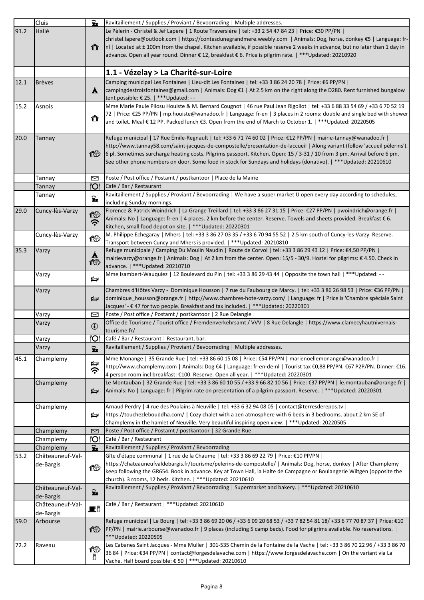|      | Cluis                 | <del>⊻</del>          | Ravitaillement / Supplies / Proviant / Bevoorrading   Multiple addresses.                                                                                            |
|------|-----------------------|-----------------------|----------------------------------------------------------------------------------------------------------------------------------------------------------------------|
| 91.2 | Hallé                 |                       | Le Pèlerin - Christel & Jef Lapere   1 Route Traversière   tel: +33 2 54 47 84 23   Price: €30 PP/PN                                                                 |
|      |                       |                       | christel.lapere@outlook.com   https://contesdunegrandmere.weebly.com   Animals: Dog, horse, donkey €5   Language: fr-                                                |
|      |                       | Â                     | nl   Located at ± 100m from the chapel. Kitchen available, if possible reserve 2 weeks in advance, but no later than 1 day in                                        |
|      |                       |                       | advance. Open all year round. Dinner € 12, breakfast € 6. Price is pilgrim rate.   *** Updated: 20210920                                                             |
|      |                       |                       |                                                                                                                                                                      |
|      |                       |                       | 1.1 - Vézelay > La Charité-sur-Loire                                                                                                                                 |
| 12.1 | Brèves                |                       | Camping municipal Les Fontaines   Lieu-dit Les Fontaines   tel: +33 3 86 24 20 78   Price: €6 PP/PN                                                                  |
|      |                       | $\mathbf{A}$          | campingdestroisfontaines@gmail.com   Animals: Dog €1   At 2.5 km on the right along the D280. Rent furnished bungalow                                                |
|      |                       |                       | tent possible: € 25.   *** Updated: - -<br>Mme Marie Paule Pilosu Houiste & M. Bernard Cougnot   46 rue Paul Jean Rigollot   tel: +33 6 88 33 54 69 / +33 6 70 52 19 |
| 15.2 | Asnois                |                       | 72   Price: €25 PP/PN   mp.houiste@wanadoo.fr   Language: fr-en   3 places in 2 rooms: double and single bed with shower                                             |
|      |                       | ⇑                     | and toilet. Meal € 12 PP. Packed lunch €3. Open from the end of March to October 1.   *** Updated: 20220505                                                          |
|      |                       |                       |                                                                                                                                                                      |
| 20.0 | Tannay                |                       | Refuge municipal   17 Rue Émile-Regnault   tel: +33 6 71 74 60 02   Price: €12 PP/PN   mairie-tannay@wanadoo.fr                                                      |
|      |                       |                       | http://www.tannay58.com/saint-jacques-de-compostelle/presentation-de-laccueil   Along variant (follow 'accueil pèlerins').                                           |
|      |                       | 命                     | 6 pl. Sometimes surcharge heating costs. Pilgrims passport. Kitchen. Open: 15 / 3-31 / 10 from 3 pm. Arrival before 6 pm.                                            |
|      |                       |                       | See other phone numbers on door. Some food in stock for Sundays and holidays (donativo).   ***Updated: 20210610                                                      |
|      |                       |                       |                                                                                                                                                                      |
|      | Tannay                | ⊠                     | Poste / Post office / Postamt / postkantoor   Place de la Mairie                                                                                                     |
|      | Tannay                | ''Ol                  | Café / Bar / Restaurant                                                                                                                                              |
|      | Tannay                | $\mathbf{z}$          | Ravitaillement / Supplies / Proviant / Bevoorrading   We have a super market U open every day according to schedules,<br>including Sunday mornings.                  |
| 29.0 | Cuncy-lès-Varzy       |                       | Florence & Patrick Woindrich   La Grange Treillard   tel: +33 3 86 27 31 15   Price: €27 PP/PN   pwoindrich@orange.fr                                                |
|      |                       | 修                     | Animals: No   Language: fr-en   4 places. 2 km before the center. Reserve. Towels and sheets provided. Breakfast € 6.                                                |
|      |                       | ふ                     | Kitchen, small food depot on site.   *** Updated: 20220301                                                                                                           |
|      | Cuncy-lès-Varzy       | ඟ                     | M. Philippe Echegaray   Mhers   tel: +33 3 86 27 03 35 / +33 6 70 94 55 52   2.5 km south of Cuncy-les-Varzy. Reserve.                                               |
|      |                       |                       | Transport between Cuncy and Mhers is provided.   *** Updated: 20210810                                                                                               |
| 35.3 | Varzy                 |                       | Refuge municipale / Camping Du Moulin Naudin   Route de Corvol   tel: +33 3 86 29 43 12   Price: €4,50 PP/PN                                                         |
|      |                       | $\blacktriangle$<br>检 | mairievarzy@orange.fr   Animals: Dog   At 2 km from the center. Open: 15/5 - 30/9. Hostel for pilgrims: €4.50. Check in                                              |
|      |                       |                       | advance.   *** Updated: 20210710                                                                                                                                     |
|      | Varzy                 | ⋭                     | Mme Isambert-Wauquiez   12 Boulevard du Pin   tel: +33 3 86 29 43 44   Opposite the town hall   *** Updated: --                                                      |
|      | Varzy                 |                       | Chambres d'Hôtes Varzy - Dominique Housson   7 rue du Faubourg de Marcy.   tel: +33 3 86 26 98 53   Price: €36 PP/PN                                                 |
|      |                       | ⋭                     | dominique_housson@orange.fr   http://www.chambres-hote-varzy.com/   Language: fr   Price is 'Chambre spéciale Saint                                                  |
|      |                       |                       | Jacques' - € 47 for two people. Breakfast and tax included.   *** Updated: 20220301                                                                                  |
|      | Varzy                 | ⊠                     | Poste / Post office / Postamt / postkantoor   2 Rue Delangle                                                                                                         |
|      | Varzy                 | $\mathbf{G}$          | Office de Tourisme / Tourist office / Fremdenverkehrsamt / VVV   8 Rue Delangle   https://www.clamecyhautnivernais-                                                  |
|      |                       |                       | tourisme.fr/                                                                                                                                                         |
|      | Varzy                 | <b>O</b>              | Café / Bar / Restaurant   Restaurant, bar.                                                                                                                           |
|      | Varzy                 | $\mathbf{z}$          | Ravitaillement / Supplies / Proviant / Bevoorrading   Multiple addresses.                                                                                            |
| 45.1 | Champlemy             |                       | Mme Monange   35 Grande Rue   tel: +33 86 60 15 08   Price: €54 PP/PN   marienoellemonange@wanadoo.fr                                                                |
|      |                       | うで                    | http://www.champlemy.com   Animals: Dog €4   Language: fr-en-de-nl   Tourist tax €0,88 PP/PN. €67 P2P/PN. Dinner: €16.                                               |
|      |                       |                       | 4 person room incl breakfast: €100. Reserve. Open all year.   *** Updated: 20220301                                                                                  |
|      | Champlemy             |                       | Le Montauban   32 Grande Rue   tel: +33 3 86 60 10 55 / +33 9 66 82 10 56   Price: €37 PP/PN   le.montauban@orange.fr                                                |
|      |                       | ⋭                     | Animals: No   Language: fr   Pilgrim rate on presentation of a pilgrim passport. Reserve.   *** Updated: 20220301                                                    |
|      | Champlemy             |                       | Arnaud Perdry   4 rue des Poulains à Neuville   tel: +33 6 32 94 08 05   contact@terresderepos.tv                                                                    |
|      |                       | ⋭                     | https://touchezlebouddha.com/   Cozy chalet with a zen atmosphere with 6 beds in 3 bedrooms, about 2 km SE of                                                        |
|      |                       |                       | Champlemy in the hamlet of Neuville. Very beautiful inspiring open view.   *** Updated: 20220505                                                                     |
|      | Champlemy             | ⊠                     | Poste / Post office / Postamt / postkantoor   32 Grande Rue                                                                                                          |
|      | Champlemy             | ''Ol                  | Café / Bar / Restaurant                                                                                                                                              |
|      | Champlemy             | ₩                     | Ravitaillement / Supplies / Proviant / Bevoorrading                                                                                                                  |
| 53.2 | Châteauneuf-Val-      |                       | Gîte d'étape communal   1 rue de la Chaume   tel: +33 3 86 69 22 79   Price: €10 PP/PN                                                                               |
|      | de-Bargis             | 检                     | https://chateauneufvaldebargis.fr/tourisme/pelerins-de-compostelle/   Animals: Dog, horse, donkey   After Champlemy                                                  |
|      |                       |                       | keep following the GR654. Book in advance. Key at Town Hall, la Halte de Campagne or Boulangerie Wiltgen (opposite the                                               |
|      |                       |                       | church). 3 rooms, 12 beds. Kitchen.   *** Updated: 20210610                                                                                                          |
|      | Châteauneuf-Val-      | $\mathbf{z}$          | Ravitaillement / Supplies / Proviant / Bevoorrading   Supermarket and bakery.   *** Updated: 20210610                                                                |
|      | de-Bargis             |                       | Café / Bar / Restaurant   *** Updated: 20210610                                                                                                                      |
|      | Châteauneuf-Val-      | 르川                    |                                                                                                                                                                      |
| 59.0 | de-Bargis<br>Arbourse |                       | Refuge municipal   Le Bourg   tel: +33 3 86 69 20 06 / +33 6 09 20 68 53 / +33 7 82 54 81 18/ +33 6 77 70 87 37   Price: €10                                         |
|      |                       | 俭                     | PP/PN   mairie.arbourse@wanadoo.fr   9 places (including 5 camp beds). Food for pilgrims available. No reservations.                                                 |
|      |                       |                       | ***Updated: 20220505                                                                                                                                                 |
| 72.2 | Raveau                |                       | Les Cabanes Saint Jacques - Mme Muller   301-535 Chemin de la Fontaine de la Vache   tel: +33 3 86 70 22 96 / +33 3 86 70                                            |
|      |                       | Ħ                     | 36 84   Price: €34 PP/PN   contact@forgesdelavache.com   https://www.forgesdelavache.com   On the variant via La                                                     |
|      |                       |                       | Vache. Half board possible: € 50   *** Updated: 20210610                                                                                                             |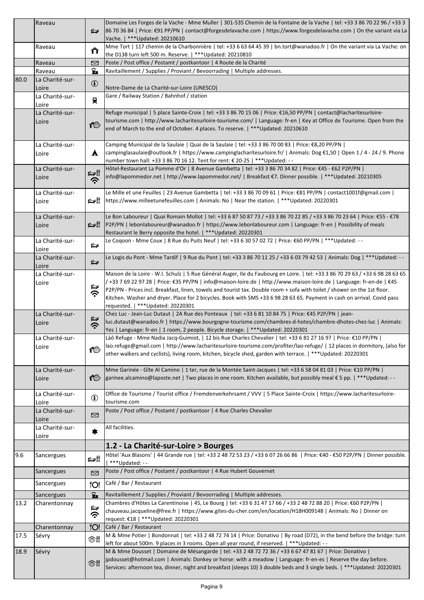|      | Raveau                   |                  | Domaine Les Forges de la Vache - Mme Muller   301-535 Chemin de la Fontaine de la Vache   tel: +33 3 86 70 22 96 / +33 3                                                                                                                                                                                          |
|------|--------------------------|------------------|-------------------------------------------------------------------------------------------------------------------------------------------------------------------------------------------------------------------------------------------------------------------------------------------------------------------|
|      |                          | ⋭                | 86 70 36 84   Price: €91 PP/PN   contact@forgesdelavache.com   https://www.forgesdelavache.com   On the variant via La                                                                                                                                                                                            |
|      |                          |                  | Vache.   *** Updated: 20210610                                                                                                                                                                                                                                                                                    |
|      | Raveau                   | ⇑                | Mme Tort   117 chemin de la Charbonnière   tel: +33 6 63 64 45 39   bn.tort@wanadoo.fr   On the variant via La Vache: on                                                                                                                                                                                          |
|      |                          |                  | the D138 turn left 500 m. Reserve.   *** Updated: 20210810                                                                                                                                                                                                                                                        |
|      | Raveau                   | ⊠                | Poste / Post office / Postamt / postkantoor   4 Route de la Charité                                                                                                                                                                                                                                               |
|      | Raveau                   | $\mathbf{z}$     | Ravitaillement / Supplies / Proviant / Bevoorrading   Multiple addresses.                                                                                                                                                                                                                                         |
| 80.0 | La Charité-sur-<br>Loire | $\bigcirc$       | Notre-Dame de La Charité-sur-Loire (UNESCO)                                                                                                                                                                                                                                                                       |
|      | La Charité-sur-<br>Loire | 貝                | Gare / Railway Station / Bahnhof / station                                                                                                                                                                                                                                                                        |
|      | La Charité-sur-          |                  | Refuge municipal   5 place Sainte-Croix   tel: +33 3 86 70 15 06   Price: €16,50 PP/PN   contact@lacharitesurloire-                                                                                                                                                                                               |
|      | Loire                    | 检                | tourisme.com   http://www.lacharitesurloire-tourisme.com/   Language: fr-en   Key at Office de Tourisme. Open from the<br>end of March to the end of October. 4 places. To reserve.   *** Updated: 20210610                                                                                                       |
|      | La Charité-sur-<br>Loire | $\blacktriangle$ | Camping Municipal de la Saulaie   Quai de la Saulaie   tel: +33 3 86 70 00 83   Price: €8,20 PP/PN  <br>campinglasaulaie@outlook.fr   https://www.campinglacharitesurloire.fr/   Animals: Dog €1,50   Open 1 / 4 - 24 / 9. Phone<br>number town hall: +33 3 86 70 16 12. Tent for rent: € 20-25   *** Updated: -- |
|      | La Charité-sur-          |                  | Hôtel-Restaurant La Pomme d'Or   8 Avenue Gambetta   tel: +33 3 86 70 34 82   Price: €45 - €62 P2P/PN                                                                                                                                                                                                             |
|      | Loire                    | ैं।<br>≷         | info@lapommedor.net   http://www.lapommedor.net/   Breakfast €7. Dinner possible.   ***Updated: 20210305                                                                                                                                                                                                          |
|      | La Charité-sur-          |                  | Le Mille et une Feuilles   23 Avenue Gambetta   tel: +33 3 86 70 09 61   Price: €81 PP/PN   contact1001f@gmail.com                                                                                                                                                                                                |
|      | Loire                    | ⊯∦               | https://www.milleetunefeuilles.com   Animals: No   Near the station.   *** Updated: 20220301                                                                                                                                                                                                                      |
|      | La Charité-sur-          |                  | Le Bon Laboureur   Quai Romain Mollot   tel: +33 6 87 50 87 73 / +33 3 86 70 22 85 / +33 3 86 70 23 64   Price: €55 - €78                                                                                                                                                                                         |
|      | Loire                    | ⊯∦               | P2P/PN   lebonlaboureur@wanadoo.fr   https://www.lebonlaboureur.com   Language: fr-en   Possibility of meals<br>Restaurant le Berry opposite the hotel.   *** Updated: 20220301                                                                                                                                   |
|      | La Charité-sur-          |                  | Le Coqoon - Mme Coux   8 Rue du Puits Neuf   tel: +33 6 30 57 02 72   Price: €60 PP/PN   *** Updated: --                                                                                                                                                                                                          |
|      | Loire                    | ⋭                |                                                                                                                                                                                                                                                                                                                   |
|      | La Charité-sur-<br>Loire | ⋭                | Le Logis du Pont - Mme Tardif   9 Rue du Pont   tel: +33 3 86 70 11 25 / +33 6 03 79 42 53   Animals: Dog   ***Updated: - -                                                                                                                                                                                       |
|      | La Charité-sur-          |                  | Maison de la Loire - W.I. Schulz   5 Rue Général Auger, Ile du Faubourg en Loire.   tel: +33 3 86 70 29 63 / +33 6 98 28 63 65                                                                                                                                                                                    |
|      | Loire                    | ⋭                | /+33 7 69 22 97 28   Price: €35 PP/PN   info@maison-loire.de   http://www.maison-loire.de   Language: fr-en-de   €45                                                                                                                                                                                              |
|      |                          | ふ                | P2P/PN - Prices incl. Breakfast, linen, towels and tourist tax. Double room + sofa with toilet / shower on the 1st floor.                                                                                                                                                                                         |
|      |                          |                  | Kitchen. Washer and dryer. Place for 2 bicycles. Book with SMS +33 6 98 28 63 65. Payment in cash on arrival. Covid pass                                                                                                                                                                                          |
|      |                          |                  | requested.   ***Updated: 20220301<br>Chez Luc - Jean-Luc Dutaut   2A Rue des Ponteaux   tel: +33 6 81 10 84 75   Price: €45 P2P/PN   jean-                                                                                                                                                                        |
|      | La Charité-sur-<br>Loire | ふで               | luc.dutaut@wanadoo.fr   https://www.bourgogne-tourisme.com/chambres-d-hotes/chambre-dhotes-chez-luc   Animals:                                                                                                                                                                                                    |
|      |                          |                  | Yes   Language: fr-en   1 room, 2 people. Bicycle storage.   *** Updated: 20220301                                                                                                                                                                                                                                |
|      | La Charité-sur-          |                  | Làô Refuge - Mme Nadia Jacq-Guimiot,   12 bis Rue Charles Chevalier   tel: +33 6 81 27 16 97   Price: €10 PP/PN                                                                                                                                                                                                   |
|      | Loire                    | ඟ                | lao.refuge@gmail.com   http://www.lacharitesurloire-tourisme.com/profiter/lao-refuge/   12 places in dormitory, (also for                                                                                                                                                                                         |
|      |                          |                  | other walkers and cyclists), living room, kitchen, bicycle shed, garden with terrace.   *** Updated: 20220301                                                                                                                                                                                                     |
|      |                          |                  |                                                                                                                                                                                                                                                                                                                   |
|      | La Charité-sur-          |                  | Mme Garinée - Gîte Al Camino   1 ter, rue de la Montée Saint-Jacques   tel: +33 6 58 04 81 03   Price: €10 PP/PN                                                                                                                                                                                                  |
|      | Loire                    | 伦                | garinee.alcamino@laposte.net   Two places in one room. Kitchen available, but possibly meal € 5 pp.   ***Updated: --                                                                                                                                                                                              |
|      | La Charité-sur-          |                  | Office de Tourisme / Tourist office / Fremdenverkehrsamt / VVV   5 Place Sainte-Croix   https://www.lacharitesurloire-                                                                                                                                                                                            |
|      | Loire                    | $\bigcirc$       | tourisme.com                                                                                                                                                                                                                                                                                                      |
|      | La Charité-sur-          |                  | Poste / Post office / Postamt / postkantoor   4 Rue Charles Chevalier                                                                                                                                                                                                                                             |
|      | Loire                    | ⊠                |                                                                                                                                                                                                                                                                                                                   |
|      | La Charité-sur-          | ☀                | All facilities.                                                                                                                                                                                                                                                                                                   |
|      | Loire                    |                  |                                                                                                                                                                                                                                                                                                                   |
|      |                          |                  | 1.2 - La Charité-sur-Loire > Bourges                                                                                                                                                                                                                                                                              |
| 9.6  | Sancergues               | اا ⊯⊅            | Hôtel 'Aux Blasons'   44 Grande rue   tel: +33 2 48 72 53 23 / +33 6 07 26 66 86   Price: €40 - €50 P2P/PN   Dinner possible.<br>***Updated:--                                                                                                                                                                    |
|      | Sancergues               | ⊠                | Poste / Post office / Postamt / postkantoor   4 Rue Hubert Gouvernet                                                                                                                                                                                                                                              |
|      | Sancergues               | <b>"Ol</b>       | Café / Bar / Restaurant                                                                                                                                                                                                                                                                                           |
|      |                          |                  |                                                                                                                                                                                                                                                                                                                   |
| 13.2 | Sancergues               | $\mathbf{z}$     | Ravitaillement / Supplies / Proviant / Bevoorrading   Multiple addresses.<br>Chambres d'Hôtes La Carentinoise   45, Le Bourg   tel: +33 6 31 47 17 66 / +33 2 48 72 88 20   Price: €60 P2P/PN                                                                                                                     |
|      | Charentonnay             | ⋭                | chauveau.jacqueline@free.fr   https://www.gites-du-cher.com/en/location/H18H009148   Animals: No   Dinner on                                                                                                                                                                                                      |
|      |                          | ふ                | request: €18   *** Updated: 20220301                                                                                                                                                                                                                                                                              |
|      | Charentonnay             | <b>"Ol</b>       | Café / Bar / Restaurant                                                                                                                                                                                                                                                                                           |
| 17.5 | Sévry                    |                  | M & Mme Potier   Bondonnat   tel: +33 2 48 72 74 14   Price: Donativo   By road (D72), in the bend before the bridge: turn                                                                                                                                                                                        |
|      |                          | ❀‼               | left for about 500m. 9 places in 3 rooms. Open all year round, if reserved.   *** Updated: --                                                                                                                                                                                                                     |
| 18.9 | Sévry                    |                  | M & Mme Dousset   Domaine de Mésangarde   tel: +33 2 48 72 72 36 / +33 6 67 47 81 67   Price: Donativo                                                                                                                                                                                                            |
|      |                          | ❀‼               | jpdousset@hotmail.com   Animals: Donkey or horse: with a meadow   Language: fr-en-es   Reserve the day before.                                                                                                                                                                                                    |
|      |                          |                  | Services: afternoon tea, dinner, night and breakfast (sleeps 10) 3 double beds and 3 single beds.   *** Updated: 20220301                                                                                                                                                                                         |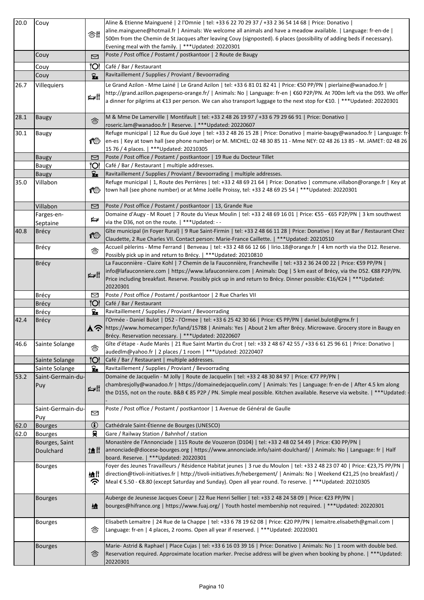|      | Couy              |              | Aline & Etienne Mainguené   2 l'Omnie   tel: +33 6 22 70 29 37 / +33 2 36 54 14 68   Price: Donativo                                                                                                                                             |
|------|-------------------|--------------|--------------------------------------------------------------------------------------------------------------------------------------------------------------------------------------------------------------------------------------------------|
| 20.0 |                   |              | aline.mainguene@hotmail.fr   Animals: We welcome all animals and have a meadow available.   Language: fr-en-de                                                                                                                                   |
|      |                   | ❀‼           | 500m from the Chemin de St Jacques after leaving Couy (signposted). 6 places (possibility of adding beds if necessary).                                                                                                                          |
|      |                   |              | Evening meal with the family.   *** Updated: 20220301                                                                                                                                                                                            |
|      | Couy              | 罓            | Poste / Post office / Postamt / postkantoor   2 Route de Baugy                                                                                                                                                                                   |
|      |                   |              |                                                                                                                                                                                                                                                  |
|      | Couy              | 'Ol          | Café / Bar / Restaurant                                                                                                                                                                                                                          |
|      | Couy              | $\mathbf{z}$ | Ravitaillement / Supplies / Proviant / Bevoorrading                                                                                                                                                                                              |
| 26.7 | Villequiers       |              | Le Grand Azilon - Mme Lainé   Le Grand Azilon   tel: +33 6 81 01 82 41   Price: €50 PP/PN   pierlaine@wanadoo.fr                                                                                                                                 |
|      |                   | ⊯∦           | http://grand.azillon.pagesperso-orange.fr/   Animals: No   Language: fr-en   €60 P2P/PN. At 700m left via the D93. We offer                                                                                                                      |
|      |                   |              | a dinner for pilgrims at €13 per person. We can also transport luggage to the next stop for €10.   ***Updated: 20220301                                                                                                                          |
|      |                   |              |                                                                                                                                                                                                                                                  |
| 28.1 | Baugy             | 翁            | M & Mme De Lamerville   Montifault   tel: +33 2 48 26 19 97 / +33 6 79 29 66 91   Price: Donativo                                                                                                                                                |
|      |                   |              | roseric.lam@wanadoo.fr   Reserve.   ***Updated: 20220607                                                                                                                                                                                         |
| 30.1 | <b>Baugy</b>      |              | Refuge municipal   12 Rue du Gué Joye   tel: +33 2 48 26 15 28   Price: Donativo   mairie-baugy@wanadoo.fr   Language: fr-                                                                                                                       |
|      |                   | t∛®          | en-es   Key at town hall (see phone number) or M. MICHEL: 02 48 30 85 11 - Mme NEY: 02 48 26 13 85 - M. JAMET: 02 48 26                                                                                                                          |
|      |                   |              | 15 76 / 4 places.   *** Updated: 20210305                                                                                                                                                                                                        |
|      | <b>Baugy</b>      | ⊠            | Poste / Post office / Postamt / postkantoor   19 Rue du Docteur Tillet                                                                                                                                                                           |
|      | Baugy             | ΪOΙ          | Café / Bar / Restaurant   multiple addresses.                                                                                                                                                                                                    |
|      | <b>Baugy</b>      | £.           | Ravitaillement / Supplies / Proviant / Bevoorrading   multiple addresses.                                                                                                                                                                        |
| 35.0 | Villabon          |              | Refuge municipal   1, Route des Perrières   tel: +33 2 48 69 21 64   Price: Donativo   commune.villabon@orange.fr   Key at                                                                                                                       |
|      |                   | 10           | town hall (see phone number) or at Mme Joëlle Proissy, tel: +33 2 48 69 25 54   *** Updated: 20220301                                                                                                                                            |
|      |                   |              |                                                                                                                                                                                                                                                  |
|      | Villabon          | ⊠            | Poste / Post office / Postamt / postkantoor   13, Grande Rue                                                                                                                                                                                     |
|      | Farges-en-        |              | Domaine d'Augy - M Rouet   7 Route du Vieux Moulin   tel: +33 2 48 69 16 01   Price: €55 - €65 P2P/PN   3 km southwest                                                                                                                           |
|      | Septaine          | ⋭            | via the D36, not on the route.   *** Updated: --                                                                                                                                                                                                 |
| 40.8 | Brécy             | 检            | Gîte municipal (in Foyer Rural)   9 Rue Saint-Firmin   tel: +33 2 48 66 11 28   Price: Donativo   Key at Bar / Restaurant Chez                                                                                                                   |
|      |                   |              | Claudette, 2 Rue Charles VII. Contact person: Marie-France Caillette.   *** Updated: 20210510                                                                                                                                                    |
|      | <b>Brécy</b>      | 念            | Accueil pèlerins - Mme Ferrand   Benveau   tel: +33 2 48 66 12 66   lirio.18@orange.fr   4 km north via the D12. Reserve.                                                                                                                        |
|      |                   |              | Possibly pick up in and return to Brécy.   *** Updated: 20210810                                                                                                                                                                                 |
|      | <b>Brécy</b>      |              | La Fauconnière - Claire Kohl   7 Chemin de la Fauconnière, Francheville   tel: +33 2 36 24 00 22   Price: €59 PP/PN                                                                                                                              |
|      |                   |              | info@lafauconniere.com   https://www.lafauconniere.com   Animals: Dog   5 km east of Brécy, via the D52. €88 P2P/PN.                                                                                                                             |
|      |                   |              |                                                                                                                                                                                                                                                  |
|      |                   | ⊯∦           | Price including breakfast. Reserve. Possibly pick up in and return to Brécy. Dinner possible: €16/€24   ***Updated:                                                                                                                              |
|      |                   |              | 20220301                                                                                                                                                                                                                                         |
|      | <b>Brécy</b>      | ⊠            | Poste / Post office / Postamt / postkantoor   2 Rue Charles VII                                                                                                                                                                                  |
|      | Brécy             | <b>O</b>     | Café / Bar / Restaurant                                                                                                                                                                                                                          |
|      | Brécy             | Ŷ.           | Ravitaillement / Supplies / Proviant / Bevoorrading                                                                                                                                                                                              |
| 42.4 | Brécy             |              | l'Ormée - Daniel Bulot   D52 - l'Ormee   tel: +33 6 25 42 30 66   Price: €5 PP/PN   daniel.bulot@gmx.fr                                                                                                                                          |
|      |                   |              | A or https://www.homecamper.fr/land/15788   Animals: Yes   About 2 km after Brécy. Microwave. Grocery store in Baugy en                                                                                                                          |
|      |                   |              | Brécy. Reservation necessary.   *** Updated: 20220607                                                                                                                                                                                            |
| 46.6 | Sainte Solange    |              | Gîte d'étape - Aude Marès   21 Rue Saint Martin du Crot   tel: +33 2 48 67 42 55 / +33 6 61 25 96 61   Price: Donativo                                                                                                                           |
|      |                   | 念            | audedlm@yahoo.fr   2 places / 1 room   *** Updated: 20220407                                                                                                                                                                                     |
|      | Sainte Solange    | <b>O</b>     | Café / Bar / Restaurant   multiple addresses.                                                                                                                                                                                                    |
|      | Sainte Solange    | Ŷ.           | Ravitaillement / Supplies / Proviant / Bevoorrading                                                                                                                                                                                              |
| 53.2 | Saint-Germain-du- |              | Domaine de Jacquelin - M Jolly   Route de Jacquelin   tel: +33 2 48 30 84 97   Price: €77 PP/PN                                                                                                                                                  |
|      | Puy               |              | chambresjolly@wanadoo.fr   https://domainedejacquelin.com/   Animals: Yes   Language: fr-en-de   After 4.5 km along                                                                                                                              |
|      |                   | ⊯∦           | the D155, not on the route. B&B € 85 P2P / PN. Simple meal possible. Kitchen available. Reserve via website.   *** Updated:                                                                                                                      |
|      |                   |              |                                                                                                                                                                                                                                                  |
|      | Saint-Germain-du- | ⊠            | Poste / Post office / Postamt / postkantoor   1 Avenue de Général de Gaulle                                                                                                                                                                      |
|      | Puy               |              |                                                                                                                                                                                                                                                  |
| 62.0 | <b>Bourges</b>    | $\mathbf{G}$ | Cathédrale Saint-Étienne de Bourges (UNESCO)                                                                                                                                                                                                     |
| 62.0 | <b>Bourges</b>    | 貝            | Gare / Railway Station / Bahnhof / station                                                                                                                                                                                                       |
|      | Bourges, Saint    |              | Monastère de l'Annonciade   115 Route de Vouzeron (D104)   tel: +33 2 48 02 54 49   Price: €30 PP/PN                                                                                                                                             |
|      | Doulchard         | tâ II        | annonciade@diocese-bourges.org   https://www.annonciade.info/saint-doulchard/   Animals: No   Language: fr   Half                                                                                                                                |
|      |                   |              | board. Reserve.   *** Updated: 20220301                                                                                                                                                                                                          |
|      | <b>Bourges</b>    |              | Foyer des Jeunes Travailleurs / Résidence Habitat jeunes   3 rue du Moulon   tel: +33 2 48 23 07 40   Price: €23,75 PP/PN                                                                                                                        |
|      |                   | 紬排           | direction@tivoli-initiatives.fr   http://tivoli-initiatives.fr/hebergement/   Animals: No   Weekend €21,25 (no breakfast) /                                                                                                                      |
|      |                   | ふ            | Meal € 5.50 - €8.80 (except Saturday and Sunday). Open all year round. To reserve.   *** Updated: 20210305                                                                                                                                       |
|      |                   |              |                                                                                                                                                                                                                                                  |
|      | <b>Bourges</b>    |              | Auberge de Jeunesse Jacques Coeur   22 Rue Henri Sellier   tel: +33 2 48 24 58 09   Price: €23 PP/PN                                                                                                                                             |
|      |                   | 縇            | bourges@hifrance.org   https://www.fuaj.org/   Youth hostel membership not required.   ***Updated: 20220301                                                                                                                                      |
|      |                   |              |                                                                                                                                                                                                                                                  |
|      | <b>Bourges</b>    |              | Elisabeth Lemaitre   24 Rue de la Chappe   tel: +33 6 78 19 62 08   Price: €20 PP/PN   lemaitre.elisabeth@gmail.com                                                                                                                              |
|      |                   | 念            | Language: fr-en   4 places, 2 rooms. Open all year if reserved.   *** Updated: 20220301                                                                                                                                                          |
|      |                   |              |                                                                                                                                                                                                                                                  |
|      | <b>Bourges</b>    | 悆            | Marie-Astrid & Raphael   Place Cujas   tel: +33 6 16 03 39 16   Price: Donativo   Animals: No   1 room with double bed.<br>Reservation required. Approximate location marker. Precise address will be given when booking by phone.   ***Updated: |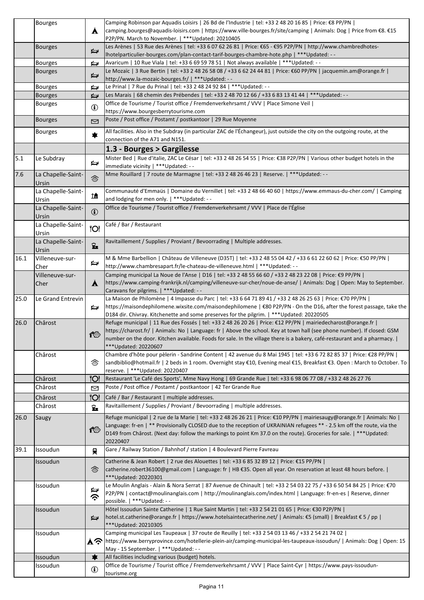|      | <b>Bourges</b>     |                  | Camping Robinson par Aquadis Loisirs   26 Bd de l'Industrie   tel: +33 2 48 20 16 85   Price: €8 PP/PN                                                                         |
|------|--------------------|------------------|--------------------------------------------------------------------------------------------------------------------------------------------------------------------------------|
|      |                    | $\blacktriangle$ | camping.bourges@aquadis-loisirs.com   https://www.ville-bourges.fr/site/camping   Animals: Dog   Price from €8. €15                                                            |
|      |                    |                  | P2P/PN. March to November.   *** Updated: 20210405                                                                                                                             |
|      | <b>Bourges</b>     | ⋭                | Les Arènes   53 Rue des Arènes   tel: +33 6 07 62 26 81   Price: €65 - €95 P2P/PN   http://www.chambredhotes-                                                                  |
|      |                    |                  | Ihotelparticulier-bourges.com/plan-contact-tarif-bourges-chambre-hote.php   ***Updated: - -                                                                                    |
|      | <b>Bourges</b>     | ⋭                | Avaricum   10 Rue Viala   tel: +33 6 69 59 78 51   Not always available   *** Updated: --                                                                                      |
|      | <b>Bourges</b>     | ⋭                | Le Mozaïc   3 Rue Bertin   tel: +33 2 48 26 58 08 / +33 6 62 24 44 81   Price: €60 PP/PN   jacquemin.am@orange.fr  <br>http://www.la-mozaic-bourges.fr/   ***Updated: - -      |
|      | <b>Bourges</b>     | ⋭                | Le Prinal   7 Rue du Prinal   tel: +33 2 48 24 92 84   *** Updated: --                                                                                                         |
|      | <b>Bourges</b>     | ⋭                | Les Marais   68 chemin des Prébendes   tel: +33 2 48 70 12 66 / +33 6 83 13 41 44   *** Updated: --                                                                            |
|      | <b>Bourges</b>     |                  | Office de Tourisme / Tourist office / Fremdenverkehrsamt / VVV   Place Simone Veil                                                                                             |
|      |                    | $\bf{G}$         | https://www.bourgesberrytourisme.com                                                                                                                                           |
|      | <b>Bourges</b>     | 罓                | Poste / Post office / Postamt / postkantoor   29 Rue Moyenne                                                                                                                   |
|      |                    |                  | All facilities. Also in the Subdray (in particular ZAC de l'Échangeur), just outside the city on the outgoing route, at the                                                    |
|      | <b>Bourges</b>     | ☀                | connection of the A71 and N151.                                                                                                                                                |
|      |                    |                  | 1.3 - Bourges > Gargilesse                                                                                                                                                     |
| 5.1  | Le Subdray         |                  | Mister Bed   Rue d'italie, ZAC Le César   tel: +33 2 48 26 54 55   Price: €38 P2P/PN   Various other budget hotels in the                                                      |
|      |                    | ⋭                | immediate vicinity   *** Updated: --                                                                                                                                           |
| 7.6  | La Chapelle-Saint- |                  | Mme Rouillard   7 route de Marmagne   tel: +33 2 48 26 46 23   Reserve.   *** Updated: --                                                                                      |
|      | Ursin              | 念                |                                                                                                                                                                                |
|      | La Chapelle-Saint- |                  | Communauté d'Emmaüs   Domaine du Vernillet   tel: +33 2 48 66 40 60   https://www.emmaus-du-cher.com/   Camping                                                                |
|      | Ursin              | 止                | and lodging for men only.   *** Updated: --                                                                                                                                    |
|      | La Chapelle-Saint- |                  | Office de Tourisme / Tourist office / Fremdenverkehrsamt / VVV   Place de l'Église                                                                                             |
|      | Ursin              | $\bigcirc$       |                                                                                                                                                                                |
|      | La Chapelle-Saint- | <b>"Ol</b>       | Café / Bar / Restaurant                                                                                                                                                        |
|      | Ursin              |                  |                                                                                                                                                                                |
|      | La Chapelle-Saint- | L.               | Ravitaillement / Supplies / Proviant / Bevoorrading   Multiple addresses.                                                                                                      |
|      | Ursin              |                  |                                                                                                                                                                                |
| 16.1 | Villeneuve-sur-    | ⋭                | M & Mme Barbellion   Château de Villeneuve (D35T)   tel: +33 2 48 55 04 42 / +33 6 61 22 60 62   Price: €50 PP/PN                                                              |
|      | Cher               |                  | http://www.chambresapart.fr/le-chateau-de-villeneuve.html   *** Updated: --                                                                                                    |
|      | Villeneuve-sur-    |                  | Camping municipal La Noue de l'Anse   D16   tel: +33 2 48 55 66 60 / +33 2 48 23 22 08   Price: €9 PP/PN                                                                       |
|      | Cher               | $\blacktriangle$ | https://www.camping-frankrijk.nl/camping/villeneuve-sur-cher/noue-de-anse/   Animals: Dog   Open: May to September.                                                            |
| 25.0 | Le Grand Entrevin  |                  | Caravans for pilgrims.   *** Updated: --<br>La Maison de Philomène   4 Impasse du Parc   tel: +33 6 64 71 89 41 / +33 2 48 26 25 63   Price: €70 PP/PN                         |
|      |                    | ⋭                | https://maisondephilomene.wixsite.com/maisondephilomene   €80 P2P/PN - On the D16, after the forest passage, take the                                                          |
|      |                    |                  | D184 dir. Chivray. Kitchenette and some preserves for the pilgrim.   *** Updated: 20220505                                                                                     |
| 26.0 | Chârost            |                  | Refuge municipal   11 Rue des Fossés   tel: +33 2 48 26 20 26   Price: €12 PP/PN   mairiedecharost@orange.fr                                                                   |
|      |                    | ඟ                | https://charost.fr/   Animals: No   Language: fr   Above the school. Key at town hall (see phone number). If closed: GSM                                                       |
|      |                    |                  | number on the door. Kitchen available. Foods for sale. In the village there is a bakery, café-restaurant and a pharmacy.                                                       |
|      |                    |                  | *** Updated: 20220607                                                                                                                                                          |
|      | Chârost            |                  | Chambre d'hôte pour pèlerin - Sandrine Content   42 avenue du 8 Mai 1945   tel: +33 6 72 82 85 37   Price: €28 PP/PN                                                           |
|      |                    | 念                | sandbiblio@hotmail.fr   2 beds in 1 room. Overnight stay €10, Evening meal €15, Breakfast €3. Open : March to October. To                                                      |
|      |                    |                  | reserve.   *** Updated: 20220407                                                                                                                                               |
|      | Chârost<br>Chârost | <b>"Ol</b>       | Restaurant 'Le Café des Sports', Mme Navy Hong   69 Grande Rue   tel: +33 6 98 06 77 08 / +33 2 48 26 27 76<br>Poste / Post office / Postamt / postkantoor   42 Ter Grande Rue |
|      |                    | 罓                |                                                                                                                                                                                |
|      | Chârost            | <b>"Ol</b>       | Café / Bar / Restaurant   multiple addresses.                                                                                                                                  |
|      | Chârost            | Ŷ.               | Ravitaillement / Supplies / Proviant / Bevoorrading   multiple addresses.                                                                                                      |
| 26.0 | Saugy              |                  | Refuge municipal   2 rue de la Marie   tel: +33 2 48 26 26 21   Price: €10 PP/PN   mairiesaugy@orange.fr   Animals: No                                                         |
|      |                    | 检                | Language: fr-en   ** Provisionally CLOSED due to the reception of UKRAINIAN refugees ** - 2.5 km off the route, via the                                                        |
|      |                    |                  | D149 from Chârost. (Next day: follow the markings to point Km 37.0 on the route). Groceries for sale.   *** Updated:                                                           |
|      |                    |                  | 20220407                                                                                                                                                                       |
| 39.1 | Issoudun           | 貝                | Gare / Railway Station / Bahnhof / station   4 Boulevard Pierre Favreau                                                                                                        |
|      | Issoudun           |                  | Catherine & Jean Robert   2 rue des Alouettes   tel: +33 6 85 32 89 12   Price: €15 PP/PN                                                                                      |
|      |                    | 念                | catherine.robert36100@gmail.com   Language: fr   HB €35. Open all year. On reservation at least 48 hours before.                                                               |
|      |                    |                  | *** Updated: 20220301                                                                                                                                                          |
|      | Issoudun           |                  | Le Moulin Anglais - Alain & Nora Serrat   87 Avenue de Chinault   tel: +33 2 54 03 22 75 / +33 6 50 54 84 25   Price: €70                                                      |
|      |                    | ふで               | P2P/PN   contact@moulinanglais.com   http://moulinanglais.com/index.html   Language: fr-en-es   Reserve, dinner                                                                |
|      | Issoudun           |                  | possible.   *** Updated: --<br>Hôtel Issoudun Sainte Catherine   1 Rue Saint Martin   tel: +33 2 54 21 01 65   Price: €30 P2P/PN                                               |
|      |                    | ⋭                | hotel.st.catherine@orange.fr   https://www.hotelsaintecatherine.net/   Animals: €5 (small)   Breakfast € 5 / pp                                                                |
|      |                    |                  | *** Updated: 20210305                                                                                                                                                          |
|      | Issoudun           |                  | Camping municipal Les Taupeaux   37 route de Reuilly   tel: +33 2 54 03 13 46 / +33 2 54 21 74 02                                                                              |
|      |                    | メミ               | https://www.berryprovince.com/hotellerie-plein-air/camping-municipal-les-taupeaux-issoudun/   Animals: Dog   Open: 15                                                          |
|      |                    |                  | May - 15 September.   *** Updated: - -                                                                                                                                         |
|      | Issoudun           | $\bigstar$       | All facilities including various (budget) hotels.                                                                                                                              |
|      | Issoudun           | $\bigcirc$       | Office de Tourisme / Tourist office / Fremdenverkehrsamt / VVV   Place Saint-Cyr   https://www.pays-issoudun-                                                                  |
|      |                    |                  | tourisme.org                                                                                                                                                                   |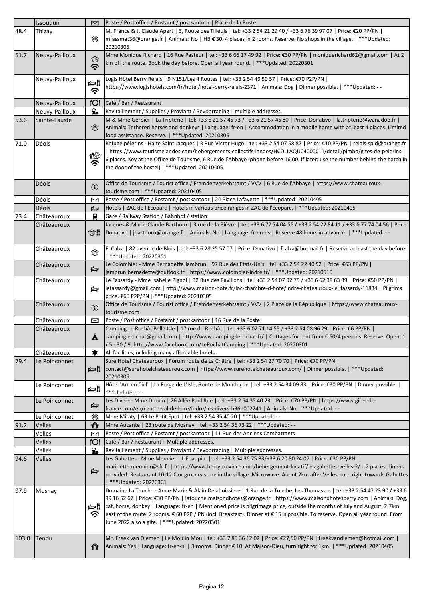|       | Issoudun                | ⊠                           | Poste / Post office / Postamt / postkantoor   Place de la Poste                                                                                                                                                                                                                                                                                                                                                                                                                                                                                                   |
|-------|-------------------------|-----------------------------|-------------------------------------------------------------------------------------------------------------------------------------------------------------------------------------------------------------------------------------------------------------------------------------------------------------------------------------------------------------------------------------------------------------------------------------------------------------------------------------------------------------------------------------------------------------------|
| 48.4  | Thizay                  | 念                           | M. France & J. Claude Apert   3, Route des Tilleuls   tel: +33 2 54 21 29 40 / +33 6 76 39 97 07   Price: €20 PP/PN  <br>mfassmat36@orange.fr   Animals: No   HB € 30. 4 places in 2 rooms. Reserve. No shops in the village.   ***Updated:<br>20210305                                                                                                                                                                                                                                                                                                           |
| 51.7  | Neuvy-Pailloux          | $\hat{\boldsymbol{\delta}}$ | Mme Monique Richard   16 Rue Pasteur   tel: +33 6 66 17 49 92   Price: €30 PP/PN   moniquerichard62@gmail.com   At 2<br>km off the route. Book the day before. Open all year round.   *** Updated: 20220301                                                                                                                                                                                                                                                                                                                                                       |
|       | Neuvy-Pailloux          | ⊯∦<br>ふ                     | Logis Hôtel Berry Relais   9 N151/Les 4 Routes   tel: +33 2 54 49 50 57   Price: €70 P2P/PN  <br>https://www.logishotels.com/fr/hotel/hotel-berry-relais-2371   Animals: Dog   Dinner possible.   ***Updated: --                                                                                                                                                                                                                                                                                                                                                  |
|       | Neuvy-Pailloux          | <b>Of</b>                   | Café / Bar / Restaurant                                                                                                                                                                                                                                                                                                                                                                                                                                                                                                                                           |
|       | Neuvy-Pailloux          | $\mathbf{z}$                | Ravitaillement / Supplies / Proviant / Bevoorrading   multiple addresses.                                                                                                                                                                                                                                                                                                                                                                                                                                                                                         |
| 53.6  | Sainte-Fauste           | 念                           | M & Mme Gerbier   La Tripterie   tel: +33 6 21 57 45 73 / +33 6 21 57 45 80   Price: Donativo   la.tripterie@wanadoo.fr  <br>Animals: Tethered horses and donkeys   Language: fr-en   Accommodation in a mobile home with at least 4 places. Limited<br>food assistance. Reserve.   *** Updated: 20210305                                                                                                                                                                                                                                                         |
| 71.0  | Déols                   | ඟ<br>ふ                      | Refuge pèlerins - Halte Saint Jacques   3 Rue Victor Hugo   tel: +33 2 54 07 58 87   Price: €10 PP/PN   relais-spld@orange.fr<br>  https://www.tourismelandes.com/hebergements-collectifs-landes/HCOLLAQU04000011/detail/pimbo/gites-de-pelerins  <br>6 places. Key at the Office de Tourisme, 6 Rue de l'Abbaye (phone before 16.00. If later: use the number behind the hatch in<br>the door of the hostel)   *** Updated: 20210405                                                                                                                             |
|       | Déols                   | $\bigcirc$                  | Office de Tourisme / Tourist office / Fremdenverkehrsamt / VVV   6 Rue de l'Abbaye   https://www.chateauroux-<br>tourisme.com   ***Updated: 20210405                                                                                                                                                                                                                                                                                                                                                                                                              |
|       | Déols                   | 罓                           | Poste / Post office / Postamt / postkantoor   24 Place Lafayette   *** Updated: 20210405                                                                                                                                                                                                                                                                                                                                                                                                                                                                          |
|       | Déols                   | ⋭                           | Hotels   ZAC de l'Ecoparc   Hotels in various price ranges in ZAC de l'Ecoparc.   *** Updated: 20210405                                                                                                                                                                                                                                                                                                                                                                                                                                                           |
| 73.4  | Châteauroux             | 員                           | Gare / Railway Station / Bahnhof / station                                                                                                                                                                                                                                                                                                                                                                                                                                                                                                                        |
|       | Châteauroux             | ❀‼                          | Jacques & Marie-Claude Barthoux   3 rue de la Bièvre   tel: +33 6 77 74 04 56 / +33 2 54 22 84 11 / +33 6 77 74 04 56   Price:<br> Donativo   jbarthoux@orange.fr   Animals: No   Language: fr-en-es   Reserve 48 hours in advance.   ***Updated: --                                                                                                                                                                                                                                                                                                              |
|       | Châteauroux             | 念                           | F. Calza   82 avenue de Blois   tel: +33 6 28 25 57 07   Price: Donativo   fcalza@hotmail.fr   Reserve at least the day before.<br>***Updated: 20220301                                                                                                                                                                                                                                                                                                                                                                                                           |
|       | Châteauroux             | Ą                           | Le Colombier - Mme Bernadette Jambrun   97 Rue des Etats-Unis   tel: +33 2 54 22 40 92   Price: €63 PP/PN  <br>jambrun.bernadette@outlook.fr   https://www.colombier-indre.fr/   ***Updated: 20210510                                                                                                                                                                                                                                                                                                                                                             |
|       | Châteauroux             | ⋭⋥                          | Le Fassardy - Mme Isabelle Pignol   32 Rue des Pavillons   tel: +33 2 54 07 92 75 / +33 6 62 38 63 39   Price: €50 PP/PN  <br>lefassardy@gmail.com   http://www.maison-hote.fr/loc-chambre-d-hote/indre-chateauroux-le_fassardy-11834   Pilgrims<br>price. €60 P2P/PN   ***Updated: 20210305                                                                                                                                                                                                                                                                      |
|       | Châteauroux             | $\bigcirc$                  | Office de Tourisme / Tourist office / Fremdenverkehrsamt / VVV   2 Place de la République   https://www.chateauroux-<br>tourisme.com                                                                                                                                                                                                                                                                                                                                                                                                                              |
|       | Châteauroux             | ⊠                           | Poste / Post office / Postamt / postkantoor   16 Rue de la Poste                                                                                                                                                                                                                                                                                                                                                                                                                                                                                                  |
|       | Châteauroux             | $\blacktriangle$            | Camping Le Rochât Belle Isle   17 rue du Rochât   tel: +33 6 02 71 14 55 / +33 2 54 08 96 29   Price: €6 PP/PN  <br>campinglerochat@gmail.com   http://www.camping-lerochat.fr/   Cottages for rent from € 60/4 persons. Reserve. Open: 1<br>/5 - 30 / 9. http://www.facebook.com/LeRochatCamping   ***Updated: 20220301                                                                                                                                                                                                                                          |
|       | Châteauroux             | ★                           | All facilities, including many affordable hotels.                                                                                                                                                                                                                                                                                                                                                                                                                                                                                                                 |
| 79.4  | Le Poinconnet           | ≰ ∦                         | Sure Hotel Chateauroux   Forum route de La Châtre   tel: +33 2 54 27 70 70   Price: €70 PP/PN  <br>contact@surehotelchateauroux.com   https://www.surehotelchateauroux.com/   Dinner possible.   ***Updated:<br>20210305                                                                                                                                                                                                                                                                                                                                          |
|       | Le Poinconnet           | ⊯∦                          | Hôtel 'Arc en Ciel'   La Forge de L'Isle, Route de Montluçon   tel: +33 2 54 34 09 83   Price: €30 PP/PN   Dinner possible.  <br>***Updated:--                                                                                                                                                                                                                                                                                                                                                                                                                    |
|       | Le Poinconnet           | Ą                           | Les Divers - Mme Drouin   26 Allée Paul Rue   tel: +33 2 54 35 40 23   Price: €70 PP/PN   https://www.gites-de-<br>france.com/en/centre-val-de-loire/indre/les-divers-h36h002241   Animals: No   ***Updated: - -                                                                                                                                                                                                                                                                                                                                                  |
|       | Le Poinconnet           | 念                           | Mme Mitaty   63 Le Petit Epot   tel: +33 2 54 35 40 20   *** Updated: --                                                                                                                                                                                                                                                                                                                                                                                                                                                                                          |
| 91.2  | <b>Velles</b>           | ⇑                           | Mme Aucante   23 route de Mosnay   tel: +33 2 54 36 73 22   *** Updated: --                                                                                                                                                                                                                                                                                                                                                                                                                                                                                       |
|       | Velles                  | ⊠                           | Poste / Post office / Postamt / postkantoor   11 Rue des Anciens Combattants                                                                                                                                                                                                                                                                                                                                                                                                                                                                                      |
|       | <b>Velles</b>           | 'Ol                         | Café / Bar / Restaurant   Multiple addresses.                                                                                                                                                                                                                                                                                                                                                                                                                                                                                                                     |
| 94.6  | Velles<br><b>Velles</b> | £.                          | Ravitaillement / Supplies / Proviant / Bevoorrading   Multiple addresses.<br>Les Gabettes - Mme Meunier   L'Ebaupin   tel: +33 2 54 36 75 83/+33 6 20 80 24 07   Price: €30 PP/PN                                                                                                                                                                                                                                                                                                                                                                                 |
|       |                         | Ą                           | marinette.meunier@sfr.fr   https://www.berryprovince.com/hebergement-locatif/les-gabettes-velles-2/   2 places. Linens<br>provided. Restaurant 10-12 € or grocery store in the village. Microwave. About 2km after Velles, turn right towards Gabettes<br>***Updated: 20220301                                                                                                                                                                                                                                                                                    |
| 97.9  | Mosnay                  | ⊯∦<br>ら                     | Domaine La Touche - Anne-Marie & Alain Delaboissiere   1 Rue de la Touche, Les Thomasses   tel: +33 2 54 47 23 90 / +33 6<br>99 16 52 67   Price: €30 PP/PN   latouche.maisondhotes@orange.fr   https://www.maisondhotesberry.com   Animals: Dog,<br>cat, horse, donkey   Language: fr-en   Mentioned price is pilgrimage price, outside the months of July and August. 2.7km<br>east of the route. 2 rooms. € 60 P2P / PN (incl. Breakfast). Dinner at € 15 is possible. To reserve. Open all year round. From<br>June 2022 also a gite.   *** Updated: 20220301 |
| 103.0 | Tendu                   | ⇑                           | Mr. Freek van Diemen   Le Moulin Mou   tel: +33 7 85 36 12 02   Price: €27,50 PP/PN   freekvandiemen@hotmail.com  <br>Animals: Yes   Language: fr-en-nl   3 rooms. Dinner € 10. At Maison-Dieu, turn right for 1km.   ***Updated: 20210405                                                                                                                                                                                                                                                                                                                        |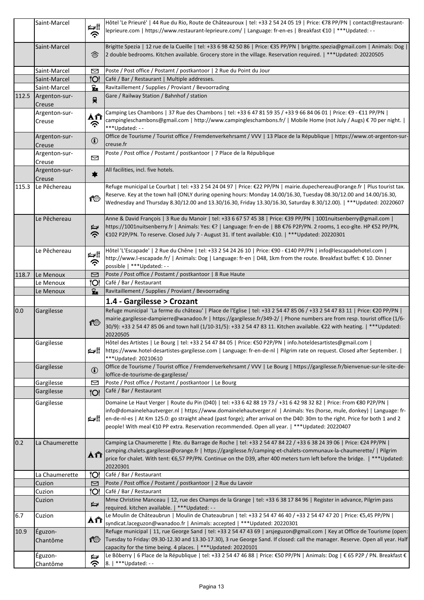|       | Saint-Marcel                   | ‼ ⊯⊴<br>ふ    | Hôtel 'Le Prieuré'   44 Rue du Rio, Route de Châteauroux   tel: +33 2 54 24 05 19   Price: €78 PP/PN   contact@restaurant-<br>-- leprieure.com   https://www.restaurant-leprieure.com/   Language: fr-en-es   Breakfast €10   ***Updated: --                                                                                                                                                                                                                                    |
|-------|--------------------------------|--------------|---------------------------------------------------------------------------------------------------------------------------------------------------------------------------------------------------------------------------------------------------------------------------------------------------------------------------------------------------------------------------------------------------------------------------------------------------------------------------------|
|       | Saint-Marcel                   | 念            | Brigitte Spezia   12 rue de la Cueille   tel: +33 6 98 42 50 86   Price: €35 PP/PN   brigitte.spezia@gmail.com   Animals: Dog  <br>2 double bedrooms. Kitchen available. Grocery store in the village. Reservation required.   *** Updated: 20220505                                                                                                                                                                                                                            |
|       | Saint-Marcel                   | ⊠            | Poste / Post office / Postamt / postkantoor   2 Rue du Point du Jour                                                                                                                                                                                                                                                                                                                                                                                                            |
|       | Saint-Marcel                   | 'Ol          | Café / Bar / Restaurant   Multiple addresses.                                                                                                                                                                                                                                                                                                                                                                                                                                   |
|       | Saint-Marcel                   | $\mathbf{z}$ | Ravitaillement / Supplies / Proviant / Bevoorrading                                                                                                                                                                                                                                                                                                                                                                                                                             |
| 112.5 | Argenton-sur-<br>Creuse        | 貝            | Gare / Railway Station / Bahnhof / station                                                                                                                                                                                                                                                                                                                                                                                                                                      |
|       | Argenton-sur-<br>Creuse        | ÅÂ<br>ふ      | Camping Les Chambons   37 Rue des Chambons   tel: +33 6 47 81 59 35 / +33 9 66 84 06 01   Price: €9 - €11 PP/PN  <br>campingleschambons@gmail.com   http://www.campingleschambons.fr/   Mobile Home (not July / Augs) € 70 per night.  <br>***Updated: --                                                                                                                                                                                                                       |
|       | Argenton-sur-<br>Creuse        | $\bigcirc$   | Office de Tourisme / Tourist office / Fremdenverkehrsamt / VVV   13 Place de la République   https://www.ot-argenton-sur-<br>creuse.fr                                                                                                                                                                                                                                                                                                                                          |
|       | Argenton-sur-<br>Creuse        | ⊠            | Poste / Post office / Postamt / postkantoor   7 Place de la République                                                                                                                                                                                                                                                                                                                                                                                                          |
|       | Argenton-sur-<br>Creuse        | $\bigstar$   | All facilities, incl. five hotels.                                                                                                                                                                                                                                                                                                                                                                                                                                              |
| 115.3 | Le Pêchereau                   | ඟ            | Refuge municipal Le Courbat   tel: +33 2 54 24 04 97   Price: €22 PP/PN   mairie.dupechereau@orange.fr   Plus tourist tax.<br>Reserve. Key at the town hall (ONLY during opening hours: Monday 14.00/16.30, Tuesday 08.30/12.00 and 14.00/16.30,<br>Wednesday and Thursday 8.30/12.00 and 13.30/16.30, Friday 13.30/16.30, Saturday 8.30/12.00).   *** Updated: 20220607                                                                                                        |
|       | Le Pêchereau                   | ⋭<br>ふ       | Anne & David François   3 Rue du Manoir   tel: +33 6 67 57 45 38   Price: €39 PP/PN   1001nuitsenberry@gmail.com  <br> https://1001nuitsenberry.fr   Animals: Yes: €?   Language: fr-en-de   BB €76 P2P/PN. 2 rooms, 1 eco-gîte. HP €52 PP/PN,<br>€102 P2P/PN. To reserve. Closed July 7 - August 31. If tent available: €10.   *** Updated: 20220301                                                                                                                           |
|       | Le Pêchereau                   | ا ا⊏¢<br>ふ   | Hôtel 'L'Escapade'   2 Rue du Chêne   tel: +33 2 54 24 26 10   Price: €90 - €140 PP/PN   info@lescapadehotel.com  <br>http://www.l-escapade.fr/   Animals: Dog   Language: fr-en   D48, 1km from the route. Breakfast buffet: €10. Dinner<br>possible   ***Updated: --                                                                                                                                                                                                          |
| 118.7 | Le Menoux                      | ⊠            | Poste / Post office / Postamt / postkantoor   8 Rue Haute                                                                                                                                                                                                                                                                                                                                                                                                                       |
|       | Le Menoux                      | 'Ol          | Café / Bar / Restaurant                                                                                                                                                                                                                                                                                                                                                                                                                                                         |
|       | Le Menoux                      | $\mathbf{z}$ | Ravitaillement / Supplies / Proviant / Bevoorrading                                                                                                                                                                                                                                                                                                                                                                                                                             |
|       |                                |              |                                                                                                                                                                                                                                                                                                                                                                                                                                                                                 |
|       |                                |              | 1.4 - Gargilesse > Crozant                                                                                                                                                                                                                                                                                                                                                                                                                                                      |
| 0.0   | Gargilesse                     | 检            | Refuge municipal 'La ferme du château'   Place de l'Eglise   tel: +33 2 54 47 85 06 / +33 2 54 47 83 11   Price: €20 PP/PN  <br>mairie.gargilesse-dampierre@wanadoo.fr   https://gargilesse.fr/349-2/   Phone numbers are from resp. tourist office (1/6-<br>30/9): +33 2 54 47 85 06 and town hall (1/10-31/5): +33 2 54 47 83 11. Kitchen available. €22 with heating.   ***Updated:<br>20220505                                                                              |
|       | Gargilesse                     | ⊯∦           | Hôtel des Artistes   Le Bourg   tel: +33 2 54 47 84 05   Price: €50 P2P/PN   info.hoteldesartistes@gmail.com  <br>https://www.hotel-desartistes-gargilesse.com   Language: fr-en-de-nl   Pilgrim rate on request. Closed after September.  <br>*** Updated: 20210610                                                                                                                                                                                                            |
|       | Gargilesse                     | $\bigcirc$   | Office de Tourisme / Tourist office / Fremdenverkehrsamt / VVV   Le Bourg   https://gargilesse.fr/bienvenue-sur-le-site-de-<br>loffice-de-tourisme-de-gargilesse/                                                                                                                                                                                                                                                                                                               |
|       | Gargilesse                     | ⊠            | Poste / Post office / Postamt / postkantoor   Le Bourg                                                                                                                                                                                                                                                                                                                                                                                                                          |
|       | Gargilesse                     | '            | Café / Bar / Restaurant                                                                                                                                                                                                                                                                                                                                                                                                                                                         |
|       | Gargilesse                     | ⊯∦           | Domaine Le Haut Verger   Route du Pin (D40)   tel: +33 6 42 88 19 73 / +31 6 42 98 32 82   Price: From €80 P2P/PN  <br>info@domainelehautverger.nl   https://www.domainelehautverger.nl   Animals: Yes (horse, mule, donkey)   Language: fr-<br>en-de-nl-es   At Km 125.0: go straight ahead (past forge); after arrival on the D40: 30m to the right. Price for both 1 and 2<br>people! With meal €10 PP extra. Reservation recommended. Open all year.   ***Updated: 20220407 |
| 0.2   | La Chaumerette                 | ÅÂ           | Camping La Chaumerette   Rte. du Barrage de Roche   tel: +33 2 54 47 84 22 / +33 6 38 24 39 06   Price: €24 PP/PN  <br>camping.chalets.gargilesse@orange.fr   https://gargilesse.fr/camping-et-chalets-communaux-la-chaumerette/   Pilgrim<br>price for chalet. With tent: €6,57 PP/PN. Continue on the D39, after 400 meters turn left before the bridge.   ***Updated:<br>20220301                                                                                            |
|       | La Chaumerette                 | 'Ol          | Café / Bar / Restaurant                                                                                                                                                                                                                                                                                                                                                                                                                                                         |
|       | Cuzion                         | ⊠            | Poste / Post office / Postamt / postkantoor   2 Rue du Lavoir                                                                                                                                                                                                                                                                                                                                                                                                                   |
|       | Cuzion<br>Cuzion               | ŤΟl<br>⋭     | Café / Bar / Restaurant<br>Mme Christine Manceau   12, rue des Champs de la Grange   tel: +33 6 38 17 84 96   Register in advance, Pilgrim pass                                                                                                                                                                                                                                                                                                                                 |
| 6.7   | Cuzion                         |              | required. kitchen available.   *** Updated: --<br>Le Moulin de Châteaubrun   Moulin de Chateaubrun   tel: +33 2 54 47 46 40 / +33 2 54 47 47 20   Price: €5,45 PP/PN                                                                                                                                                                                                                                                                                                            |
|       |                                | ÅÂ           | syndicat.laceguzon@wanadoo.fr   Animals: accepted   *** Updated: 20220301                                                                                                                                                                                                                                                                                                                                                                                                       |
| 10.9  | Éguzon-<br>Chantôme<br>Éguzon- | 1 organisas  | Refuge municipal   11, rue George Sand   tel: +33 2 54 47 43 69   arsjeguzon@gmail.com   Key at Office de Tourisme (open:<br>Tuesday to Friday: 09.30-12.30 and 13.30-17.30), 3 rue George Sand. If closed: call the manager. Reserve. Open all year. Half<br>capacity for the time being. 4 places.   *** Updated: 20220101<br>Le Bôberry   6 Place de la République   tel: +33 2 54 47 46 88   Price: €50 PP/PN   Animals: Dog   € 65 P2P / PN. Breakfast €                   |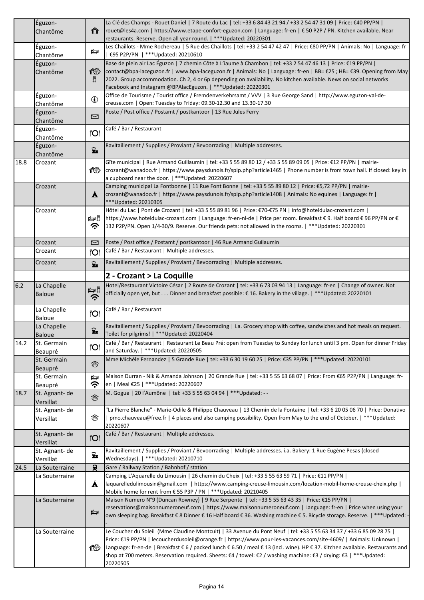|      | Éguzon-                     |                  | La Clé des Champs - Rouet Daniel   7 Route du Lac   tel: +33 6 84 43 21 94 / +33 2 54 47 31 09   Price: €40 PP/PN                                                                                                                                                                                                                                                                                                                                                                                              |
|------|-----------------------------|------------------|----------------------------------------------------------------------------------------------------------------------------------------------------------------------------------------------------------------------------------------------------------------------------------------------------------------------------------------------------------------------------------------------------------------------------------------------------------------------------------------------------------------|
|      | Chantôme                    | ∩                | rouet@les4a.com   https://www.etape-confort-eguzon.com   Language: fr-en   € 50 P2P / PN. Kitchen available. Near<br>restaurants. Reserve. Open all year round.   *** Updated: 20220301                                                                                                                                                                                                                                                                                                                        |
|      | Éguzon-<br>Chantôme         | ✍                | Les Chaillots - Mme Rochereau   5 Rue des Chaillots   tel: +33 2 54 47 42 47   Price: €80 PP/PN   Animals: No   Language: fr<br>  €95 P2P/PN   ***Updated: 20210610                                                                                                                                                                                                                                                                                                                                            |
|      | Éguzon-                     |                  | Base de plein air Lac Éguzon   7 chemin Côte à L'iaume à Chambon   tel: +33 2 54 47 46 13   Price: €19 PP/PN                                                                                                                                                                                                                                                                                                                                                                                                   |
|      | Chantôme                    | <b>10</b>        | contact@bpa-laceguzon.fr   www.bpa-laceguzon.fr   Animals: No   Language: fr-en   BB= €25; HB= €39. Opening from May                                                                                                                                                                                                                                                                                                                                                                                           |
|      |                             | II.              | 2022. Group accommodation. Ch 2, 4 or 6p depending on availability. No kitchen available. News on social networks<br>Facebook and Instagram @BPAlacEguzon.   *** Updated: 20220301                                                                                                                                                                                                                                                                                                                             |
|      | Eguzon-                     | $\bigcirc$       | Office de Tourisme / Tourist office / Fremdenverkehrsamt / VVV   3 Rue George Sand   http://www.eguzon-val-de-                                                                                                                                                                                                                                                                                                                                                                                                 |
|      | Chantôme                    |                  | creuse.com   Open: Tuesday to Friday: 09.30-12.30 and 13.30-17.30                                                                                                                                                                                                                                                                                                                                                                                                                                              |
|      | Eguzon-                     | $\Box$           | Poste / Post office / Postamt / postkantoor   13 Rue Jules Ferry                                                                                                                                                                                                                                                                                                                                                                                                                                               |
|      | Chantôme                    |                  |                                                                                                                                                                                                                                                                                                                                                                                                                                                                                                                |
|      | Éguzon-<br>Chantôme         | <b>"Ol</b>       | Café / Bar / Restaurant                                                                                                                                                                                                                                                                                                                                                                                                                                                                                        |
|      | Éguzon-                     |                  | Ravitaillement / Supplies / Proviant / Bevoorrading   Multiple addresses.                                                                                                                                                                                                                                                                                                                                                                                                                                      |
|      | Chantôme                    | $\mathbf{z}$     |                                                                                                                                                                                                                                                                                                                                                                                                                                                                                                                |
| 18.8 | Crozant                     | 10               | Gîte municipal   Rue Armand Guillaumin   tel: +33 5 55 89 80 12 / +33 5 55 89 09 05   Price: €12 PP/PN   mairie-<br>crozant@wanadoo.fr   https://www.paysdunois.fr/spip.php?article1465   Phone number is from town hall. If closed: key in<br>a cupboard near the door.   *** Updated: 20220607                                                                                                                                                                                                               |
|      | Crozant                     | $\blacktriangle$ | Camping municipal La Fontbonne   11 Rue Font Bonne   tel: +33 5 55 89 80 12   Price: €5,72 PP/PN   mairie-<br>crozant@wanadoo.fr   https://www.paysdunois.fr/spip.php?article1408   Animals: No equines   Language: fr  <br>***Updated: 20210305                                                                                                                                                                                                                                                               |
|      | Crozant                     |                  | Hôtel du Lac   Pont de Crozant   tel: +33 5 55 89 81 96   Price: €70-€75 PN   info@hoteldulac-crozant.com                                                                                                                                                                                                                                                                                                                                                                                                      |
|      |                             | δ,               | https://www.hoteldulac-crozant.com   Language: fr-en-nl-de   Price per room. Breakfast €9. Half board €96 PP/PN or €<br>132 P2P/PN. Open 1/4-30/9. Reserve. Our friends pets: not allowed in the rooms.   *** Updated: 20220301                                                                                                                                                                                                                                                                                |
|      | Crozant                     | ⊠                | Poste / Post office / Postamt / postkantoor   46 Rue Armand Guilaumin                                                                                                                                                                                                                                                                                                                                                                                                                                          |
|      | Crozant                     | <b>O</b>         | Café / Bar / Restaurant   Multiple addresses.                                                                                                                                                                                                                                                                                                                                                                                                                                                                  |
|      | Crozant                     | $\mathbf{z}$     | Ravitaillement / Supplies / Proviant / Bevoorrading   Multiple addresses.                                                                                                                                                                                                                                                                                                                                                                                                                                      |
|      |                             |                  | 2 - Crozant > La Coquille                                                                                                                                                                                                                                                                                                                                                                                                                                                                                      |
| 6.2  | La Chapelle                 |                  | Hotel/Restaurant Victoire César   2 Route de Crozant   tel: +33 6 73 03 94 13   Language: fr-en   Change of owner. Not                                                                                                                                                                                                                                                                                                                                                                                         |
|      | <b>Baloue</b>               | ‼ ہے<br>ら        | officially open yet, but Dinner and breakfast possible: €16. Bakery in the village.   *** Updated: 20220101                                                                                                                                                                                                                                                                                                                                                                                                    |
|      | La Chapelle<br>Baloue       | <b>POI</b>       | Café / Bar / Restaurant                                                                                                                                                                                                                                                                                                                                                                                                                                                                                        |
|      | La Chapelle<br>Baloue       | $\mathbf{z}$     | Ravitaillement / Supplies / Proviant / Bevoorrading   i.a. Grocery shop with coffee, sandwiches and hot meals on request.<br>Toilet for pilgrims!   *** Updated: 20220404                                                                                                                                                                                                                                                                                                                                      |
| 14.2 | St. Germain<br>Beaupré      | <b>"Ol</b>       | Café / Bar / Restaurant   Restaurant Le Beau Pré: open from Tuesday to Sunday for lunch until 3 pm. Open for dinner Friday<br>and Saturday.   *** Updated: 20220505                                                                                                                                                                                                                                                                                                                                            |
|      | St. Germain<br>Beaupré      | 念                | Mme Michèle Fernandez   5 Grande Rue   tel: +33 6 30 19 60 25   Price: €35 PP/PN   *** Updated: 20220101                                                                                                                                                                                                                                                                                                                                                                                                       |
|      | St. Germain<br>Beaupré      | ⋭<br>ふ           | Maison Durran - Nik & Amanda Johnson   20 Grande Rue   tel: +33 5 55 63 68 07   Price: From €65 P2P/PN   Language: fr-<br>en   Meal €25   ***Updated: 20220607                                                                                                                                                                                                                                                                                                                                                 |
| 18.7 | St. Agnant- de<br>Versillat | 念                | M. Gogue   20 l'Aumône   tel: +33 5 55 63 04 94   *** Updated: --                                                                                                                                                                                                                                                                                                                                                                                                                                              |
|      | St. Agnant- de              |                  | "La Pierre Blanche" - Marie-Odile & Philippe Chauveau   13 Chemin de la Fontaine   tel: +33 6 20 05 06 70   Price: Donativo                                                                                                                                                                                                                                                                                                                                                                                    |
|      | Versillat                   | 念                | pmo.chauveau@free.fr   4 places and also camping possibility. Open from May to the end of October.   ***Updated:<br>20220607                                                                                                                                                                                                                                                                                                                                                                                   |
|      | St. Agnant- de<br>Versillat | '                | Café / Bar / Restaurant   Multiple addresses.                                                                                                                                                                                                                                                                                                                                                                                                                                                                  |
|      | St. Agnant- de              | Ŷ.               | Ravitaillement / Supplies / Proviant / Bevoorrading   Multiple addresses. i.a. Bakery: 1 Rue Eugène Pesas (closed                                                                                                                                                                                                                                                                                                                                                                                              |
|      | Versillat                   |                  | Wednesdays).   *** Updated: 20210710                                                                                                                                                                                                                                                                                                                                                                                                                                                                           |
| 24.5 | La Souterraine              | 貝                | Gare / Railway Station / Bahnhof / station                                                                                                                                                                                                                                                                                                                                                                                                                                                                     |
|      | La Souterraine              | $\blacktriangle$ | Camping L'Aquarelle du Limousin   26 chemin du Cheix   tel: +33 5 55 63 59 71   Price: €11 PP/PN  <br>  laquarelledulimousin@gmail.com   https://www.camping-creuse-limousin.com/location-mobil-home-creuse-cheix.php  <br>Mobile home for rent from € 55 P3P / PN   *** Updated: 20210405                                                                                                                                                                                                                     |
|      | La Souterraine              |                  | Maison Numero N°9 (Duncan Rowney)   9 Rue Serpente   tel: +33 5 55 63 43 35   Price: €15 PP/PN                                                                                                                                                                                                                                                                                                                                                                                                                 |
|      |                             | Ą                | reservations@maisonnumeroneuf.com   https://www.maisonnumeroneuf.com   Language: fr-en   Price when using your<br>own sleeping bag. Breakfast € 8 Dinner € 16 Half board € 36. Washing machine € 5. Bicycle storage. Reserve.   *** Updated: -                                                                                                                                                                                                                                                                 |
|      | La Souterraine              | 1 o              | Le Coucher du Soleil (Mme Claudine Montcuit)   33 Avenue du Pont Neuf   tel: +33 5 55 63 34 37 / +33 6 85 09 28 75  <br>Price: €19 PP/PN   lecoucherdusoleil@orange.fr   https://www.pour-les-vacances.com/site-4609/   Animals: Unknown  <br>Language: fr-en-de   Breakfast € 6 / packed lunch € 6.50 / meal € 13 (incl. wine). HP € 37. Kitchen available. Restaurants and<br>shop at 700 meters. Reservation required. Sheets: €4 / towel: €2 / washing machine: €3 / drying: €3   *** Updated:<br>20220505 |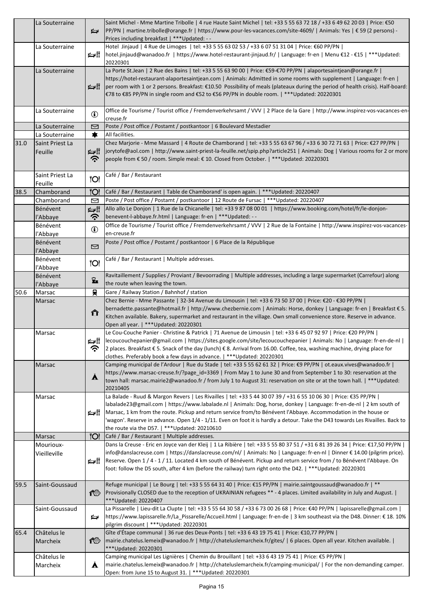|      | La Souterraine  |                  | Saint Michel - Mme Martine Tribolle   4 rue Haute Saint Michel   tel: +33 5 55 63 72 18 / +33 6 49 62 20 03   Price: €50                                                                                                                                    |
|------|-----------------|------------------|-------------------------------------------------------------------------------------------------------------------------------------------------------------------------------------------------------------------------------------------------------------|
|      |                 | ⋭                | PP/PN   martine.tribolle@orange.fr   https://www.pour-les-vacances.com/site-4609/   Animals: Yes   € 59 (2 persons) -                                                                                                                                       |
|      |                 |                  | Prices including breakfast   *** Updated: --                                                                                                                                                                                                                |
|      | La Souterraine  |                  | Hotel Jinjaud   4 Rue de Limoges   tel: +33 5 55 63 02 53 / +33 6 07 51 31 04   Price: €60 PP/PN                                                                                                                                                            |
|      |                 | ⊯M               | hotel.jinjaud@wanadoo.fr   https://www.hotel-restaurant-jinjaud.fr/   Language: fr-en   Menu €12 - €15   ***Updated:                                                                                                                                        |
|      |                 |                  | 20220301                                                                                                                                                                                                                                                    |
|      | La Souterraine  |                  | La Porte St.Jean   2 Rue des Bains   tel: +33 5 55 63 90 00   Price: €59-€70 PP/PN   alaportesaintjean@orange.fr                                                                                                                                            |
|      |                 |                  | https://hotel-restaurant-alaportesaintjean.com   Animals: Admitted in some rooms with supplement   Language: fr-en                                                                                                                                          |
|      |                 | ⊯⊯               | per room with 1 or 2 persons. Breakfast: €10.50 Possibility of meals (plateaux during the period of health crisis). Half-board:                                                                                                                             |
|      |                 |                  | €78 to €85 PP/PN in single room and €52 to €56 PP/PN in double room.   *** Updated: 20220301                                                                                                                                                                |
|      |                 |                  |                                                                                                                                                                                                                                                             |
|      | La Souterraine  | $\bf{G}$         | Office de Tourisme / Tourist office / Fremdenverkehrsamt / VVV   2 Place de la Gare   http://www.inspirez-vos-vacances-en-                                                                                                                                  |
|      |                 |                  | creuse.fr                                                                                                                                                                                                                                                   |
|      | La Souterraine  | 罓                | Poste / Post office / Postamt / postkantoor   6 Boulevard Mestadier                                                                                                                                                                                         |
|      | La Souterraine  | ★                | All facilities.                                                                                                                                                                                                                                             |
| 31.0 | Saint Priest La |                  | Chez Marjorie - Mme Massard   4 Route de Chamborand   tel: +33 5 55 63 67 96 / +33 6 30 72 71 63   Price: €27 PP/PN                                                                                                                                         |
|      | Feuille         | ⊯∦               | jorytofe@aol.com   http://www.saint-priest-la-feuille.net/spip.php?article251   Animals: Dog   Various rooms for 2 or more                                                                                                                                  |
|      |                 | <b>ごく</b>        | people from € 50 / room. Simple meal: € 10. Closed from October.   ***Updated: 20220301                                                                                                                                                                     |
|      |                 |                  |                                                                                                                                                                                                                                                             |
|      | Saint Priest La | <b>O</b>         | Café / Bar / Restaurant                                                                                                                                                                                                                                     |
|      | Feuille         |                  |                                                                                                                                                                                                                                                             |
| 38.5 | Chamborand      | <b>"Ol</b>       | Café / Bar / Restaurant   Table de Chamborand' is open again.   *** Updated: 20220407                                                                                                                                                                       |
|      | Chamborand      | ⊠                | Poste / Post office / Postamt / postkantoor   12 Route de Fursac   *** Updated: 20220407                                                                                                                                                                    |
|      | Bénévent        |                  | Allo allo Le Donjon   1 Rue de la Chicanelle   tel: +33 9 87 08 00 01   https://www.booking.com/hotel/fr/le-donjon-                                                                                                                                         |
|      | l'Abbaye        | ふ                | benevent-l-abbaye.fr.html   Language: fr-en   *** Updated: - -                                                                                                                                                                                              |
|      | Bénévent        | $\bf \bf G$      | Office de Tourisme / Tourist office / Fremdenverkehrsamt / VVV   2 Rue de la Fontaine   http://www.inspirez-vos-vacances-                                                                                                                                   |
|      | l'Abbaye        |                  | en-creuse.fr                                                                                                                                                                                                                                                |
|      | Bénévent        | ⊠                | Poste / Post office / Postamt / postkantoor   6 Place de la République                                                                                                                                                                                      |
|      | l'Abbaye        |                  |                                                                                                                                                                                                                                                             |
|      | Bénévent        | <b>O</b>         | Café / Bar / Restaurant   Multiple addresses.                                                                                                                                                                                                               |
|      | l'Abbaye        |                  |                                                                                                                                                                                                                                                             |
|      | Bénévent        | $\mathbf{r}$     | Ravitaillement / Supplies / Proviant / Bevoorrading   Multiple addresses, including a large supermarket (Carrefour) along                                                                                                                                   |
|      | l'Abbaye        |                  | the route when leaving the town.                                                                                                                                                                                                                            |
| 50.6 | Marsac          | 貝                | Gare / Railway Station / Bahnhof / station                                                                                                                                                                                                                  |
|      | Marsac          |                  | Chez Bernie - Mme Passante   32-34 Avenue du Limousin   tel: +33 6 73 50 37 00   Price: €20 - €30 PP/PN                                                                                                                                                     |
|      |                 | ⇑                | bernadette.passante@hotmail.fr   http://www.chezbernie.com   Animals: Horse, donkey   Language: fr-en   Breakfast € 5.                                                                                                                                      |
|      |                 |                  | Kitchen available. Bakery, supermarket and restaurant in the village. Own small convenience store. Reserve in advance.                                                                                                                                      |
|      |                 |                  | Open all year.   *** Updated: 20220301                                                                                                                                                                                                                      |
|      | Marsac          |                  | Le Cou-Couche Panier - Christine & Patrick   71 Avenue de Limousin   tel: +33 6 45 07 92 97   Price: €20 PP/PN                                                                                                                                              |
|      |                 | ⊯∦               | ecoucouchepanier@gmail.com   https://sites.google.com/site/lecoucouchepanier   Animals: No   Language: fr-en-de-nl                                                                                                                                          |
|      |                 | ふ                | 2 places. Breakfast € 5. Snack of the day (lunch) € 8. Arrival from 16.00. Coffee, tea, washing machine, drying place for                                                                                                                                   |
|      |                 |                  | clothes. Preferably book a few days in advance.   *** Updated: 20220301                                                                                                                                                                                     |
|      | Marsac          |                  | Camping municipal de l'Ardour   Rue du Stade   tel: +33 5 55 62 61 32   Price: €9 PP/PN   ot.eaux.vives@wanadoo.fr                                                                                                                                          |
|      |                 | $\blacktriangle$ | https://www.marsac-creuse.fr/?page_id=3369   From May 1 to June 30 and from September 1 to 30: reservation at the                                                                                                                                           |
|      |                 |                  | town hall: marsac.mairie2@wanadoo.fr / from July 1 to August 31: reservation on site or at the town hall.   ***Updated:                                                                                                                                     |
|      |                 |                  | 20210405                                                                                                                                                                                                                                                    |
|      | Marsac          |                  | La Balade - Ruud & Margon Revers   Les Rivailles   tel: +33 5 44 30 07 39 / +31 6 55 10 06 30   Price: €35 PP/PN                                                                                                                                            |
|      |                 |                  | labalade23@gmail.com   https://www.labalade.nl   Animals: Dog, horse, donkey   Language: fr-en-de-nl   2 km south of                                                                                                                                        |
|      |                 |                  | Marsac, 1 km from the route. Pickup and return service from/to Bénévent l'Abbaye. Accommodation in the house or                                                                                                                                             |
|      |                 | ⊯dll             |                                                                                                                                                                                                                                                             |
|      |                 |                  | 'wagon'. Reserve in advance. Open 1/4 - 1/11. Even on foot it is hardly a detour. Take the D43 towards Les Rivailles. Back to                                                                                                                               |
|      |                 |                  | the route via the D57. $ $ *** Updated: 20210610                                                                                                                                                                                                            |
|      | Marsac          | 'Ol              | Café / Bar / Restaurant   Multiple addresses.                                                                                                                                                                                                               |
|      | Mourioux-       |                  | Dans la Creuse - Eric en Joyce van der Kleij   1 La Ribière   tel: +33 5 55 80 37 51 / +31 6 81 39 26 34   Price: €17,50 PP/PN                                                                                                                              |
|      | Vieilleville    |                  | info@danslacreuse.com   https://danslacreuse.com/nl/   Animals: No   Language: fr-en-nl   Dinner € 14.00 (pilgrim price).                                                                                                                                   |
|      |                 | ⊯∦               | Reserve. Open 1 / 4 - 1 / 11. Located 4 km south of Bénévent. Pickup and return service from / to Bénévent l'Abbaye. On                                                                                                                                     |
|      |                 |                  | foot: follow the D5 south, after 4 km (before the railway) turn right onto the D42.   *** Updated: 20220301                                                                                                                                                 |
|      |                 |                  |                                                                                                                                                                                                                                                             |
| 59.5 | Saint-Goussaud  |                  | Refuge municipal   Le Bourg   tel: +33 5 55 64 31 40   Price: €15 PP/PN   mairie.saintgoussaud@wanadoo.fr   **                                                                                                                                              |
|      |                 | 命                | Provisionally CLOSED due to the reception of UKRAINIAN refugees ** - 4 places. Limited availability in July and August.                                                                                                                                     |
|      | Saint-Goussaud  |                  | *** Updated: 20220407                                                                                                                                                                                                                                       |
|      |                 | ⋭⋥               | La Pissarelle   Lieu-dit La Clupte   tel: +33 5 55 64 30 58 / +33 6 73 00 26 68   Price: €40 PP/PN   lapissarelle@gmail.com  <br>https://www.lapissarelle.fr/La_Pissarelle/Accueil.html   Language: fr-en-de   3 km southeast via the D48. Dinner: €18. 10% |
|      |                 |                  | pilgrim discount   *** Updated: 20220301                                                                                                                                                                                                                    |
| 65.4 | Châtelus le     |                  | Gîte d'Étape communal   36 rue des Deux-Ponts   tel: +33 6 43 19 75 41   Price: €10,77 PP/PN                                                                                                                                                                |
|      |                 | <b>10</b>        | mairie.chatelus.lemeix@wanadoo.fr   http://chateluslemarcheix.fr/gites/   6 places. Open all year. Kitchen available.                                                                                                                                       |
|      | Marcheix        |                  | ***Updated: 20220301                                                                                                                                                                                                                                        |
|      | Châtelus le     |                  | Camping municipal Les Lignières   Chemin du Brouillant   tel: +33 6 43 19 75 41   Price: €5 PP/PN                                                                                                                                                           |
|      | Marcheix        | $\blacktriangle$ | mairie.chatelus.lemeix@wanadoo.fr   http://chateluslemarcheix.fr/camping-municipal/   For the non-demanding camper.                                                                                                                                         |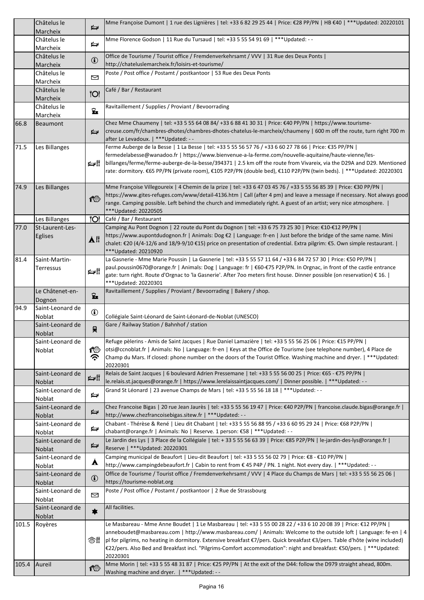|       | Châtelus le<br>Marcheix           | ⋭                | Mme Françoise Dumont   1 rue des Lignières   tel: +33 6 82 29 25 44   Price: €28 PP/PN   HB €40   *** Updated: 20220101                                                                                                                                                                                                                                                                                                                                                                                     |
|-------|-----------------------------------|------------------|-------------------------------------------------------------------------------------------------------------------------------------------------------------------------------------------------------------------------------------------------------------------------------------------------------------------------------------------------------------------------------------------------------------------------------------------------------------------------------------------------------------|
|       | Châtelus le<br>Marcheix           | ⋭                | Mme Florence Godson   11 Rue du Tursaud   tel: +33 5 55 54 91 69   *** Updated: --                                                                                                                                                                                                                                                                                                                                                                                                                          |
|       | Châtelus le<br>Marcheix           | $\bigcirc$       | Office de Tourisme / Tourist office / Fremdenverkehrsamt / VVV   31 Rue des Deux Ponts  <br>http://chateluslemarcheix.fr/loisirs-et-tourisme/                                                                                                                                                                                                                                                                                                                                                               |
|       | Châtelus le<br>Marcheix           | ⊠                | Poste / Post office / Postamt / postkantoor   53 Rue des Deux Ponts                                                                                                                                                                                                                                                                                                                                                                                                                                         |
|       | Châtelus le                       | '                | Café / Bar / Restaurant                                                                                                                                                                                                                                                                                                                                                                                                                                                                                     |
|       | Marcheix<br>Châtelus le           | $\mathbf{z}$     | Ravitaillement / Supplies / Proviant / Bevoorrading                                                                                                                                                                                                                                                                                                                                                                                                                                                         |
| 66.8  | Marcheix<br>Beaumont              | $\sum$           | Chez Mme Chaumeny   tel: +33 5 55 64 08 84/ +33 6 88 41 30 31   Price: €40 PP/PN   https://www.tourisme-<br>creuse.com/fr/chambres-dhotes/chambres-dhotes-chatelus-le-marcheix/chaumeny   600 m off the route, turn right 700 m<br>after Le Levadoux.   *** Updated: --                                                                                                                                                                                                                                     |
| 71.5  | Les Billanges                     | ⊯∦               | Ferme Auberge de la Besse   1 La Besse   tel: +33 5 55 56 57 76 / +33 6 60 27 78 66   Price: €35 PP/PN  <br>fermedelabesse@wanadoo.fr   https://www.bienvenue-a-la-ferme.com/nouvelle-aquitaine/haute-vienne/les-<br>billanges/ferme/ferme-auberge-de-la-besse/394371   2.5 km off the route from Vivareix, via the D29A and D29. Mentioned<br>rate: dormitory. €65 PP/PN (private room), €105 P2P/PN (double bed), €110 P2P/PN (twin beds).   ***Updated: 20220301                                         |
| 74.9  | Les Billanges                     | 检                | Mme Françoise Villegoureix   4 Chemin de la prize   tel: +33 6 47 03 45 76 / +33 5 55 56 85 39   Price: €30 PP/PN  <br>https://www.gites-refuges.com/www/detail-4136.htm   Call (after 4 pm) and leave a message if necessary. Not always good<br>range. Camping possible. Left behind the church and immediately right. A guest of an artist; very nice atmosphere.  <br>*** Updated: 20220505                                                                                                             |
|       | Les Billanges                     | <b>"Ol</b>       | Café / Bar / Restaurant                                                                                                                                                                                                                                                                                                                                                                                                                                                                                     |
| 77.0  | St-Laurent-Les-<br><b>Eglises</b> | ĂII              | Camping Au Pont Dognon   22 route du Pont du Dognon   tel: +33 6 75 73 25 30   Price: €10-€12 PP/PN  <br>https://www.aupontdudognon.fr   Animals: Dog €2   Language: fr-en   Just before the bridge of the same name. Mini<br>chalet: €20 (4/4-12/6 and 18/9-9/10 €15) price on presentation of credential. Extra pilgrim: €5. Own simple restaurant.  <br>***Updated: 20210920                                                                                                                             |
| 81.4  | Saint-Martin-<br>Terressus        | ⊯∦               | La Gasnerie - Mme Marie Poussin   La Gasnerie   tel: +33 5 55 57 11 64 / +33 6 84 72 57 30   Price: €50 PP/PN  <br>paul.poussin0670@orange.fr   Animals: Dog   Language: fr   €60-€75 P2P/PN. In Orgnac, in front of the castle entrance<br>gate: turn right. Route d'Orgnac to 'la Gasnerie'. After 700 meters first house. Dinner possible (on reservation) € 16.  <br>***Updated: 20220301                                                                                                               |
|       | Le Châtenet-en-<br>Dognon         | $\mathbf{z}$     | Ravitaillement / Supplies / Proviant / Bevoorrading   Bakery / shop.                                                                                                                                                                                                                                                                                                                                                                                                                                        |
| 94.9  | Saint-Leonard de<br>Noblat        | $\bigcirc$       | Collégiale Saint-Léonard de Saint-Léonard-de-Noblat (UNESCO)                                                                                                                                                                                                                                                                                                                                                                                                                                                |
|       | Saint-Leonard de<br>Noblat        | 貝                | Gare / Railway Station / Bahnhof / station                                                                                                                                                                                                                                                                                                                                                                                                                                                                  |
|       | Saint-Leonard de<br>Noblat        | ඟ<br>ふ           | Refuge pèlerins - Amis de Saint Jacques   Rue Daniel Lamazière   tel: +33 5 55 56 25 06   Price: €15 PP/PN  <br>otsi@ccnoblat.fr   Animals: No   Language: fr-en   Keys at the Office de Tourisme (see telephone number), 4 Place de<br>Champ du Mars. If closed: phone number on the doors of the Tourist Office. Washing machine and dryer.   *** Updated:<br>20220301                                                                                                                                    |
|       | Saint-Leonard de<br>Noblat        | ⊯∦               | Relais de Saint Jacques   6 boulevard Adrien Pressemane   tel: +33 5 55 56 00 25   Price: €65 - €75 PP/PN  <br>le.relais.st.jacques@orange.fr   https://www.lerelaissaintjacques.com/   Dinner possible.   ***Updated: - -                                                                                                                                                                                                                                                                                  |
|       | Saint-Leonard de<br>Noblat        | ⋭                | Grand St Léonard   23 avenue Champs de Mars   tel: +33 5 55 56 18 18   *** Updated: --                                                                                                                                                                                                                                                                                                                                                                                                                      |
|       | Saint-Leonard de<br>Noblat        | ⋭                | Chez Francoise Bigas   20 rue Jean Jaurès   tel: +33 5 55 56 19 47   Price: €40 P2P/PN   francoise.claude.bigas@orange.fr  <br>http://www.chezfrancoisebigas.sitew.fr   *** Updated: --                                                                                                                                                                                                                                                                                                                     |
|       | Saint-Leonard de<br>Noblat        | ⋭                | Chabant - Thérèse & René   Lieu dit Chabant   tel: +33 5 55 56 88 95 / +33 6 60 95 29 24   Price: €68 P2P/PN  <br>chabant@orange.fr   Animals: No   Reserve. 1 person: €58   ***Updated: - -                                                                                                                                                                                                                                                                                                                |
|       | Saint-Leonard de<br><b>Noblat</b> | ⋭                | Le Jardin des Lys   3 Place de la Collégiale   tel: + 33 5 55 56 63 39   Price: €85 P2P/PN   le-jardin-des-lys@orange.fr  <br>Reserve   *** Updated: 20220301                                                                                                                                                                                                                                                                                                                                               |
|       | Saint-Leonard de                  | $\blacktriangle$ | Camping municipal de Beaufort   Lieu-dit Beaufort   tel: +33 5 55 56 02 79   Price: €8 - €10 PP/PN  <br>http://www.campingdebeaufort.fr   Cabin to rent from € 45 P4P / PN. 1 night. Not every day.   *** Updated: --                                                                                                                                                                                                                                                                                       |
|       | Noblat<br>Saint-Leonard de        | $\bf \bf 0$      | Office de Tourisme / Tourist office / Fremdenverkehrsamt / VVV   4 Place du Champs de Mars   tel: +33 5 55 66 25 06                                                                                                                                                                                                                                                                                                                                                                                         |
|       | Noblat                            |                  | https://tourisme-noblat.org<br>Poste / Post office / Postamt / postkantoor   2 Rue de Strassbourg                                                                                                                                                                                                                                                                                                                                                                                                           |
|       | Saint-Leonard de<br>Noblat        | ⊠                |                                                                                                                                                                                                                                                                                                                                                                                                                                                                                                             |
|       | Saint-Leonard de<br>Noblat        | ★                | All facilities.                                                                                                                                                                                                                                                                                                                                                                                                                                                                                             |
| 101.5 | Royères                           | ∕ ∕ि ‼           | Le Masbareau - Mme Anne Boudet   1 Le Masbareau   tel: +33 5 55 00 28 22 / +33 6 10 20 08 39   Price: €12 PP/PN  <br>anneboudet@masbareau.com   http://www.masbareau.com/   Animals: Welcome to the outside loft   Language: fe-en   4<br>pl for pilgrims, no heating in dormitory. Extensive breakfast €7/pers. Quick breakfast €3/pers. Table d'hôte (wine included)<br>€22/pers. Also Bed and Breakfast incl. "Pilgrims-Comfort accommodation": night and breakfast: €50/pers.   ***Updated:<br>20220301 |
|       | 105.4 Aureil                      | ඟ                | Mme Morin   tel: +33 5 55 48 31 87   Price: €25 PP/PN   At the exit of the D44: follow the D979 straight ahead, 800m.<br>Washing machine and dryer.   *** Updated: --                                                                                                                                                                                                                                                                                                                                       |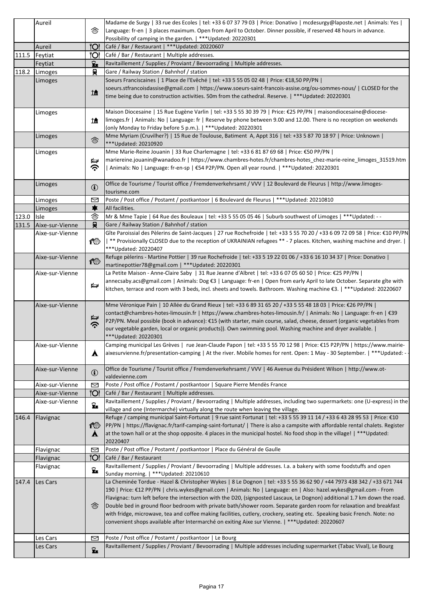|       | Aureil                |                  | Madame de Surgy   33 rue des Ecoles   tel: +33 6 07 37 79 03   Price: Donativo   mcdesurgy@laposte.net   Animals: Yes                                                            |
|-------|-----------------------|------------------|----------------------------------------------------------------------------------------------------------------------------------------------------------------------------------|
|       |                       | 嵞                | Language: fr-en   3 places maximum. Open from April to October. Dinner possible, if reserved 48 hours in advance.                                                                |
|       |                       |                  | Possibility of camping in the garden.   *** Updated: 20220301                                                                                                                    |
|       | Aureil                | 'Ol              | Café / Bar / Restaurant   ***Updated: 20220607                                                                                                                                   |
|       | 111.5 Feytiat         | 'Ol              | Café / Bar / Restaurant   Multiple addresses.                                                                                                                                    |
|       | Feytiat               | $\mathbf{F}$     | Ravitaillement / Supplies / Proviant / Bevoorrading   Multiple addresses.                                                                                                        |
|       | 118.2 Limoges         | 貝                | Gare / Railway Station / Bahnhof / station                                                                                                                                       |
|       | Limoges               |                  | Soeurs Franciscaines   1 Place de l'Evêché   tel: +33 5 55 05 02 48   Price: €18,50 PP/PN                                                                                        |
|       |                       | 止                | soeurs.stfrancoisdassise@gmail.com   https://www.soeurs-saint-francois-assise.org/ou-sommes-nous/   CLOSED for the                                                               |
|       |                       |                  | time being due to construction activities. 50m from the cathedral. Reserve.   *** Updated: 20220301                                                                              |
|       |                       |                  |                                                                                                                                                                                  |
|       | Limoges               |                  | Maison Diocesaine   15 Rue Eugène Varlin   tel: +33 5 55 30 39 79   Price: €25 PP/PN   maisondiocesaine@diocese-                                                                 |
|       |                       | Ħ                | limoges.fr   Animals: No   Language: fr   Reserve by phone between 9.00 and 12.00. There is no reception on weekends                                                             |
|       |                       |                  | (only Monday to Friday before 5 p.m.).   *** Updated: 20220301<br>Mme Myriam (Cruvilher?)   15 Rue de Toulouse, Batiment A, Appt 316   tel: +33 5 87 70 18 97   Price: Unknown   |
|       | Limoges               | 念                | ***Updated: 20210920                                                                                                                                                             |
|       | Limoges               |                  | Mme Marie-Reine Jouanin   33 Rue Charlemagne   tel: +33 6 81 87 69 68   Price: €50 PP/PN                                                                                         |
|       |                       | ⋭                | mariereine.jouanin@wanadoo.fr   https://www.chambres-hotes.fr/chambres-hotes_chez-marie-reine_limoges_31519.htm                                                                  |
|       |                       | <b>ごく</b>        | Animals: No   Language: fr-en-sp   €54 P2P/PN. Open all year round.   ***Updated: 20220301                                                                                       |
|       |                       |                  |                                                                                                                                                                                  |
|       | Limoges               |                  | Office de Tourisme / Tourist office / Fremdenverkehrsamt / VVV   12 Boulevard de Fleurus   http://www.limoges-                                                                   |
|       |                       | $\bigcirc$       | tourisme.com                                                                                                                                                                     |
|       | Limoges               | ⊠                | Poste / Post office / Postamt / postkantoor   6 Boulevard de Fleurus   *** Updated: 20210810                                                                                     |
|       | Limoges               | ☀                | All facilities.                                                                                                                                                                  |
| 123.0 | Isle                  | 念                | Mr & Mme Tapie   64 Rue des Bouleaux   tel: +33 5 55 05 05 46   Suburb southwest of Limoges   *** Updated: --                                                                    |
|       | 131.5 Aixe-sur-Vienne | 9                | Gare / Railway Station / Bahnhof / station                                                                                                                                       |
|       | Aixe-sur-Vienne       |                  | Gîte Paroissial des Pèlerins de Saint-Jacques   27 rue Rochefroide   tel: +33 5 55 70 20 / +33 6 09 72 09 58   Price: €10 PP/PN                                                  |
|       |                       | ඟ                | ** Provisionally CLOSED due to the reception of UKRAINIAN refugees ** - 7 places. Kitchen, washing machine and dryer.                                                            |
|       |                       |                  | *** Updated: 20220407                                                                                                                                                            |
|       | Aixe-sur-Vienne       | 检                | Refuge pèlerins - Martine Pottier   39 rue Rochefroide   tel: +33 5 19 22 01 06 / +33 6 16 10 34 37   Price: Donativo                                                            |
|       |                       |                  | martinepottier78@gmail.com   ***Updated: 20220301                                                                                                                                |
|       | Aixe-sur-Vienne       |                  | La Petite Maison - Anne-Claire Saby   31 Rue Jeanne d'Albret   tel: +33 6 07 05 60 50   Price: €25 PP/PN                                                                         |
|       |                       |                  | annecsaby.acs@gmail.com   Animals: Dog €3   Language: fr-en   Open from early April to late October. Separate gîte with                                                          |
|       |                       | ⋭                | kitchen, terrace and room with 3 beds, incl. sheets and towels. Bathroom. Washing machine €3.   *** Updated: 20220607                                                            |
|       |                       |                  |                                                                                                                                                                                  |
|       | Aixe-sur-Vienne       |                  | Mme Véronique Pain   10 Allée du Grand Rieux   tel: +33 6 89 31 65 20 / +33 5 55 48 18 03   Price: €26 PP/PN                                                                     |
|       |                       |                  | contact@chambres-hotes-limousin.fr   https://www.chambres-hotes-limousin.fr/   Animals: No   Language: fr-en   €39                                                               |
|       |                       | ふで               | P2P/PN. Meal possible (book in advance): €15 (with starter, main course, salad, cheese, dessert (organic vegetables from                                                         |
|       |                       |                  | our vegetable garden, local or organic products)). Own swimming pool. Washing machine and dryer available.  <br>***Updated: 20220301                                             |
|       | Aixe-sur-Vienne       |                  | Camping municipal Les Grèves   rue Jean-Claude Papon   tel: +33 5 55 70 12 98   Price: €15 P2P/PN   https://www.mairie-                                                          |
|       |                       | Å                | aixesurvienne.fr/presentation-camping   At the river. Mobile homes for rent. Open: 1 May - 30 September.   ***Updated: -                                                         |
|       |                       |                  |                                                                                                                                                                                  |
|       | Aixe-sur-Vienne       |                  | Office de Tourisme / Tourist office / Fremdenverkehrsamt / VVV   46 Avenue du Président Wilson   http://www.ot-                                                                  |
|       |                       | $\mathbf{G}$     | valdevienne.com                                                                                                                                                                  |
|       | Aixe-sur-Vienne       | ⊠                | Poste / Post office / Postamt / postkantoor   Square Pierre Mendès France                                                                                                        |
|       | Aixe-sur-Vienne       | <b>"Ol</b>       | Café / Bar / Restaurant   Multiple addresses.                                                                                                                                    |
|       | Aixe-sur-Vienne       |                  | Ravitaillement / Supplies / Proviant / Bevoorrading   Multiple addresses, including two supermarkets: one (U-express) in the                                                     |
|       |                       | Ŷ.               | village and one (Intermarché) virtually along the route when leaving the village.                                                                                                |
| 146.4 | Flavignac             |                  | Refuge / camping municipal Saint-Fortunat   9 rue saint Fortunat   tel: +33 5 55 39 11 14 / +33 6 43 28 95 53   Price: €10                                                       |
|       |                       | 1 organisas      | PP/PN   https://flavignac.fr/tarif-camping-saint-fortunat/   There is also a campsite with affordable rental chalets. Register                                                   |
|       |                       | $\blacktriangle$ | at the town hall or at the shop opposite. 4 places in the municipal hostel. No food shop in the village!   *** Updated:                                                          |
|       |                       |                  | 20220407                                                                                                                                                                         |
|       | Flavignac             | ⊠                | Poste / Post office / Postamt / postkantoor   Place du Général de Gaulle                                                                                                         |
|       | Flavignac             | <b>"Ol</b>       | Café / Bar / Restaurant                                                                                                                                                          |
|       | Flavignac             | $\mathbf{z}$     | Ravitaillement / Supplies / Proviant / Bevoorrading   Multiple addresses. I.a. a bakery with some foodstuffs and open                                                            |
|       |                       |                  | Sunday morning.   *** Updated: 20210610                                                                                                                                          |
|       | 147.4 Les Cars        |                  | La Cheminée Tordue - Hazel & Christopher Wykes   8 Le Dognon   tel: +33 5 55 36 62 90 / +44 7973 438 342 / +33 671 744                                                           |
|       |                       |                  | 190   Price: €12 PP/PN   chris.wykes@gmail.com   Animals: No   Language: en   Also: hazel.wykes@gmail.com - From                                                                 |
|       |                       |                  | Flavignac: turn left before the intersection with the D20, (signposted Lascaux, Le Dognon) additional 1.7 km down the road.                                                      |
|       |                       | 参                | Double bed in ground floor bedroom with private bath/shower room. Separate garden room for relaxation and breakfast                                                              |
|       |                       |                  | with fridge, microwave, tea and coffee making facilities, cutlery, crockery, seating etc. Speaking basic French. Note: no                                                        |
|       |                       |                  | convenient shops available after Intermarché on exiting Aixe sur Vienne.   *** Updated: 20220607                                                                                 |
|       |                       |                  |                                                                                                                                                                                  |
|       | Les Cars              | ⊠                | Poste / Post office / Postamt / postkantoor   Le Bourg<br>Ravitaillement / Supplies / Proviant / Bevoorrading   Multiple addresses including supermarket (Tabac Vival), Le Bourg |
|       | Les Cars              | $\mathbf{z}$     |                                                                                                                                                                                  |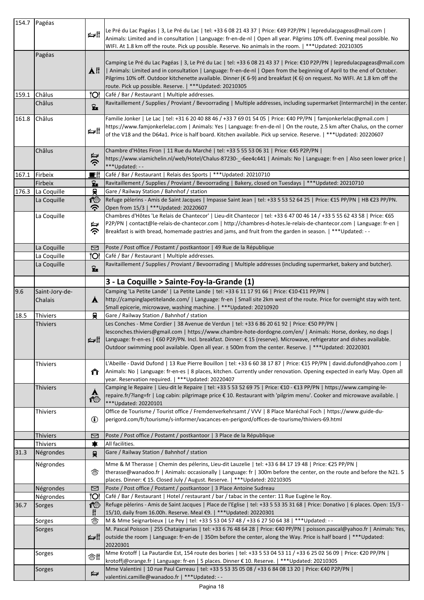|       | 154.7 Pagéas    |                  |                                                                                                                                 |
|-------|-----------------|------------------|---------------------------------------------------------------------------------------------------------------------------------|
|       |                 |                  | Le Pré du Lac Pagéas   3, Le Pré du Lac   tel: +33 6 08 21 43 37   Price: €49 P2P/PN   lepredulacpageas@mail.com                |
|       |                 | ⊯∥               | Animals: Limited and in consultation   Language: fr-en-de-nl   Open all year. Pilgrims 10% off. Evening meal possible. No       |
|       |                 |                  | WIFI. At 1.8 km off the route. Pick up possible. Reserve. No animals in the room.   *** Updated: 20210305                       |
|       | Pagéas          |                  |                                                                                                                                 |
|       |                 |                  | Camping Le Pré du Lac Pagéas   3, Le Pré du Lac   tel: +33 6 08 21 43 37   Price: €10 P2P/PN   lepredulacpageas@mail.com        |
|       |                 | ĂII              | Animals: Limited and in consultation   Language: fr-en-de-nl   Open from the beginning of April to the end of October.          |
|       |                 |                  |                                                                                                                                 |
|       |                 |                  | Pilgrims 10% off. Outdoor kitchenette available. Dinner (€ 6-9) and breakfast (€ 6) on request. No WIFI. At 1.8 km off the      |
|       |                 |                  | route. Pick up possible. Reserve.   *** Updated: 20210305                                                                       |
| 159.1 | Châlus          | 'Ol              | Café / Bar / Restaurant   Multiple addresses.                                                                                   |
|       | Châlus          | $\mathbf{z}$     | Ravitaillement / Supplies / Proviant / Bevoorrading   Multiple addresses, including supermarket (Intermarché) in the center.    |
|       |                 |                  |                                                                                                                                 |
| 161.8 | Châlus          |                  | Familie Jonker   Le Lac   tel: +31 6 20 40 88 46 / +33 7 69 01 54 05   Price: €40 PP/PN   famjonkerlelac@gmail.com              |
|       |                 | ⊯∦               | https://www.famjonkerlelac.com   Animals: Yes   Language: fr-en-de-nl   On the route, 2.5 km after Chalus, on the corner        |
|       |                 |                  | of the V18 and the D64a1. Price is half board. Kitchen available. Pick up service. Reserve.   *** Updated: 20220607             |
|       |                 |                  |                                                                                                                                 |
|       | Châlus          |                  | Chambre d'Hôtes Firon   11 Rue du Marché   tel: +33 5 55 53 06 31   Price: €45 P2P/PN                                           |
|       |                 | ⋭<br>ふ           | https://www.viamichelin.nl/web/Hotel/Chalus-87230-_-6ee4c441   Animals: No   Language: fr-en   Also seen lower price            |
|       |                 |                  | ***Updated: --                                                                                                                  |
| 167.1 | Firbeix         | e ¦j             | Café / Bar / Restaurant   Relais des Sports   *** Updated: 20210710                                                             |
|       | Firbeix         | £                | Ravitaillement / Supplies / Proviant / Bevoorrading   Bakery, closed on Tuesdays   *** Updated: 20210710                        |
| 176.3 | La Coquille     | 貝                | Gare / Railway Station / Bahnhof / station                                                                                      |
|       | La Coquille     | 检                | Refuge pèlerins - Amis de Saint Jacques   Impasse Saint Jean   tel: +33 5 53 52 64 25   Price: €15 PP/PN   HB €23 PP/PN.        |
|       |                 | ら                | Open from 15/3   *** Updated: 20220607                                                                                          |
|       | La Coquille     |                  | Chambres d'Hôtes 'Le Relais de Chantecor'   Lieu-dit Chantecor   tel: +33 6 47 00 46 14 / +33 5 55 62 43 58   Price: €65        |
|       |                 | ⋭⋥               | P2P/PN   contact@le-relais-de-chantecor.com   http://chambres-d-hotes.le-relais-de-chantecor.com   Language: fr-en              |
|       |                 | ふ                | Breakfast is with bread, homemade pastries and jams, and fruit from the garden in season.   *** Updated: --                     |
|       |                 |                  |                                                                                                                                 |
|       | La Coquille     | ⊠                | Poste / Post office / Postamt / postkantoor   49 Rue de la République                                                           |
|       | La Coquille     | <b>"Ol</b>       | Café / Bar / Restaurant   Multiple addresses.                                                                                   |
|       | La Coquille     |                  | Ravitaillement / Supplies / Proviant / Bevoorrading   Multiple addresses (including supermarket, bakery and butcher).           |
|       |                 | $\mathbf{z}$     |                                                                                                                                 |
|       |                 |                  |                                                                                                                                 |
|       |                 |                  | 3 - La Coquille > Sainte-Foy-la-Grande (1)                                                                                      |
| 9.6   | Saint-Jory-de-  |                  | Camping 'La Petite Lande'   La Petite Lande   tel: +33 6 11 17 91 66   Price: €10-€11 PP/PN                                     |
|       | Chalais         | $\blacktriangle$ | http://campinglapetitelande.com/   Language: fr-en   Small site 2km west of the route. Price for overnight stay with tent.      |
|       |                 |                  | Small epicerie, microwave, washing machine.   *** Updated: 20210920                                                             |
| 18.5  | <b>Thiviers</b> | 員                | Gare / Railway Station / Bahnhof / station                                                                                      |
|       | <b>Thiviers</b> |                  | Les Conches - Mme Cordier   38 Avenue de Verdun   tel: +33 6 86 20 61 92   Price: €50 PP/PN                                     |
|       |                 |                  | lesconches.thiviers@gmail.com   https://www.chambre-hote-dordogne.com/en/   Animals: Horse, donkey, no dogs                     |
|       |                 | ⊯ ∦              | Language: fr-en-es   €60 P2P/PN. Incl. breakfast. Dinner: € 15 (reserve). Microwave, refrigerator and dishes available.         |
|       |                 |                  | Outdoor swimming pool available. Open all year. ± 500m from the center. Reserve.   *** Updated: 20220301                        |
|       |                 |                  |                                                                                                                                 |
|       | <b>Thiviers</b> |                  | L'Abeille - David Dufond   13 Rue Pierre Bouillon   tel: +33 6 60 38 17 87   Price: €15 PP/PN   david.dufond@yahoo.com          |
|       |                 | ∩                | Animals: No   Language: fr-en-es   8 places, kitchen. Currently under renovation. Opening expected in early May. Open all       |
|       |                 |                  | year. Reservation required.   *** Updated: 20220407                                                                             |
|       | <b>Thiviers</b> | $\blacktriangle$ | Camping le Repaire   Lieu-dit le Repaire   tel: +33 5 53 52 69 75   Price: €10 - €13 PP/PN   https://www.camping-le-            |
|       |                 | ඟ                | repaire.fr/?lang=fr   Log cabin: pilgrimage price € 10. Restaurant with 'pilgrim menu'. Cooker and microwave available.         |
|       |                 |                  | *** Updated: 20220101                                                                                                           |
|       | <b>Thiviers</b> |                  | Office de Tourisme / Tourist office / Fremdenverkehrsamt / VVV   8 Place Maréchal Foch   https://www.guide-du-                  |
|       |                 | $\bf(i)$         | perigord.com/fr/tourisme/s-informer/vacances-en-perigord/offices-de-tourisme/thiviers-69.html                                   |
|       |                 |                  |                                                                                                                                 |
|       | <b>Thiviers</b> | ⊠                | Poste / Post office / Postamt / postkantoor   3 Place de la République                                                          |
|       | <b>Thiviers</b> | ★                | All facilities.                                                                                                                 |
| 31.3  | Négrondes       | 貝                | Gare / Railway Station / Bahnhof / station                                                                                      |
|       | Négrondes       |                  | Mme & M Therasse   Chemin des pélerins, Lieu-dit Lauzelie   tel: +33 6 84 17 19 48   Price: €25 PP/PN                           |
|       |                 | 忝                | therasse@wanadoo.fr   Animals: occasionally   Language: fr   300m before the center, on the route and before the N21.5          |
|       |                 |                  | places. Dinner: €15. Closed July / August. Reserve.   *** Updated: 20210305                                                     |
|       | Négrondes       | 罓                | Poste / Post office / Postamt / postkantoor   3 Place Antoine Sudreau                                                           |
|       | Négrondes       | 'Ol              | Café / Bar / Restaurant   Hotel / restaurant / bar / tabac in the center: 11 Rue Eugène le Roy.                                 |
|       |                 |                  |                                                                                                                                 |
| 36.7  | Sorges          | 检                | Refuge pèlerins - Amis de Saint Jacques   Place de l'Eglise   tel: +33 5 53 35 31 68   Price: Donativo   6 places. Open: 15/3 - |
|       |                 | Ħ                | 15/10, daily from 16.00h. Reserve. Meal €9.   *** Updated: 20220301                                                             |
|       | Sorges          | 翕                | M & Mme Seignarbieux   Le Pey   tel: +33 5 53 04 57 48 / +33 6 27 50 64 38   *** Updated: --                                    |
|       | Sorges          |                  | M. Pascal Poisson   255 Chataignarias   tel: +33 6 76 48 64 28   Price: €40 PP/PN   poisson.pascal@yahoo.fr   Animals: Yes,     |
|       |                 | ⊯⊯               | outside the room   Language: fr-en-de   350m before the center, along the Way. Price is half board   ***Updated:                |
|       |                 |                  | 20220301                                                                                                                        |
|       | Sorges          | ❀‼               | Mme Krotoff   La Pautardie Est, 154 route des bories   tel: +33 5 53 04 53 11 / +33 6 25 02 56 09   Price: €20 PP/PN            |
|       |                 |                  | krotoffj@orange.fr   Language: fr-en   5 places. Dinner € 10. Reserve.   *** Updated: 20210305                                  |
|       | Sorges          | ⋭                | Mme Valentini   10 rue Paul Carreau   tel: +33 5 53 35 05 08 / +33 6 84 08 13 20   Price: €40 P2P/PN                            |
|       |                 |                  | valentini.camille@wanadoo.fr   ***Updated: - -                                                                                  |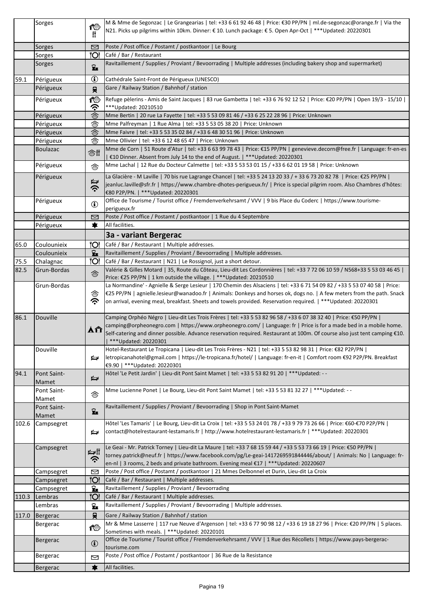|       | Sorges                      | ඟ<br>8         | M & Mme de Segonzac   Le Grangearias   tel: +33 6 61 92 46 48   Price: €30 PP/PN   ml.de-segonzac@orange.fr   Via the<br>N21. Picks up pilgrims within 10km. Dinner: € 10. Lunch package: € 5. Open Apr-Oct   *** Updated: 20220301                                                                                                                                                           |
|-------|-----------------------------|----------------|-----------------------------------------------------------------------------------------------------------------------------------------------------------------------------------------------------------------------------------------------------------------------------------------------------------------------------------------------------------------------------------------------|
|       | Sorges                      | ⊠              | Poste / Post office / Postamt / postkantoor   Le Bourg                                                                                                                                                                                                                                                                                                                                        |
|       | Sorges                      | <b>"Ol</b>     | Café / Bar / Restaurant                                                                                                                                                                                                                                                                                                                                                                       |
|       | Sorges                      | $\mathbf{z}$   | Ravitaillement / Supplies / Proviant / Bevoorrading   Multiple addresses (including bakery shop and supermarket)                                                                                                                                                                                                                                                                              |
| 59.1  | Périgueux                   | $\bf G$        | Cathédrale Saint-Front de Périgueux (UNESCO)                                                                                                                                                                                                                                                                                                                                                  |
|       | Périgueux                   | 貝              | Gare / Railway Station / Bahnhof / station                                                                                                                                                                                                                                                                                                                                                    |
|       |                             |                |                                                                                                                                                                                                                                                                                                                                                                                               |
|       | Périgueux                   | ඟ<br>ふ         | Refuge pèlerins - Amis de Saint Jacques   83 rue Gambetta   tel: +33 6 76 92 12 52   Price: €20 PP/PN   Open 19/3 - 15/10  <br>***Updated: 20210510                                                                                                                                                                                                                                           |
|       | Périgueux                   | 念              | Mme Bertin   20 rue La Fayette   tel: +33 5 53 09 81 46 / +33 6 25 22 28 96   Price: Unknown                                                                                                                                                                                                                                                                                                  |
|       | Périgueux                   | 念              | Mme Palfreyman   1 Rue Alma   tel: +33 5 53 05 38 20   Price: Unknown                                                                                                                                                                                                                                                                                                                         |
|       | Périgueux                   | 翁              | Mme Faivre   tel: +33 5 53 35 02 84 / +33 6 48 30 51 96   Price: Unknown                                                                                                                                                                                                                                                                                                                      |
|       | Périgueux                   | 参              | Mme Ollivier   tel: +33 6 12 48 65 47   Price: Unknown                                                                                                                                                                                                                                                                                                                                        |
|       | Boulazac                    | ◈‼             | Mme de Corn   51 Route d'Atur   tel: +33 6 63 99 78 43   Price: €15 PP/PN   genevieve.decorn@free.fr   Language: fr-en-es<br>  €10 Dinner. Absent from July 14 to the end of August.   *** Updated: 20220301                                                                                                                                                                                  |
|       | Périgueux                   | 翁              | Mme Lachal   12 Rue du Docteur Calmette   tel: +33 5 53 53 01 15 / +33 6 62 01 19 58   Price: Unknown                                                                                                                                                                                                                                                                                         |
|       | Périgueux                   | ⋭<br>ふ         | La Glacière - M Laville   70 bis rue Lagrange Chancel   tel: +33 5 24 13 20 33 / + 33 6 73 20 82 78   Price: €25 PP/PN  <br>jeanluc.laville@sfr.fr   https://www.chambre-dhotes-perigueux.fr/   Price is special pilgrim room. Also Chambres d'hôtes:<br>€80 P2P/PN.   *** Updated: 20220301                                                                                                  |
|       | Périgueux                   | $\bf{G}$       | Office de Tourisme / Tourist office / Fremdenverkehrsamt / VVV   9 bis Place du Coderc   https://www.tourisme-<br>perigueux.fr                                                                                                                                                                                                                                                                |
|       | Périgueux                   | ⊠              | Poste / Post office / Postamt / postkantoor   1 Rue du 4 Septembre                                                                                                                                                                                                                                                                                                                            |
|       | Périgueux                   | ★              | All facilities.                                                                                                                                                                                                                                                                                                                                                                               |
|       |                             |                | 3a - variant Bergerac                                                                                                                                                                                                                                                                                                                                                                         |
| 65.0  | Coulounieix                 | ÏΟl            | Café / Bar / Restaurant   Multiple addresses.                                                                                                                                                                                                                                                                                                                                                 |
|       | Coulounieix                 | $\mathbf{z}$   | Ravitaillement / Supplies / Proviant / Bevoorrading   Multiple addresses.                                                                                                                                                                                                                                                                                                                     |
| 75.5  | Chalagnac                   | ''Ol           | Café / Bar / Restaurant   N21   Le Rossignol, just a short detour.                                                                                                                                                                                                                                                                                                                            |
| 82.5  | Grun-Bordas                 |                | Valérie & Gilles Motard   35, Route du Côteau, Lieu-dit Les Cordonnières   tel: +33 7 72 06 10 59 / N568+33 5 53 03 46 45                                                                                                                                                                                                                                                                     |
|       |                             | 参              | Price: €25 PP/PN   1 km outside the village.   *** Updated: 20210510                                                                                                                                                                                                                                                                                                                          |
|       | Grun-Bordas                 | 念<br><b>ごく</b> | La Normandine' - Agnielle & Serge Lesieur   170 Chemin des Alsaciens   tel: +33 6 71 54 09 82 / +33 5 53 07 40 58   Price:<br>€25 PP/PN   agnielle.lesieur@wanadoo.fr   Animals: Donkeys and horses ok, dogs no.   A few meters from the path. Snack<br>on arrival, evening meal, breakfast. Sheets and towels provided. Reservation required.   *** Updated: 20220301                        |
| 86.1  | Douville                    | ÅÂ             | Camping Orphéo Négro   Lieu-dit Les Trois Frères   tel: +33 5 53 82 96 58 / +33 6 07 38 32 40   Price: €50 PP/PN  <br>camping@orpheonegro.com   https://www.orpheonegro.com/   Language: fr   Price is for a made bed in a mobile home.<br>Self-catering and dinner possible. Advance reservation required. Restaurant at 100m. Of course also just tent camping €10.<br>***Updated: 20220301 |
|       | Douville                    | ⋭              | Hotel-Restaurant Le Tropicana   Lieu-dit Les Trois Frères - N21   tel: +33 5 53 82 98 31   Price: €82 P2P/PN  <br>letropicanahotel@gmail.com   https://le-tropicana.fr/hotel/   Language: fr-en-it   Comfort room €92 P2P/PN. Breakfast<br>€9.90   ***Updated: 20220301                                                                                                                       |
| 94.1  | Pont Saint-<br>Mamet        | ⋭              | Hôtel 'Le Petit Jardin'   Lieu-dit Pont Saint Mamet   tel: +33 5 53 82 91 20   *** Updated: - -                                                                                                                                                                                                                                                                                               |
|       | Pont Saint-<br>Mamet        | 参              | Mme Lucienne Ponet   Le Bourg, Lieu-dit Pont Saint Mamet   tel: +33 5 53 81 32 27   *** Updated: --                                                                                                                                                                                                                                                                                           |
|       | <b>Pont Saint-</b><br>Mamet | $\mathbf{z}$   | Ravitaillement / Supplies / Proviant / Bevoorrading   Shop in Pont Saint-Mamet                                                                                                                                                                                                                                                                                                                |
| 102.6 | Campsegret                  | ⋭              | Hôtel 'Les Tamaris'   Le Bourg, Lieu-dit La Croix   tel: +33 5 53 24 01 78 / +33 9 79 73 26 66   Price: €60-€70 P2P/PN  <br>contact@hotelrestaurant-lestamaris.fr   http://www.hotelrestaurant-lestamaris.fr   ***Updated: 20220301                                                                                                                                                           |
|       | Campsegret                  | ⊯∦<br>ふ        | Le Geai - Mr. Patrick Torney   Lieu-dit La Maure   tel: +33 7 68 15 59 44 / +33 5 53 73 66 19   Price: €50 PP/PN  <br>torney.patrick@neuf.fr   https://www.facebook.com/pg/Le-geai-1417269591844446/about/   Animals: No   Language: fr-<br>en-nl   3 rooms, 2 beds and private bathroom. Evening meal €17   *** Updated: 20220607                                                            |
|       | Campsegret                  | ⊠              | Poste / Post office / Postamt / postkantoor   21 Mmes Delbonnel et Durin, Lieu-dit La Croix                                                                                                                                                                                                                                                                                                   |
|       | Campsegret                  | ''Ol           | Café / Bar / Restaurant   Multiple addresses.                                                                                                                                                                                                                                                                                                                                                 |
|       | Campsegret                  | ⊾              | Ravitaillement / Supplies / Proviant / Bevoorrading                                                                                                                                                                                                                                                                                                                                           |
| 110.3 | Lembras                     | ÏО             | Café / Bar / Restaurant   Multiple addresses.                                                                                                                                                                                                                                                                                                                                                 |
|       | Lembras                     | ⊾              | Ravitaillement / Supplies / Proviant / Bevoorrading   Multiple addresses.                                                                                                                                                                                                                                                                                                                     |
| 117.0 | Bergerac                    | 貝              | Gare / Railway Station / Bahnhof / station                                                                                                                                                                                                                                                                                                                                                    |
|       | Bergerac                    | ඟ              | Mr & Mme Lasserre   117 rue Neuve d'Argenson   tel: +33 6 77 90 98 12 / +33 6 19 18 27 96   Price: €20 PP/PN   5 places.<br>Sometimes with meals.   *** Updated: 20220101                                                                                                                                                                                                                     |
|       | <b>Bergerac</b>             | $\bigcirc$     | Office de Tourisme / Tourist office / Fremdenverkehrsamt / VVV   1 Rue des Récollets   https://www.pays-bergerac-                                                                                                                                                                                                                                                                             |
|       | Bergerac                    | ⊠              | tourisme.com<br>Poste / Post office / Postamt / postkantoor   36 Rue de la Resistance                                                                                                                                                                                                                                                                                                         |
|       | Bergerac                    |                | All facilities.                                                                                                                                                                                                                                                                                                                                                                               |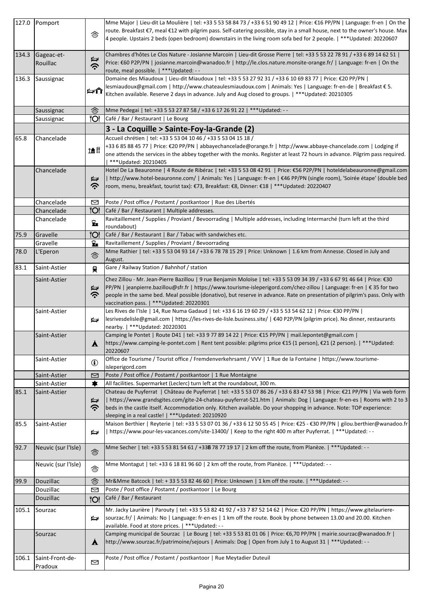|       | 127.0 Pomport                | 念                | Mme Major   Lieu-dit La Moulière   tel: +33 5 53 58 84 73 / +33 6 51 90 49 12   Price: €16 PP/PN   Language: fr-en   On the<br>route. Breakfast €7, meal €12 with pilgrim pass. Self-catering possible, stay in a small house, next to the owner's house. Max<br>4 people. Upstairs 2 beds (open bedroom) downstairs in the living room sofa bed for 2 people.   *** Updated: 20220607                                                                                                                         |
|-------|------------------------------|------------------|----------------------------------------------------------------------------------------------------------------------------------------------------------------------------------------------------------------------------------------------------------------------------------------------------------------------------------------------------------------------------------------------------------------------------------------------------------------------------------------------------------------|
|       | 134.3 Gageac-et-<br>Rouillac | ÅĆ               | Chambres d'hôtes Le Clos Nature - Josianne Marcoin   Lieu-dit Grosse Pierre   tel: +33 5 53 22 78 91 / +33 6 89 14 62 51  <br>Price: €60 P2P/PN   josianne.marcoin@wanadoo.fr   http://le.clos.nature.monsite-orange.fr/   Language: fr-en   On the<br>route, meal possible.   *** Updated: - -                                                                                                                                                                                                                |
| 136.3 | Saussignac                   | ⊭กิ              | Domaine des Miaudoux   Lieu-dit Miaudoux   tel: +33 5 53 27 92 31 / +33 6 10 69 83 77   Price: €20 PP/PN  <br>lesmiaudoux@gmail.com   http://www.chateaulesmiaudoux.com   Animals: Yes   Language: fr-en-de   Breakfast € 5.<br>Kitchen available. Reserve 2 days in advance. July and Aug closed to groups.   *** Updated: 20210305                                                                                                                                                                           |
|       | Saussignac                   | 念                | Mme Pedegai   tel: +33 5 53 27 87 58 / +33 6 17 26 91 22   *** Updated: --                                                                                                                                                                                                                                                                                                                                                                                                                                     |
|       | Saussignac                   |                  | <b>O</b>   Café / Bar / Restaurant   Le Bourg                                                                                                                                                                                                                                                                                                                                                                                                                                                                  |
|       |                              |                  | 3 - La Coquille > Sainte-Foy-la-Grande (2)                                                                                                                                                                                                                                                                                                                                                                                                                                                                     |
| 65.8  | Chancelade                   | ta It            | Accueil chrétien   tel: +33 5 53 04 10 46 / +33 5 53 04 15 18 /<br>+33 6 85 88 45 77   Price: €20 PP/PN   abbayechancelade@orange.fr   http://www.abbaye-chancelade.com   Lodging if<br>one attends the services in the abbey together with the monks. Register at least 72 hours in advance. Pilgrim pass required.<br>  ***Updated: 20210405                                                                                                                                                                 |
|       | Chancelade                   | ⋭<br>ふ           | Hotel De La Beauronne   4 Route de Ribérac   tel: +33 5 53 08 42 91   Price: €56 P2P/PN   hoteldelabeauronne@gmail.com<br>   http://www.hotel-beauronne.com/   Animals: Yes   Language: fr-en   €46 PP/PN (single room), 'Soirée étape' (double bed<br>room, menu, breakfast, tourist tax): €73, Breakfast: €8, Dinner: €18   ***Updated: 20220407                                                                                                                                                             |
|       | Chancelade                   | ⊠                | Poste / Post office / Postamt / postkantoor   Rue des Libertés                                                                                                                                                                                                                                                                                                                                                                                                                                                 |
|       | Chancelade                   | 'Ol              | Café / Bar / Restaurant   Multiple addresses.                                                                                                                                                                                                                                                                                                                                                                                                                                                                  |
|       | Chancelade                   | Ł                | Ravitaillement / Supplies / Proviant / Bevoorrading   Multiple addresses, including Intermarché (turn left at the third<br>roundabout)                                                                                                                                                                                                                                                                                                                                                                         |
| 75.9  | Gravelle                     | ľΟ               | Café / Bar / Restaurant   Bar / Tabac with sandwiches etc.                                                                                                                                                                                                                                                                                                                                                                                                                                                     |
|       | Gravelle                     | $\mathbf{z}$     | Ravitaillement / Supplies / Proviant / Bevoorrading                                                                                                                                                                                                                                                                                                                                                                                                                                                            |
| 78.0  | L'Eperon                     | 念                | Mme Rathier   tel: +33 5 53 04 93 14 / +33 6 78 78 15 29   Price: Unknown   1.6 km from Annesse. Closed in July and<br>August.                                                                                                                                                                                                                                                                                                                                                                                 |
| 83.1  | Saint-Astier                 | 貝                | Gare / Railway Station / Bahnhof / station                                                                                                                                                                                                                                                                                                                                                                                                                                                                     |
|       | Saint-Astier                 | ⋭<br>ふ           | Chez Zillou - Mr. Jean-Pierre Bazillou   9 rue Benjamin Moloïse   tel: +33 5 53 09 34 39 / +33 6 67 91 46 64   Price: €30<br> PP/PN   jeanpierre.bazillou@sfr.fr   https://www.tourisme-isleperigord.com/chez-zillou   Language: fr-en   € 35 for two<br>people in the same bed. Meal possible (donativo), but reserve in advance. Rate on presentation of pilgrim's pass. Only with<br>vaccination pass.   *** Updated: 20220301                                                                              |
|       | Saint-Astier                 | ఆ                | Les Rives de l'Isle   14, Rue Numa Gadaud   tel: +33 6 16 19 60 29 / +33 5 53 54 62 12   Price: €30 PP/PN  <br> lesrivesdelisle@gmail.com   https://les-rives-de-lisle.business.site/   €40 P2P/PN (pilgrim price). No dinner, restaurants<br>nearby.   *** Updated: 20220301                                                                                                                                                                                                                                  |
|       | Saint-Astier                 | $\blacktriangle$ | Camping le Pontet   Route D41   tel: +33 9 77 89 14 22   Price: €15 PP/PN   mail.lepontet@gmail.com  <br> https://www.camping-le-pontet.com   Rent tent possible: pilgrims price €15 (1 person), €21 (2 person).   ***Updated:<br>20220607                                                                                                                                                                                                                                                                     |
|       | Saint-Astier                 | $\bf \bf 0$      | Office de Tourisme / Tourist office / Fremdenverkehrsamt / VVV   1 Rue de la Fontaine   https://www.tourisme-<br>isleperigord.com                                                                                                                                                                                                                                                                                                                                                                              |
|       | Saint-Astier                 | 罓                | Poste / Post office / Postamt / postkantoor   1 Rue Montaigne                                                                                                                                                                                                                                                                                                                                                                                                                                                  |
| 85.1  | Saint-Astier<br>Saint-Astier | ★<br>⋭<br>ふ      | All facilities. Supermarket (Leclerc) turn left at the roundabout, 300 m.<br>Chateau de Puyferrat   Château de Puyferrat   tel: +33 5 53 07 86 26 / +33 6 83 47 53 98   Price: €21 PP/PN   Via web form<br>https://www.grandsgites.com/gite-24-chateau-puyferrat-521.htm   Animals: Dog   Language: fr-en-es   Rooms with 2 to 3<br>beds in the castle itself. Accommodation only. Kitchen available. Do your shopping in advance. Note: TOP experience:<br>sleeping in a real castle!   *** Updated: 20210920 |
| 85.5  | Saint-Astier                 | ⋭                | Maison Berthier   Reyterie   tel: +33 5 53 07 01 36 / +33 6 12 50 55 45   Price: €25 - €30 PP/PN   gilou.berthier@wanadoo.fr<br>- - https://www.pour-les-vacances.com/site-13400/   Keep to the right 400 m after Puyferrat.   ***Updated: - -                                                                                                                                                                                                                                                                 |
| 92.7  | Neuvic (sur l'Isle)          | 念                | Mme Secher   tel: +33 5 53 81 54 61 / +33 78 77 19 17   2 km off the route, from Planèze.   *** Updated: --                                                                                                                                                                                                                                                                                                                                                                                                    |
|       | Neuvic (sur l'Isle)          | 念                | Mme Montagut   tel: +33 6 18 81 96 60   2 km off the route, from Planèze.   *** Updated: --                                                                                                                                                                                                                                                                                                                                                                                                                    |
| 99.9  | Douzillac                    | 念                | Mr&Mme Batcock   tel: + 33 5 53 82 46 60   Price: Unknown   1 km off the route.   *** Updated: --                                                                                                                                                                                                                                                                                                                                                                                                              |
|       | Douzillac                    | ⊠                | Poste / Post office / Postamt / postkantoor   Le Bourg                                                                                                                                                                                                                                                                                                                                                                                                                                                         |
|       | Douzillac                    | <b>O</b>         | Café / Bar / Restaurant                                                                                                                                                                                                                                                                                                                                                                                                                                                                                        |
| 105.1 | Sourzac                      | ⋭                | Mr. Jacky Laurière   Parouty   tel: +33 5 53 82 41 92 / +33 7 87 52 14 62   Price: €20 PP/PN   https://www.gitelauriere-<br>sourzac.fr/   Animals: No   Language: fr-en-es   1 km off the route. Book by phone between 13.00 and 20.00. Kitchen<br>available. Food at store prices.   *** Updated: - -                                                                                                                                                                                                         |
|       | Sourzac                      | $\blacktriangle$ | Camping municipal de Sourzac   Le Bourg   tel: +33 5 53 81 01 06   Price: €6,70 PP/PN   mairie.sourzac@wanadoo.fr  <br>http://www.sourzac.fr/patrimoine/sejours   Animals: Dog   Open from July 1 to August 31   *** Updated: - -                                                                                                                                                                                                                                                                              |
| 106.1 | Saint-Front-de-<br>Pradoux   | ⊠                | Poste / Post office / Postamt / postkantoor   Rue Meytadier Duteuil                                                                                                                                                                                                                                                                                                                                                                                                                                            |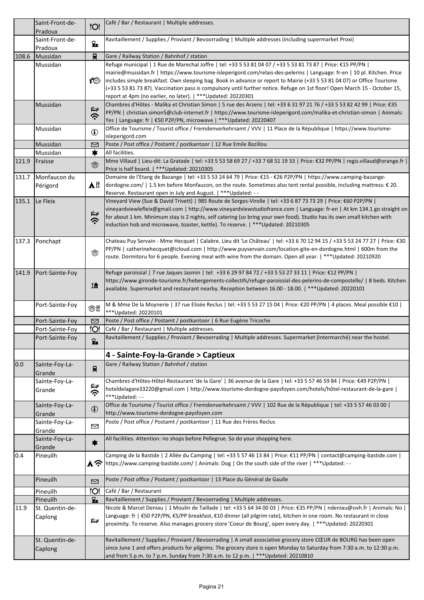|       | Saint-Front-de- |              | Café / Bar / Restaurant   Multiple addresses.                                                                                |
|-------|-----------------|--------------|------------------------------------------------------------------------------------------------------------------------------|
|       | Pradoux         | <b>O</b>     |                                                                                                                              |
|       | Saint-Front-de- |              | Ravitaillement / Supplies / Proviant / Bevoorrading   Multiple addresses (including supermarket Proxi)                       |
|       | Pradoux         | Ŷ.           |                                                                                                                              |
|       | 108.6 Mussidan  | 貝            | Gare / Railway Station / Bahnhof / station                                                                                   |
|       | Mussidan        |              | Refuge municipal   1 Rue de Marechal Joffre   tel: +33 5 53 81 04 07 / +33 5 53 81 73 87   Price: €15 PP/PN                  |
|       |                 |              | mairie@mussidan.fr   https://www.tourisme-isleperigord.com/relais-des-pelerins   Language: fr-en   10 pl. Kitchen. Price     |
|       |                 | 命            | includes simple breakfast. Own sleeping bag. Book in advance or report to Mairie (+33 5 53 81 04 07) or Office Tourisme      |
|       |                 |              | (+33 5 53 81 73 87). Vaccination pass is compulsory until further notice. Refuge on 1st floor! Open March 15 - October 15,   |
|       |                 |              | report at 4pm (no earlier, no later).   *** Updated: 20220301                                                                |
|       | Mussidan        |              | Chambres d'Hôtes - Malika et Christian Simon   5 rue des Arzens   tel: +33 6 31 97 21 76 / +33 5 53 82 42 99   Price: €35    |
|       |                 | ふで           | PP/PN   christian.simon5@club-internet.fr   https://www.tourisme-isleperigord.com/malika-et-christian-simon   Animals:       |
|       |                 |              | Yes   Language: fr   €50 P2P/PN, microwave   *** Updated: 20220407                                                           |
|       | Mussidan        |              | Office de Tourisme / Tourist office / Fremdenverkehrsamt / VVV   11 Place de la République   https://www.tourisme-           |
|       |                 | $\bf{G}$     | isleperigord.com                                                                                                             |
|       | Mussidan        | ⊠            | Poste / Post office / Postamt / postkantoor   12 Rue Emile Bazillou                                                          |
|       | Mussidan        | ★            | All facilities.                                                                                                              |
| 121.9 | Fraisse         |              | Mme Villaud   Lieu-dit: La Gratade   tel: +33 5 53 58 69 27 / +33 7 68 51 19 33   Price: €32 PP/PN   regis.villaud@orange.fr |
|       |                 | 参            | Price is half board.   *** Updated: 20210305                                                                                 |
| 131.7 | Monfaucon du    |              | Domaine de l'Etang de Bazange   tel: +33 5 53 24 64 79   Price: €15 - €26 P2P/PN   https://www.camping-bazange-              |
|       | Périgord        | ĂII          | dordogne.com/   1.5 km before Monfaucon, on the route. Sometimes also tent rental possible, including mattress: € 20.        |
|       |                 |              | Reserve. Restaurant open in July and August.   *** Updated: --                                                               |
|       | 135.1 Le Fleix  |              | Vineyard View (Sue & David Trivett)   985 Route de Sorges-Virolle   tel: +33 6 87 73 73 29   Price: €60 P2P/PN               |
|       |                 |              | vineyardviewlefleix@gmail.com   http://www.vineyardviewstudiofrance.com   Language: fr-en   At km 134.1 go straight on       |
|       |                 | ⋭<br>ふ       | for about 1 km. Minimum stay is 2 nights, self catering (so bring your own food). Studio has its own small kitchen with      |
|       |                 |              | induction hob and microwave, toaster, kettle). To reserve.   *** Updated: 20210305                                           |
|       |                 |              |                                                                                                                              |
| 137.3 | Ponchapt        |              | Chateau Puy Servain - Mme Hecquet   Calabre. Lieu dit 'Le Château'   tel: +33 6 70 12 94 15 / +33 5 53 24 77 27   Price: €30 |
|       |                 | 念            | PP/PN   catherinehecquet@icloud.com   http://www.puyservain.com/location-gite-en-dordogne.html   600m from the               |
|       |                 |              | route. Dormitoru for 6 people. Evening meal with wine from the domain. Open all year.   ***Updated: 20210920                 |
|       |                 |              |                                                                                                                              |
| 141.9 | Port-Sainte-Foy |              | Refuge paroissial   7 rue Jaques Jasmin   tel: +33 6 29 97 84 72 / +33 5 53 27 33 11   Price: €12 PP/PN                      |
|       |                 | 止            | https://www.gironde-tourisme.fr/hebergements-collectifs/refuge-paroissial-des-pelerins-de-compostelle/   8 beds. Kitchen     |
|       |                 |              | available. Supermarket and restaurant nearby. Reception between 16.00 - 18.00.   *** Updated: 20220101                       |
|       |                 |              |                                                                                                                              |
|       | Port-Sainte-Foy | ❀‼           | M & Mme De la Moynerie   37 rue Elisée Reclus   tel: +33 5 53 27 15 04   Price: €20 PP/PN   4 places. Meal possible €10      |
|       |                 |              | *** Updated: 20220101                                                                                                        |
|       | Port-Sainte-Foy | ⊠            | Poste / Post office / Postamt / postkantoor   6 Rue Eugène Tricoche                                                          |
|       | Port-Sainte-Foy | 'Ol          | Café / Bar / Restaurant   Multiple addresses.                                                                                |
|       | Port-Sainte-Foy | £.           | Ravitaillement / Supplies / Proviant / Bevoorrading   Multiple addresses. Supermarket (Intermarché) near the hostel.         |
|       |                 |              |                                                                                                                              |
|       |                 |              | 4 - Sainte-Foy-la-Grande > Captieux                                                                                          |
| 0.0   | Sainte-Foy-La-  | 貝            | Gare / Railway Station / Bahnhof / station                                                                                   |
|       | Grande          |              |                                                                                                                              |
|       | Sainte-Foy-La-  |              | Chambres d'Hôtes-Hôtel-Restaurant 'de la Gare'   36 avenue de la Gare   tel: +33 5 57 46 59 84   Price: €49 P2P/PN           |
|       | Grande          | ふで           | hoteldelagare33220@gmail.com   http://www.tourisme-dordogne-paysfoyen.com/hotels/hôtel-restaurant-de-la-gare                 |
|       |                 |              | ***Updated:--                                                                                                                |
|       | Sainte-Foy-La-  | $\bigcirc$   | Office de Tourisme / Tourist office / Fremdenverkehrsamt / VVV   102 Rue de la République   tel: +33 5 57 46 03 00           |
|       | Grande          |              | http://www.tourisme-dordogne-paysfoyen.com                                                                                   |
|       | Sainte-Foy-La-  | ⊠            | Poste / Post office / Postamt / postkantoor   11 Rue des Frères Reclus                                                       |
|       | Grande          |              |                                                                                                                              |
|       | Sainte-Foy-La-  | $\bigstar$   | All facilities. Attention: no shops before Pellegrue. So do your shopping here.                                              |
|       | Grande          |              |                                                                                                                              |
| 0.4   | Pineuilh        |              | Camping de la Bastide   2 Allée du Camping   tel: +33 5 57 46 13 84   Price: €11 PP/PN   contact@camping-bastide.com         |
|       |                 | 人ら           | https://www.camping-bastide.com/   Animals: Dog   On the south side of the river   *** Updated: --                           |
|       |                 |              |                                                                                                                              |
|       | Pineuilh        | ⊠            | Poste / Post office / Postamt / postkantoor   13 Place du Général de Gaulle                                                  |
|       | Pineuilh        | 'Ol          | Café / Bar / Restaurant                                                                                                      |
|       | Pineuilh        | $\mathbf{F}$ | Ravitaillement / Supplies / Proviant / Bevoorrading   Multiple addresses.                                                    |
| 11.9  | St. Quentin-de- |              | Nicole & Marcel Deniau   1 Moulin de Taillade   tel: +33 5 64 34 00 03   Price: €35 PP/PN   ndeniau@ovh.fr   Animals: No     |
|       | Caplong         |              | Language: fr   €50 P2P/PN, €5/PP breakfast, €10 dinner (all pilgrim rate), kitchen in one room. No restaurant in close       |
|       |                 | ⋭            | proximity. To reserve. Also manages grocery store 'Coeur de Bourg', open every day.   *** Updated: 20220301                  |
|       |                 |              |                                                                                                                              |
|       | St. Quentin-de- |              | Ravitaillement / Supplies / Proviant / Bevoorrading   A small associative grocery store CŒUR de BOURG has been open          |
|       | Caplong         |              | since June 1 and offers products for pilgrims. The grocery store is open Monday to Saturday from 7:30 a.m. to 12:30 p.m.     |
|       |                 |              | and from 5 p.m. to 7 p.m. Sunday from 7:30 a.m. to 12 p.m.   *** Updated: 20210810                                           |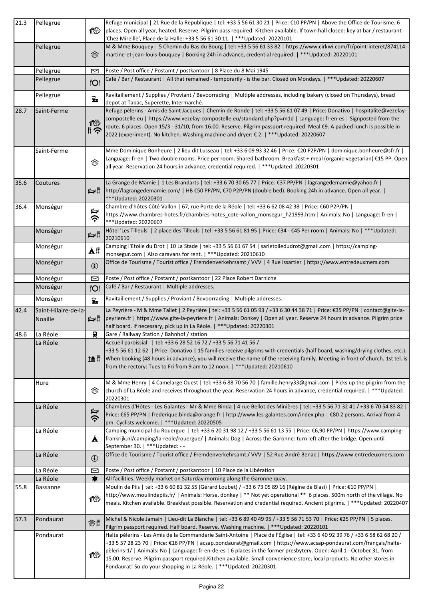| 21.3 | Pellegrue            |              | Refuge municipal   21 Rue de la Republique   tel: +33 5 56 61 30 21   Price: €10 PP/PN   Above the Office de Tourisme. 6                                                          |
|------|----------------------|--------------|-----------------------------------------------------------------------------------------------------------------------------------------------------------------------------------|
|      |                      | 10           | places. Open all year, heated. Reserve. Pilgrim pass required. Kitchen available. If town hall closed: key at bar / restaurant                                                    |
|      |                      |              | 'Chez Mireille', Place de la Halle: +33 5 56 61 30 11.   *** Updated: 20220101                                                                                                    |
|      | Pellegrue            |              | M & Mme Bouquey   5 Chemin du Bas du Bourg   tel: +33 5 56 61 33 82   https://www.cirkwi.com/fr/point-interet/874114-                                                             |
|      |                      | ◈            | martine-et-jean-louis-bouquey   Booking 24h in advance, credential required.   *** Updated: 20220101                                                                              |
|      |                      |              |                                                                                                                                                                                   |
|      | Pellegrue            | ⊠            | Poste / Post office / Postamt / postkantoor   8 Place du 8 Mai 1945                                                                                                               |
|      | Pellegrue            | <b>O</b>     | Café / Bar / Restaurant   All that remained - temporarily - is the bar. Closed on Mondays.   ***Updated: 20220607                                                                 |
|      | Pellegrue            |              | Ravitaillement / Supplies / Proviant / Bevoorrading   Multiple addresses, including bakery (closed on Thursdays), bread                                                           |
|      |                      | $\mathbf{z}$ | depot at Tabac, Superette, Intermarché.                                                                                                                                           |
| 28.7 | Saint-Ferme          |              | Refuge pèlerins - Amis de Saint Jacques   Chemin de Ronde   tel: +33 5 56 61 07 49   Price: Donativo   hospitalite@vezelay-                                                       |
|      |                      |              | compostelle.eu   https://www.vezelay-compostelle.eu/standard.php?p=m1d   Language: fr-en-es   Signposted from the                                                                 |
|      |                      | ⑩<br>ll こ    | route. 6 places. Open 15/3 - 31/10, from 16.00. Reserve. Pilgrim passport required. Meal €9. A packed lunch is possible in                                                        |
|      |                      |              | 2022 (experiment). No kitchen. Washing machine and dryer: €2.   ***Updated: 20220607                                                                                              |
|      |                      |              |                                                                                                                                                                                   |
|      | Saint-Ferme          |              | Mme Dominique Bonheure   2 lieu dit Lusseau   tel: +33 6 09 93 32 46   Price: €20 P2P/PN   dominique.bonheure@sfr.fr                                                              |
|      |                      | 念            | Language: fr-en   Two double rooms. Price per room. Shared bathroom. Breakfast + meal (organic-vegetarian) €15 PP. Open                                                           |
|      |                      |              | all year. Reservation 24 hours in advance, credential required.   *** Updated: 20220301                                                                                           |
| 35.6 | Coutures             |              | La Grange de Mamie   1 Les Brandarts   tel: +33 6 70 30 65 77   Price: €37 PP/PN   lagrangedemamie@yahoo.fr                                                                       |
|      |                      | ⊯∦           | http://lagrangedemamie.com/   HB €50 PP/PN, €70 P2P/PN (double bed). Booking 24h in advance. Open all year.                                                                       |
|      |                      |              | *** Updated: 20220301                                                                                                                                                             |
| 36.4 | Monségur             |              | Chambre d'hôtes Côté Vallon   67, rue Porte de la Réole   tel: +33 6 62 08 42 38   Price: €60 P2P/PN                                                                              |
|      |                      | ふで           | https://www.chambres-hotes.fr/chambres-hotes_cote-vallon_monsegur_h21993.htm   Animals: No   Language: fr-en                                                                      |
|      |                      |              | *** Updated: 20220607                                                                                                                                                             |
|      | Monségur             | ⊯⊯           | Hôtel 'Les Tilleuls'   2 place des Tilleuls   tel: +33 5 56 61 81 95   Price: €34 - €45 Per room   Animals: No   ***Updated:                                                      |
|      |                      |              | 20210610                                                                                                                                                                          |
|      | Monségur             | ĂII          | Camping l'Etoile du Drot   10 La Stade   tel: +33 5 56 61 67 54   sarletoiledudrot@gmail.com   https://camping-<br>monsegur.com   Also caravans for rent.   *** Updated: 20210610 |
|      | Monségur             |              | Office de Tourisme / Tourist office / Fremdenverkehrsamt / VVV   4 Rue Issartier   https://www.entredeuxmers.com                                                                  |
|      |                      | $\mathbf{G}$ |                                                                                                                                                                                   |
|      | Monségur             | ⊠            | Poste / Post office / Postamt / postkantoor   22 Place Robert Darniche                                                                                                            |
|      | Monségur             | <b>O</b>     | Café / Bar / Restaurant   Multiple addresses.                                                                                                                                     |
|      | Monségur             |              | Ravitaillement / Supplies / Proviant / Bevoorrading   Multiple addresses.                                                                                                         |
|      |                      | $\mathbf{z}$ |                                                                                                                                                                                   |
| 42.4 | Saint-Hilaire-de-la- |              | La Peyrière - M & Mme Tallet   2 Peyrière   tel: +33 5 56 61 05 93 / +33 6 30 44 38 71   Price: €35 PP/PN   contact@gite-la-                                                      |
|      | Noaille              |              | peyriere.fr   https://www.gite-la-peyriere.fr   Animals: Donkey   Open all year. Reserve 24 hours in advance. Pilgrim price                                                       |
| 48.6 | La Réole             | 貝            | half board. If necessary, pick up in La Réole.   *** Updated: 20220301<br>Gare / Railway Station / Bahnhof / station                                                              |
|      | La Réole             |              | Accueil paroissial   tel: +33 6 28 52 16 72 / +33 5 56 71 41 56 /                                                                                                                 |
|      |                      |              | +33 5 56 61 12 62   Price: Donativo   15 families receive pilgrims with credentials (half board, washing/drying clothes, etc.).                                                   |
|      |                      | tâ !!        | When booking (48 hours in advance), you will receive the name of the receiving family. Meeting in front of church. 1st tel. is                                                    |
|      |                      |              | from the rectory: Tues to Fri from 9 am to 12 noon.   *** Updated: 20210610                                                                                                       |
|      |                      |              |                                                                                                                                                                                   |
|      | Hure                 |              | M & Mme Henry   4 Camelarge Ouest   tel: +33 6 88 70 56 70   famille.henry33@gmail.com   Picks up the pilgrim from the                                                            |
|      |                      | 忝            | church of La Réole and receives throughout the year. Reservation 24 hours in advance, credential required.   *** Updated:                                                         |
|      |                      |              | 20220301                                                                                                                                                                          |
|      | La Réole             | ⋭            | Chambres d'Hôtes - Les Galantes - Mr & Mme Binda   4 rue Bellot des Minières   tel: +33 5 56 71 32 41 / +33 6 70 54 83 82                                                         |
|      |                      | ふ            | Price: €65 PP/PN   frederique.binda@orange.fr   http://www.les-galantes.com/index.php   €80 2 persons. Arrival from 4<br>pm. Cyclists welcome.   *** Updated: 20220505            |
|      | La Réole             |              | Camping municipal du Rouergue   tel: +33 6 20 31 98 12 / +33 5 56 61 13 55   Price: €6,90 PP/PN   https://www.camping-                                                            |
|      |                      | Å            | frankrijk.nl/camping/la-reole/rouergue/   Animals: Dog   Across the Garonne: turn left after the bridge. Open until                                                               |
|      |                      |              | September 30.   *** Updated: --                                                                                                                                                   |
|      | La Réole             | $\mathbf{G}$ | Office de Tourisme / Tourist office / Fremdenverkehrsamt / VVV   52 Rue André Benac   https://www.entredeuxmers.com                                                               |
|      |                      |              |                                                                                                                                                                                   |
|      | La Réole             | ⊠            | Poste / Post office / Postamt / postkantoor   10 Place de la Libération                                                                                                           |
|      | La Réole             | $\bigstar$   | All facilities. Weekly market on Saturday morning along the Garonne quay.                                                                                                         |
| 55.8 | Bassanne             |              | Moulin de Piis   tel: +33 6 60 81 32 55 (Gérard Loubet) / +33 6 73 05 89 16 (Régine de Biasi)   Price: €10 PP/PN                                                                  |
|      |                      | ඟ            | http://www.moulindepiis.fr/   Animals: Horse, donkey   ** Not yet operational ** 6 places. 500m north of the village. No                                                          |
|      |                      |              | meals. Kitchen available. Breakfast possible. Reservation and credential required. Ancient pilgrims.   *** Updated: 20220407                                                      |
| 57.3 | Pondaurat            |              | Michel & Nicole Jamain   Lieu-dit La Blanche   tel: +33 6 89 40 49 95 / +33 5 56 71 53 70   Price: €25 PP/PN   5 places.                                                          |
|      |                      | 念‼           | Pilgrim passport required. Half board. Reserve. Washing machine.   *** Updated: 20220101                                                                                          |
|      | Pondaurat            |              | Halte pèlerins - Les Amis de la Commanderie Saint-Antoine   Place de l'Église   tel: +33 6 40 92 39 76 / +33 6 58 62 68 20 /                                                      |
|      |                      |              | +33 5 57 28 23 70   Price: €16 PP/PN   acsap.pondaurat@gmail.com   https://www.acsap-pondaurat.com/français/halte-                                                                |
|      |                      | ඟ            | pèlerins-1/   Animals: No   Language: fr-en-de-es   6 places in the former presbytery. Open: April 1 - October 31, from                                                           |
|      |                      |              | 15.00. Reserve. Pilgrim passport required. Kitchen available. Small convenience store, local products. No other stores in                                                         |
|      |                      |              | Pondaurat! So do your shopping in La Réole.   *** Updated: 20220301                                                                                                               |
|      |                      |              |                                                                                                                                                                                   |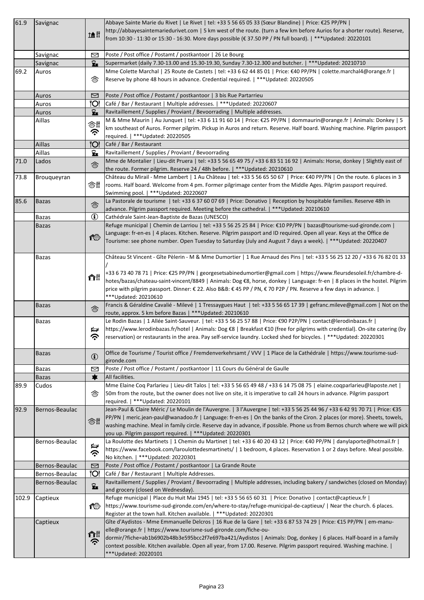| 61.9  | Savignac       | in it          | Abbaye Sainte Marie du Rivet   Le Rivet   tel: +33 5 56 65 05 33 (Sœur Blandine)   Price: €25 PP/PN  <br>http://abbayesaintemariedurivet.com   5 km west of the route. (turn a few km before Aurios for a shorter route). Reserve,<br>from 10:30 - 11:30 or 15:30 - 16:30. More days possible (€ 37.50 PP / PN full board).   *** Updated: 20220101                                                                                                                                                                             |
|-------|----------------|----------------|---------------------------------------------------------------------------------------------------------------------------------------------------------------------------------------------------------------------------------------------------------------------------------------------------------------------------------------------------------------------------------------------------------------------------------------------------------------------------------------------------------------------------------|
|       | Savignac       | ⊠              | Poste / Post office / Postamt / postkantoor   26 Le Bourg                                                                                                                                                                                                                                                                                                                                                                                                                                                                       |
|       | Savignac       | $\mathbf{z}$   | Supermarket (daily 7.30-13.00 and 15.30-19.30, Sunday 7.30-12.300 and butcher.   *** Updated: 20210710                                                                                                                                                                                                                                                                                                                                                                                                                          |
| 69.2  | Auros          | 念              | Mme Colette Marchal   25 Route de Castets   tel: +33 6 62 44 85 01   Price: €40 PP/PN   colette.marchal4@orange.fr  <br>Reserve by phone 48 hours in advance. Credential required.   *** Updated: 20220505                                                                                                                                                                                                                                                                                                                      |
|       | Auros          | ⊠              | Poste / Post office / Postamt / postkantoor   3 bis Rue Partarrieu                                                                                                                                                                                                                                                                                                                                                                                                                                                              |
|       | Auros          | 'Ol            | Café / Bar / Restaurant   Multiple addresses.   *** Updated: 20220607                                                                                                                                                                                                                                                                                                                                                                                                                                                           |
|       | Auros          | $\mathbf{z}$   | Ravitaillement / Supplies / Proviant / Bevoorrading   Multiple addresses.                                                                                                                                                                                                                                                                                                                                                                                                                                                       |
|       | Aillas         | ❀‼<br><b>ふ</b> | M & Mme Maurin   Au Junquet   tel: +33 6 11 91 60 14   Price: €25 PP/PN   dommaurin@orange.fr   Animals: Donkey   5<br>km southeast of Auros. Former pilgrim. Pickup in Auros and return. Reserve. Half board. Washing machine. Pilgrim passport<br>required.   *** Updated: 20220505                                                                                                                                                                                                                                           |
|       | <b>Aillas</b>  | 'Ol            | Café / Bar / Restaurant                                                                                                                                                                                                                                                                                                                                                                                                                                                                                                         |
|       | Aillas         | <del>ূ</del>   | Ravitaillement / Supplies / Proviant / Bevoorrading                                                                                                                                                                                                                                                                                                                                                                                                                                                                             |
| 71.0  | Lados          | 念              | Mme de Montalier   Lieu-dit Pruera   tel: +33 5 56 65 49 75 / +33 6 83 51 16 92   Animals: Horse, donkey   Slightly east of<br>the route. Former pilgrim. Reserve 24 / 48h before.   *** Updated: 20210610                                                                                                                                                                                                                                                                                                                      |
| 73.8  | Brouqueyran    | ∕ ∕ि ‼         | Château du Mirail - Mme Lambert   1 Au Château   tel: +33 5 56 65 50 67   Price: €40 PP/PN   On the route. 6 places in 3<br>rooms. Half board. Welcome from 4 pm. Former pilgrimage center from the Middle Ages. Pilgrim passport required.<br>Swimming pool.   *** Updated: 20220607                                                                                                                                                                                                                                           |
| 85.6  | <b>Bazas</b>   | 念              | La Pastorale de tourisme   tel: +33 6 37 60 07 69   Price: Donativo   Reception by hospitable families. Reserve 48h in<br>advance. Pilgrim passport required. Meeting before the cathedral.   *** Updated: 20210610                                                                                                                                                                                                                                                                                                             |
|       | <b>Bazas</b>   | $\bf{G}$       | Cathédrale Saint-Jean-Baptiste de Bazas (UNESCO)                                                                                                                                                                                                                                                                                                                                                                                                                                                                                |
|       | <b>Bazas</b>   | ඟ              | Refuge municipal   Chemin de Larriou   tel: +33 5 56 25 25 84   Price: €10 PP/PN   bazas@tourisme-sud-gironde.com  <br>Language: fr-en-es   4 places. Kitchen. Reserve. Pilgrim passport and ID required. Open all year. Keys at the Office de<br>Tourisme: see phone number. Open Tuesday to Saturday (July and August 7 days a week).   ***Updated: 20220407                                                                                                                                                                  |
|       | Bazas          | ÂΪ             | Château St Vincent - Gîte Pèlerin - M & Mme Dumortier   1 Rue Arnaud des Pins   tel: +33 5 56 25 12 20 / +33 6 76 82 01 33<br>+33 6 73 40 78 71   Price: €25 PP/PN   georgesetsabinedumortier@gmail.com   https://www.fleursdesoleil.fr/chambre-d-<br>hotes/bazas/chateau-saint-vincent/8849   Animals: Dog €8, horse, donkey   Language: fr-en   8 places in the hostel. Pilgrim<br>price with pilgrim passport. Dinner: € 22. Also B&B: € 45 PP / PN, € 70 P2P / PN. Reserve a few days in advance.  <br>***Updated: 20210610 |
|       | <b>Bazas</b>   | 参              | Francis & Géraldine Cavalié - Milevé   1 Tressaygues Haut   tel: +33 5 56 65 17 39   gefranc.mileve@gmail.com   Not on the<br>route, approx. 5 km before Bazas   ***Updated: 20210610                                                                                                                                                                                                                                                                                                                                           |
|       | <b>Bazas</b>   | ⋭<br><b>へい</b> | Le Rodin Bazas   1 Allée Saint-Sauveur.   tel: +33 5 56 25 57 88   Price: €90 P2P/PN   contact@lerodinbazas.fr  <br>https://www.lerodinbazas.fr/hotel   Animals: Dog €8   Breakfast €10 (free for pilgrims with credential). On-site catering (by<br>reservation) or restaurants in the area. Pay self-service laundry. Locked shed for bicycles.   *** Updated: 20220301                                                                                                                                                       |
|       | <b>Bazas</b>   | $\bigcirc$     | Office de Tourisme / Tourist office / Fremdenverkehrsamt / VVV   1 Place de la Cathédrale   https://www.tourisme-sud-<br>gironde.com                                                                                                                                                                                                                                                                                                                                                                                            |
|       | Bazas          | ⊠              | Poste / Post office / Postamt / postkantoor   11 Cours du Général de Gaulle                                                                                                                                                                                                                                                                                                                                                                                                                                                     |
|       | <b>Bazas</b>   | $\star$        | All facilities.                                                                                                                                                                                                                                                                                                                                                                                                                                                                                                                 |
| 89.9  | Cudos          | 念              | Mme Elaine Coq Parlarieu   Lieu-dit Talos   tel: +33 5 56 65 49 48 / +33 6 14 75 08 75   elaine.coqparlarieu@laposte.net  <br>50m from the route, but the owner does not live on site, it is imperative to call 24 hours in advance. Pilgrim passport<br>required.   *** Updated: 20220101                                                                                                                                                                                                                                      |
| 92.9  | Bernos-Beaulac | ◈‼             | Jean-Paul & Claire Méric / Le Moulin de l'Auvergne.   3 l'Auvergne   tel: +33 5 56 25 44 96 / +33 6 42 91 70 71   Price: €35<br>PP/PN   meric.jean-paul@wanadoo.fr   Language: fr-en-es   On the banks of the Ciron. 2 places (or more). Sheets, towels,<br>washing machine. Meal in family circle. Reserve day in advance, if possible. Phone us from Bernos church where we will pick<br>you up. Pilgrim passport required.   ***Updated: 20220301                                                                            |
|       | Bernos-Beaulac | うで             | La Roulotte des Martinets   1 Chemin du Martinet   tel: +33 6 40 20 43 12   Price: €40 PP/PN   danylaporte@hotmail.fr  <br>https://www.facebook.com/laroulottedesmartinets/   1 bedroom, 4 places. Reservation 1 or 2 days before. Meal possible.<br>No kitchen.   *** Updated: 20220301                                                                                                                                                                                                                                        |
|       | Bernos-Beaulac | ⊠              | Poste / Post office / Postamt / postkantoor   La Grande Route                                                                                                                                                                                                                                                                                                                                                                                                                                                                   |
|       | Bernos-Beaulac | 'Ol            | Café / Bar / Restaurant   Multiple Addresses.                                                                                                                                                                                                                                                                                                                                                                                                                                                                                   |
|       | Bernos-Beaulac | $\mathbf{z}$   | Ravitaillement / Supplies / Proviant / Bevoorrading   Multiple addresses, including bakery / sandwiches (closed on Monday)<br>and grocery (closed on Wednesday).                                                                                                                                                                                                                                                                                                                                                                |
| 102.9 | Captieux       | 10             | Refuge municipal   Place du Huit Mai 1945   tel: +33 5 56 65 60 31   Price: Donativo   contact@captieux.fr  <br>https://www.tourisme-sud-gironde.com/en/where-to-stay/refuge-municipal-de-captieux/   Near the church. 6 places.<br>Register at the town hall. Kitchen available.   *** Updated: 20220301                                                                                                                                                                                                                       |
|       | Captieux       | âľ<br>ふ        | Gîte d'Aydistos - Mme Emmanuelle Delcros   16 Rue de la Gare   tel: +33 6 87 53 74 29   Price: €15 PP/PN   em-manu-<br>elle@orange.fr   https://www.tourisme-sud-gironde.com/fiche-ou-<br>dormir/?fiche=ab1b6902b48b3e595bcc2f7e697ba421/Aydistos   Animals: Dog, donkey   6 places. Half-board in a family<br>context possible. Kitchen available. Open all year, from 17.00. Reserve. Pilgrim passport required. Washing machine.  <br>***Updated: 20220101                                                                   |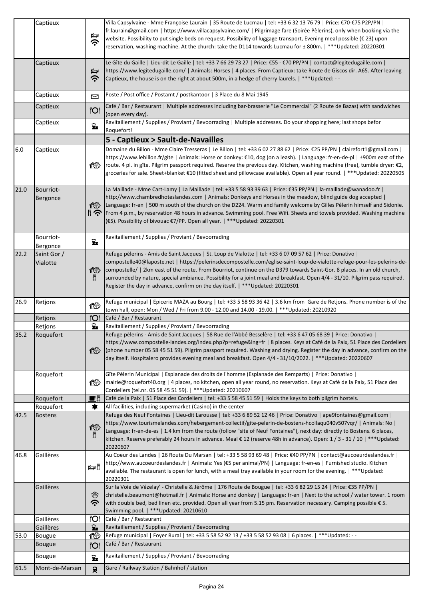|      | Captieux                | ⋭<br>ふ              | Villa Capsylvaine - Mme Françoise Laurain   35 Route de Lucmau   tel: +33 6 32 13 76 79   Price: €70-€75 P2P/PN  <br>fr.laurain@gmail.com   https://www.villacapsylvaine.com/   Pilgrimage fare (Soirée Pèlerins), only when booking via the<br>website. Possibility to put single beds on request. Possibility of luggage transport, Evening meal possible (€23) upon<br>reservation, washing machine. At the church: take the D114 towards Lucmau for ± 800m.   *** Updated: 20220301                                                                                                |
|------|-------------------------|---------------------|----------------------------------------------------------------------------------------------------------------------------------------------------------------------------------------------------------------------------------------------------------------------------------------------------------------------------------------------------------------------------------------------------------------------------------------------------------------------------------------------------------------------------------------------------------------------------------------|
|      | Captieux                | ⋭<br>ふ              | Le Gîte du Gaille   Lieu-dit Le Gaille   tel: +33 7 66 29 73 27   Price: €55 - €70 PP/PN   contact@legitedugaille.com  <br>https://www.legitedugaille.com/   Animals: Horses   4 places. From Captieux: take Route de Giscos dir. A65. After leaving<br>Captieux, the house is on the right at about 500m, in a hedge of cherry laurels.   *** Updated: --                                                                                                                                                                                                                             |
|      | Captieux                | 罓                   | Poste / Post office / Postamt / postkantoor   3 Place du 8 Mai 1945                                                                                                                                                                                                                                                                                                                                                                                                                                                                                                                    |
|      | Captieux                | '                   | Café / Bar / Restaurant   Multiple addresses including bar-brasserie "Le Commercial" (2 Route de Bazas) with sandwiches<br>(open every day).                                                                                                                                                                                                                                                                                                                                                                                                                                           |
|      | Captieux                | $\mathbf{z}$        | Ravitaillement / Supplies / Proviant / Bevoorrading   Multiple addresses. Do your shopping here; last shops befor<br>Roquefort!                                                                                                                                                                                                                                                                                                                                                                                                                                                        |
|      |                         |                     | 5 - Captieux > Sault-de-Navailles                                                                                                                                                                                                                                                                                                                                                                                                                                                                                                                                                      |
| 6.0  | Captieux                | ඟ                   | Domaine du Billon - Mme Claire Tresseras   Le Billon   tel: +33 6 02 27 88 62   Price: €25 PP/PN   clairefort1@gmail.com  <br>https://www.lebillon.fr/gite   Animals: Horse or donkey: €10, dog (on a leash).   Language: fr-en-de-pl   ±900m east of the<br>route. 4 pl. in gîte. Pilgrim passport required. Reserve the previous day. Kitchen, washing machine (free), tumble dryer: €2,<br>groceries for sale. Sheet+blanket €10 (fitted sheet and pillowcase available). Open all year round.   ***Updated: 20220505                                                               |
| 21.0 | Bourriot-<br>Bergonce   | ඟ<br>li ご           | La Maillade - Mme Cart-Lamy   La Maillade   tel: +33 5 58 93 39 63   Price: €35 PP/PN   la-maillade@wanadoo.fr  <br>http://www.chambredhoteslandes.com   Animals: Donkeys and Horses in the meadow, blind guide dog accepted  <br>Language: fr-en   500 m south of the church on the D224. Warm and family welcome by Gilles Pélerin himself and Sidonie.<br>From 4 p.m., by reservation 48 hours in advance. Swimming pool. Free Wifi. Sheets and towels provided. Washing machine<br>(€5). Possibility of bivouac €7/PP. Open all year.   *** Updated: 20220301                      |
|      | Bourriot-<br>Bergonce   | $\mathbf{z}$        | Ravitaillement / Supplies / Proviant / Bevoorrading                                                                                                                                                                                                                                                                                                                                                                                                                                                                                                                                    |
| 22.2 | Saint Gor /<br>Vialotte | ඟ<br>II.            | Refuge pèlerins - Amis de Saint Jacques   St. Loup de Vialotte   tel: +33 6 07 09 57 62   Price: Donativo  <br>compostelle40@laposte.net   https://pelerinsdecompostelle.com/eglise-saint-loup-de-vialotte-refuge-pour-les-pelerins-de-<br>compostelle/   2km east of the route. From Bourriot, continue on the D379 towards Saint-Gor. 8 places. In an old church,<br>surrounded by nature, special ambiance. Possibility for a joint meal and breakfast. Open 4/4 - 31/10. Pilgrim pass required.<br>Register the day in advance, confirm on the day itself.   *** Updated: 20220301 |
| 26.9 | Retjons                 | ඟ                   | Refuge municipal   Epicerie MAZA au Bourg   tel: +33 5 58 93 36 42   3.6 km from Gare de Retjons. Phone number is of the<br>town hall, open: Mon / Wed / Fri from 9.00 - 12.00 and 14.00 - 19.00.   *** Updated: 20210920                                                                                                                                                                                                                                                                                                                                                              |
|      | Retjons                 | 'Ol                 | Café / Bar / Restaurant                                                                                                                                                                                                                                                                                                                                                                                                                                                                                                                                                                |
|      | Retjons                 | <del></del>         | Ravitaillement / Supplies / Proviant / Bevoorrading                                                                                                                                                                                                                                                                                                                                                                                                                                                                                                                                    |
| 35.2 | Roquefort               | t∛n≻                | Refuge pèlerins - Amis de Saint Jacques   58 Rue de l'Abbé Besselère   tel: +33 6 47 05 68 39   Price: Donativo  <br>https://www.compostelle-landes.org/index.php?p=refuge&lng=fr   8 places. Keys at Café de la Paix, 51 Place des Cordeliers<br>(phone number 05 58 45 51 59). Pilgrim passport required. Washing and drying. Register the day in advance, confirm on the<br>day itself. Hospitalero provides evening meal and breakfast. Open 4/4 - 31/10/2022.   *** Updated: 20220607                                                                                             |
|      | Roquefort               | ඟ                   | Gîte Pèlerin Municipal   Esplanade des droits de l'homme (Esplanade des Remparts)   Price: Donativo  <br>mairie@roquefort40.org   4 places, no kitchen, open all year round, no reservation. Keys at Café de la Paix, 51 Place des<br>Cordeliers (tel.nr. 05 58 45 51 59).   *** Updated: 20210607                                                                                                                                                                                                                                                                                     |
|      | Roquefort               | Fii                 | Café de la Paix   51 Place des Cordeliers   tel: +33 5 58 45 51 59   Holds the keys to both pilgrim hostels.                                                                                                                                                                                                                                                                                                                                                                                                                                                                           |
|      | Roquefort               | ★                   | All facilities, including supermarket (Casino) in the center                                                                                                                                                                                                                                                                                                                                                                                                                                                                                                                           |
| 42.5 | <b>Bostens</b>          | ඟ<br>$\mathfrak{m}$ | Refuge des Neuf Fontaines   Lieu-dit Larousse   tel: +33 6 89 52 12 46   Price: Donativo   ape9fontaines@gmail.com  <br>https://www.tourismelandes.com/hebergement-collectif/gite-pelerin-de-bostens-hcollaqu040v507vqr/   Animals: No<br>Language: fr-en-de-es   1.4 km from the route (follow "site of Neuf Fontaines"), next day: directly to Bostens. 6 places,<br>kitchen. Reserve preferably 24 hours in advance. Meal € 12 (reserve 48h in advance). Open: 1 / 3 - 31 / 10   ***Updated:<br>20220607                                                                            |
| 46.8 | Gaillères               | اا ⊏⊅               | Au Coeur des Landes   26 Route Du Marsan   tel: +33 5 58 93 69 48   Price: €40 PP/PN   contact@aucoeurdeslandes.fr  <br>http://www.aucoeurdeslandes.fr   Animals: Yes (€5 per animal/PN)   Language: fr-en-es   Furnished studio. Kitchen<br>available. The restaurant is open for lunch, with a meal tray available in your room for the evening.   *** Updated:<br>20220301                                                                                                                                                                                                          |
|      | Gaillères               | 参<br>ら              | Sur la Voie de Vézelay' - Christelle & Jérôme   176 Route de Bougue   tel: +33 6 82 29 15 24   Price: €35 PP/PN  <br>christelle.beaumont@hotmail.fr   Animals: Horse and donkey   Language: fr-en   Next to the school / water tower. 1 room<br>with double bed, bed linen etc. provided. Open all year from 5.15 pm. Reservation necessary. Camping possible €5.<br>Swimming pool.   *** Updated: 20210610                                                                                                                                                                            |
|      | Gaillères               | ''Ol                | Café / Bar / Restaurant                                                                                                                                                                                                                                                                                                                                                                                                                                                                                                                                                                |
|      | Gaillères               | $\mathbf{z}$        | Ravitaillement / Supplies / Proviant / Bevoorrading                                                                                                                                                                                                                                                                                                                                                                                                                                                                                                                                    |
| 53.0 | <b>Bougue</b><br>Bougue | 10<br><b>"Ol</b>    | Refuge municipal   Foyer Rural   tel: +33 5 58 52 92 13 / +33 5 58 52 93 08   6 places.  <br>$***$ Updated: --<br>Café / Bar / Restaurant                                                                                                                                                                                                                                                                                                                                                                                                                                              |
|      | <b>Bougue</b>           | $\mathbf{z}$        | Ravitaillement / Supplies / Proviant / Bevoorrading                                                                                                                                                                                                                                                                                                                                                                                                                                                                                                                                    |
| 61.5 | Mont-de-Marsan          | 貝                   | Gare / Railway Station / Bahnhof / station                                                                                                                                                                                                                                                                                                                                                                                                                                                                                                                                             |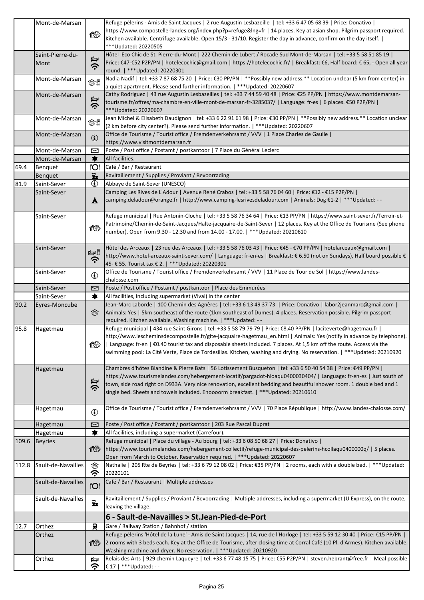|       | Mont-de-Marsan     |                  | Refuge pèlerins - Amis de Saint Jacques   2 rue Augustin Lesbazeille   tel: +33 6 47 05 68 39   Price: Donativo                 |
|-------|--------------------|------------------|---------------------------------------------------------------------------------------------------------------------------------|
|       |                    | 偷                | https://www.compostelle-landes.org/index.php?p=refuge&lng=fr   14 places. Key at asian shop. Pilgrim passport required.         |
|       |                    |                  | Kitchen available. Centrifuge available. Open 15/3 - 31/10. Register the day in advance, confirm on the day itself.             |
|       |                    |                  | *** Updated: 20220505                                                                                                           |
|       | Saint-Pierre-du-   |                  | Hôtel Eco Chic de St. Pierre-du-Mont   222 Chemin de Lubert / Rocade Sud Mont-de-Marsan   tel: +33 5 58 51 85 19                |
|       | Mont               | Þ<br>ふ           | Price: €47-€52 P2P/PN   hotelecochic@gmail.com   https://hotelecochic.fr/   Breakfast: €6, Half board: €65, - Open all year     |
|       |                    |                  | round.   *** Updated: 20220301                                                                                                  |
|       | Mont-de-Marsan     | ❀‼               | Nadia Nadif   tel: +33 7 87 68 75 20   Price: €30 PP/PN   **Possibly new address.** Location unclear (5 km from center) in      |
|       |                    |                  | a quiet apartment. Please send further information.   *** Updated: 20220607                                                     |
|       | Mont-de-Marsan     |                  | Cathy Rodriguez   43 rue Augustin Lesbazeilles   tel: +33 7 44 59 40 48   Price: €25 PP/PN   https://www.montdemarsan-          |
|       |                    | ⋭<br>ふ           | tourisme.fr/offres/ma-chambre-en-ville-mont-de-marsan-fr-3285037/   Language: fr-es   6 places. €50 P2P/PN                      |
|       |                    |                  | *** Updated: 20220607                                                                                                           |
|       | Mont-de-Marsan     | ❀‼               | Jean Michel & Elisabeth Daudignon   tel: +33 6 22 91 61 98   Price: €30 PP/PN   **Possibly new address.** Location unclear      |
|       |                    |                  | (2 km before city center?). Please send further information.   *** Updated: 20220607                                            |
|       | Mont-de-Marsan     | $\bf{G}$         | Office de Tourisme / Tourist office / Fremdenverkehrsamt / VVV   1 Place Charles de Gaulle                                      |
|       |                    |                  | https://www.visitmontdemarsan.fr                                                                                                |
|       | Mont-de-Marsan     | ⊠                | Poste / Post office / Postamt / postkantoor   7 Place du Général Leclerc                                                        |
|       | Mont-de-Marsan     | ☀                | All facilities.                                                                                                                 |
| 69.4  | Benquet            | ŮОľ              | Café / Bar / Restaurant                                                                                                         |
|       | Benquet            | <del></del>      | Ravitaillement / Supplies / Proviant / Bevoorrading                                                                             |
| 81.9  | Saint-Sever        | $\bf{f}$         | Abbaye de Saint-Sever (UNESCO)                                                                                                  |
|       | Saint-Sever        |                  | Camping Les Rives de L'Adour   Avenue René Crabos   tel: +33 5 58 76 04 60   Price: €12 - €15 P2P/PN                            |
|       |                    | $\blacktriangle$ | camping.deladour@orange.fr   http://www.camping-lesrivesdeladour.com   Animals: Dog €1-2   ***Updated: - -                      |
|       |                    |                  |                                                                                                                                 |
|       | Saint-Sever        |                  | Refuge municipal   Rue Antonin-Cloche   tel: +33 5 58 76 34 64   Price: €13 PP/PN   https://www.saint-sever.fr/Terroir-et-      |
|       |                    |                  | Patrimoine/Chemin-de-Saint-Jacques/Halte-jacquaire-de-Saint-Sever   12 places. Key at the Office de Tourisme (See phone         |
|       |                    | ඟ                | number). Open from 9.30 - 12.30 and from 14.00 - 17.00.   *** Updated: 20210610                                                 |
|       |                    |                  |                                                                                                                                 |
|       | Saint-Sever        |                  | Hôtel des Arceaux   23 rue des Arceaux   tel: +33 5 58 76 03 43   Price: €45 - €70 PP/PN   hotelarceaux@gmail.com               |
|       |                    | ⊯∦               | http://www.hotel-arceaux-saint-sever.com/   Language: fr-en-es   Breakfast: € 6.50 (not on Sundays), Half board possible €      |
|       |                    | ふ                | 45- € 55. Tourist tax € 2.   *** Updated: 20220301                                                                              |
|       | Saint-Sever        |                  | Office de Tourisme / Tourist office / Fremdenverkehrsamt / VVV   11 Place de Tour de Sol   https://www.landes-                  |
|       |                    | $\bf \bf 0$      | chalosse.com                                                                                                                    |
|       | Saint-Sever        | ⊠                | Poste / Post office / Postamt / postkantoor   Place des Emmurées                                                                |
|       | Saint-Sever        | ★                | All facilities, including supermarket (Vival) in the center                                                                     |
| 90.2  | Eyres-Moncube      |                  | Jean-Marc Laborde   100 Chemin des Agnères   tel: +33 6 13 49 37 73   Price: Donativo   labor2jeanmarc@gmail.com                |
|       |                    | 翕                | Animals: Yes   5km southeast of the route (1km southeast of Dumes). 4 places. Reservation possible. Pilgrim passport            |
|       |                    |                  | required. Kitchen available. Washing machine.   *** Updated: --                                                                 |
| 95.8  | Hagetmau           |                  | Refuge municipal   434 rue Saint Girons   tel: +33 5 58 79 79 79   Price: €8,40 PP/PN   laciteverte@hagetmau.fr                 |
|       |                    |                  | http://www.lescheminsdecompostelle.fr/gite-jacquaire-hagetmau_en.html   Animals: Yes (notify in advance by telephone).          |
|       |                    | ඟ                | Language: fr-en   €0.40 tourist tax and disposable sheets included. 7 places. At 1,5 km off the route. Access via the           |
|       |                    |                  | swimming pool: La Cité Verte, Place de Tordesillas. Kitchen, washing and drying. No reservation.   *** Updated: 20210920        |
|       |                    |                  |                                                                                                                                 |
|       | Hagetmau           |                  | Chambres d'hôtes Blandine & Pierre Bats   56 Lotissement Busqueton   tel: +33 6 50 40 54 38   Price: €49 PP/PN                  |
|       |                    |                  | https://www.tourismelandes.com/hebergement-locatif/pargadot-hloaqu0400030404/   Language: fr-en-es   Just south of              |
|       |                    | ⋭                | town, side road right on D933A. Very nice renovation, excellent bedding and beautiful shower room. 1 double bed and 1           |
|       |                    | ぐ                | single bed. Sheets and towels included. Enoooorm breakfast.   *** Updated: 20210610                                             |
|       |                    |                  |                                                                                                                                 |
|       | Hagetmau           |                  | Office de Tourisme / Tourist office / Fremdenverkehrsamt / VVV   70 Place République   http://www.landes-chalosse.com/          |
|       |                    | $\bigcirc$       |                                                                                                                                 |
|       | Hagetmau           | N                | Poste / Post office / Postamt / postkantoor   203 Rue Pascal Duprat                                                             |
|       | Hagetmau           | ★                | All facilities, including a supermarket (Carrefour).                                                                            |
| 109.6 | <b>Beyries</b>     |                  | Refuge municipal   Place du village - Au bourg   tel: +33 6 08 50 68 27   Price: Donativo                                       |
|       |                    | াীী              | https://www.tourismelandes.com/hebergement-collectif/refuge-municipal-des-pelerins-hcollaqu0400000q/   5 places.                |
|       |                    |                  | Open from March to October. Reservation required.   *** Updated: 20220607                                                       |
| 112.8 | Sault-de-Navailles | 念                | Nathalie   205 Rte de Beyries   tel: +33 6 79 12 08 02   Price: €35 PP/PN   2 rooms, each with a double bed.   ***Updated:      |
|       |                    | ဂ္ဂ              | 20220101                                                                                                                        |
|       | Sault-de-Navailles |                  | Café / Bar / Restaurant   Multiple addresses                                                                                    |
|       |                    | <b>POI</b>       |                                                                                                                                 |
|       |                    |                  |                                                                                                                                 |
|       | Sault-de-Navailles | Ŷ.               | Ravitaillement / Supplies / Proviant / Bevoorrading   Multiple addresses, including a supermarket (U Express), on the route,    |
|       |                    |                  | leaving the village.                                                                                                            |
|       |                    |                  | 6 - Sault-de-Navailles > St.Jean-Pied-de-Port                                                                                   |
| 12.7  | Orthez             | 貝                | Gare / Railway Station / Bahnhof / station                                                                                      |
|       | Orthez             |                  | Refuge pèlerins 'Hôtel de la Lune' - Amis de Saint Jacques   14, rue de l'Horloge   tel: +33 5 59 12 30 40   Price: €15 PP/PN   |
|       |                    | 俭                | 2 rooms with 3 beds each. Key at the Office de Tourisme, after closing time at Corral Café (10 Pl. d'Armes). Kitchen available. |
|       |                    |                  | Washing machine and dryer. No reservation.   *** Updated: 20210920                                                              |
|       | Orthez             | ⊵                | Relais des Arts   929 chemin Laqueyre   tel: +33 6 77 48 15 75   Price: €55 P2P/PN   steven.hebrant@free.fr   Meal possible     |
|       |                    | ဂ္ဂ              | € 17   ***Updated: - -                                                                                                          |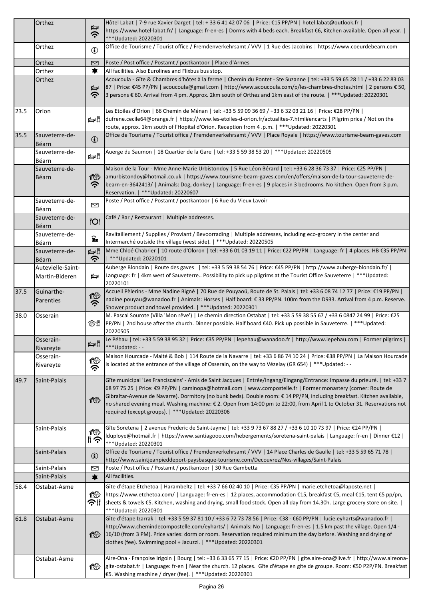|      | Orthez            |              | Hôtel Labat   7-9 rue Xavier Darget   tel: + 33 6 41 42 07 06   Price: €15 PP/PN   hotel.labat@outlook.fr                                                                                 |
|------|-------------------|--------------|-------------------------------------------------------------------------------------------------------------------------------------------------------------------------------------------|
|      |                   | Ą<br>ぐ       | https://www.hotel-labat.fr/   Language: fr-en-es   Dorms with 4 beds each. Breakfast €6, Kitchen available. Open all year.  <br>*** Updated: 20220301                                     |
|      | Orthez            | $\bf{G}$     | Office de Tourisme / Tourist office / Fremdenverkehrsamt / VVV   1 Rue des Jacobins   https://www.coeurdebearn.com                                                                        |
|      | Orthez            | 罓            | Poste / Post office / Postamt / postkantoor   Place d'Armes                                                                                                                               |
|      | Orthez            | ★            | All facilities. Also Eurolines and Flixbus bus stop.                                                                                                                                      |
|      | Orthez            |              | Acoucoula - Gîte & Chambres d'hôtes à la ferme   Chemin du Pontet - Ste Suzanne   tel: +33 5 59 65 28 11 / +33 6 22 83 03                                                                 |
|      |                   | ⋭⋥           | 87   Price: €45 PP/PN   acoucoula@gmail.com   http://www.acoucoula.com/p/les-chambres-dhotes.html   2 persons € 50,                                                                       |
|      |                   | <b>ごく</b>    | 3 persons € 60. Arrival from 4 pm. Approx. 2km south of Orthez and 1km east of the route.   ***Updated: 20220301                                                                          |
|      |                   |              |                                                                                                                                                                                           |
| 23.5 | Orion             |              | Les Etoiles d'Orion   66 Chemin de Ménan   tel: +33 5 59 09 36 69 / +33 6 32 03 21 16   Price: €28 PP/PN                                                                                  |
|      |                   | ⊯∦           | dufrene.cecile64@orange.fr   https://www.les-etoiles-d-orion.fr/actualites-7.html#encarts   Pilgrim price / Not on the                                                                    |
|      |                   |              | route, approx. 1km south of l'Hopital d'Orion. Reception from 4 .p.m.   *** Updated: 20220301                                                                                             |
| 35.5 | Sauveterre-de-    |              | Office de Tourisme / Tourist office / Fremdenverkehrsamt / VVV   Place Royale   https://www.tourisme-bearn-gaves.com                                                                      |
|      | Béarn             | $\mathbf{G}$ |                                                                                                                                                                                           |
|      | Sauveterre-de-    |              | Auerge du Saumon   18 Quartier de la Gare   tel: +33 5 59 38 53 20   *** Updated: 20220505                                                                                                |
|      | Béarn             | ⊯∦           |                                                                                                                                                                                           |
|      | Sauveterre-de-    |              | Maison de la Tour - Mme Anne-Marie Urbistondoy   5 Rue Léon Bérard   tel: +33 6 28 36 73 37   Price: €25 PP/PN                                                                            |
|      |                   | ඟ            | amurbistondoy@hotmail.co.uk   https://www.tourisme-bearn-gaves.com/en/offers/maison-de-la-tour-sauveterre-de-                                                                             |
|      | Béarn             | ゔ            | bearn-en-3642413/   Animals: Dog, donkey   Language: fr-en-es   9 places in 3 bedrooms. No kitchen. Open from 3 p.m.                                                                      |
|      |                   |              | Reservation.   *** Updated: 20220607                                                                                                                                                      |
|      |                   |              | Poste / Post office / Postamt / postkantoor   6 Rue du Vieux Lavoir                                                                                                                       |
|      | Sauveterre-de-    | ⊠            |                                                                                                                                                                                           |
|      | Béarn             |              |                                                                                                                                                                                           |
|      | Sauveterre-de-    | '            | Café / Bar / Restaurant   Multiple addresses.                                                                                                                                             |
|      | Béarn             |              |                                                                                                                                                                                           |
|      | Sauveterre-de-    | Ł            | Ravitaillement / Supplies / Proviant / Bevoorrading   Multiple addresses, including eco-grocery in the center and                                                                         |
|      | Béarn             |              | Intermarché outside the village (west side).   *** Updated: 20220505                                                                                                                      |
|      | Sauveterre-de-    | ⊯∦           | Mme Chloé Chabrier   10 route d'Oloron   tel: +33 6 01 03 19 11   Price: €22 PP/PN   Language: fr   4 places. HB €35 PP/PN                                                                |
|      | Béarn             | ふ            | *** Updated: 20220101                                                                                                                                                                     |
|      | Autevielle-Saint- |              | Auberge Blondain   Route des gaves   tel: +33 5 59 38 54 76   Price: €45 PP/PN   http://www.auberge-blondain.fr/                                                                          |
|      | Martin-Bideren    | ⋭            | Language: fr   4km west of Sauveterre Possibility to pick up pilgrims at the Tourist Office Sauveterre   *** Updated:                                                                     |
|      |                   |              | 20220101                                                                                                                                                                                  |
| 37.5 | Guinarthe-        | ඟ            | Accueil Pèlerins - Mme Nadine Bigné   70 Rue de Pouyaoü, Route de St. Palais   tel: +33 6 08 74 12 77   Price: €19 PP/PN                                                                  |
|      | Parenties         | ふ            | nadine.pouyau@wanadoo.fr   Animals: Horses   Half board: €33 PP/PN. 100m from the D933. Arrival from 4 p.m. Reserve.                                                                      |
|      |                   |              | Shower product and towel provided.   *** Updated: 20220301                                                                                                                                |
| 38.0 | Osserain          |              | M. Pascal Sourote (Villa 'Mon rêve')   Le chemin direction Ostabat   tel: +33 5 59 38 55 67 / +33 6 0847 24 99   Price: €25                                                               |
|      |                   | ⊛‼           | PP/PN   2nd house after the church. Dinner possible. Half board €40. Pick up possible in Sauveterre.   *** Updated:                                                                       |
|      |                   |              | 20220505                                                                                                                                                                                  |
|      | Osserain-         | ⊯∦           | Le Péhau   tel: +33 5 59 38 95 32   Price: €35 PP/PN   lepehau@wanadoo.fr   http://www.lepehau.com   Former pilgrims                                                                      |
|      | Rivareyte         |              | ***Updated: --                                                                                                                                                                            |
|      | Osserain-         | ඟ            | Maison Hourcade - Maité & Bob   114 Route de la Navarre   tel: +33 6 86 74 10 24   Price: €38 PP/PN   La Maison Hourcade                                                                  |
|      | Rivareyte         | ふ            | is located at the entrance of the village of Osserain, on the way to Vézelay (GR 654)   ***Updated: - -                                                                                   |
|      |                   |              |                                                                                                                                                                                           |
| 49.7 | Saint-Palais      |              | Gîte municipal 'Les Franciscains' - Amis de Saint Jacques   Entrée/Ingang/Eingang/Entrance: Impasse du prieuré.   tel: +33 7                                                              |
|      |                   |              | 68 97 75 25   Price: €9 PP/PN   caminopa@hotmail.com   www.compostelle.fr   Former monastery (corner: Route de                                                                            |
|      |                   | 检            | Gibraltar-Avenue de Navarre). Dormitory (no bunk beds). Double room: € 14 PP/PN, including breakfast. Kitchen available,                                                                  |
|      |                   |              | no shared evening meal. Washing machine: € 2. Open from 14:00 pm to 22:00, from April 1 to October 31. Reservations not                                                                   |
|      |                   |              | required (except groups).   ***Updated: 20220306                                                                                                                                          |
|      |                   |              | Gîte Soretena   2 avenue Frederic de Saint-Jayme   tel: +33 9 73 67 88 27 / +33 6 10 10 73 97   Price: €24 PP/PN                                                                          |
|      | Saint-Palais      | ඟ            | Iduploye@hotmail.fr   https://www.santiagooo.com/hebergements/soretena-saint-palais   Language: fr-en   Dinner €12                                                                        |
|      |                   | =『           | *** Updated: 20220301                                                                                                                                                                     |
|      |                   |              | Office de Tourisme / Tourist office / Fremdenverkehrsamt / VVV   14 Place Charles de Gaulle   tel: +33 5 59 65 71 78                                                                      |
|      | Saint-Palais      | $\bigcirc$   | http://www.saintjeanpieddeport-paysbasque-tourisme.com/Decouvrez/Nos-villages/Saint-Palais                                                                                                |
|      | Saint-Palais      | ⊠            | Poste / Post office / Postamt / postkantoor   30 Rue Gambetta                                                                                                                             |
|      | Saint-Palais      | ★            | All facilities.                                                                                                                                                                           |
|      |                   |              |                                                                                                                                                                                           |
| 58.4 | Ostabat-Asme      |              | Gîte d'étape Etchetoa   Harambeltz   tel: +33 7 66 02 40 10   Price: €35 PP/PN   marie.etchetoa@laposte.net                                                                               |
|      |                   | ඟ            | https://www.etchetoa.com/   Language: fr-en-es   12 places, accommodation €15, breakfast €5, meal €15, tent €5 pp/pn,                                                                     |
|      |                   | ふ∥           | sheets & towels €5. Kitchen, washing and drying, small food stock. Open all day from 14.30h. Large grocery store on site.                                                                 |
|      |                   |              | ***Updated: 20220301                                                                                                                                                                      |
| 61.8 | Ostabat-Asme      |              | Gîte d'étape Izarrak   tel: +33 5 59 37 81 10 / +33 6 72 73 78 56   Price: €38 - €60 PP/PN   lucie.eyharts@wanadoo.fr                                                                     |
|      |                   |              | http://www.chemindecompostelle.com/eyharts/   Animals: No   Language: fr-en-es   1.5 km past the village. Open 1/4 -                                                                      |
|      |                   | 检            | 16/10 (from 3 PM). Price varies: dorm or room. Reservation required minimum the day before. Washing and drying of                                                                         |
|      |                   |              | clothes (fee). Swimming pool + Jacuzzi.   *** Updated: 20220301                                                                                                                           |
|      |                   |              |                                                                                                                                                                                           |
|      | Ostabat-Asme      |              | Aire-Ona - Françoise Irigoin   Bourg   tel: +33 6 33 65 77 15   Price: €20 PP/PN   gite.aire-ona@live.fr   http://www.aireona-                                                            |
|      |                   | 1 o          | gite-ostabat.fr   Language: fr-en   Near the church. 12 places. Gîte d'étape en gîte de groupe. Room: €50 P2P/PN. Breakfast<br>€5. Washing machine / dryer (fee).   *** Updated: 20220301 |
|      |                   |              |                                                                                                                                                                                           |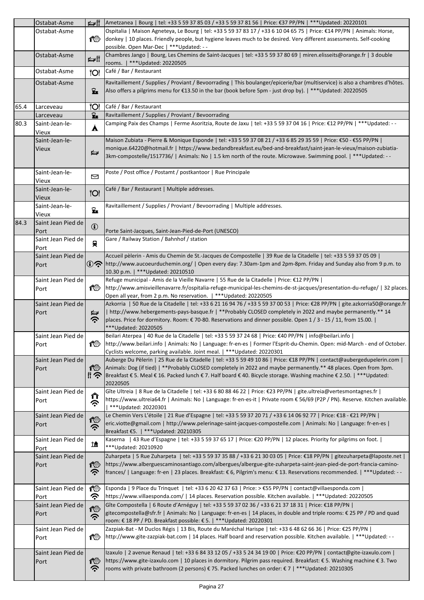|      | Ostabat-Asme               |              | price: €37 PP/PN   ***Updated: 20220101   مطع   Ametzanea   Bourg   tel: +33 5 59 37 85 03 / +33 5 59 37 81 56   Price: €37 PP/PN   ***Updated: 20220101                                                                                       |
|------|----------------------------|--------------|------------------------------------------------------------------------------------------------------------------------------------------------------------------------------------------------------------------------------------------------|
|      | Ostabat-Asme               |              | Ospitalia   Maison Agneteya, Le Bourg   tel: +33 5 59 37 83 17 / +33 6 10 04 65 75   Price: €14 PP/PN   Animals: Horse,                                                                                                                        |
|      |                            | ඟ            | donkey   10 places. Friendly people, but hygiene leaves much to be desired. Very different assessments. Self-cooking                                                                                                                           |
|      |                            |              | possible. Open Mar-Dec   *** Updated: --                                                                                                                                                                                                       |
|      | Ostabat-Asme               | ⊯∦           | Chambres Jango   Bourg, Les Chemins de Saint-Jacques   tel: +33 5 59 37 80 69   miren.elisseits@orange.fr   3 double                                                                                                                           |
|      |                            |              | rooms.   ***Updated: 20220505                                                                                                                                                                                                                  |
|      | Ostabat-Asme               | 'IOI         | Café / Bar / Restaurant                                                                                                                                                                                                                        |
|      | Ostabat-Asme               |              | Ravitaillement / Supplies / Proviant / Bevoorrading   This boulanger/epicerie/bar (multiservice) is also a chambres d'hôtes.                                                                                                                   |
|      |                            | $\mathbf{z}$ | Also offers a pilgrims menu for €13.50 in the bar (book before 5pm - just drop by).   *** Updated: 20220505                                                                                                                                    |
|      |                            |              |                                                                                                                                                                                                                                                |
| 65.4 | Larceveau                  | 'Ol          | Café / Bar / Restaurant                                                                                                                                                                                                                        |
|      | Larceveau                  | $\mathbf{z}$ | Ravitaillement / Supplies / Proviant / Bevoorrading                                                                                                                                                                                            |
| 80.3 | Saint-Jean-le-             | Å            | Camping Paix des Champs   Ferme Asoritzia, Route de Jaxu   tel: +33 5 59 37 04 16   Price: €12 PP/PN   ***Updated: --                                                                                                                          |
|      | Vieux                      |              |                                                                                                                                                                                                                                                |
|      | Saint-Jean-le-             |              | Maison Zubiata - Pierre & Monique Esponde   tel: +33 5 59 37 08 21 / +33 6 85 29 35 59   Price: €50 - €55 PP/PN                                                                                                                                |
|      | <b>Vieux</b>               | Ą            | monique.64220@hotmail.fr   https://www.bedandbreakfast.eu/bed-and-breakfast/saint-jean-le-vieux/maison-zubiatia-                                                                                                                               |
|      |                            |              | 3km-compostelle/1517736/   Animals: No   1.5 km north of the route. Microwave. Swimming pool.   *** Updated: --                                                                                                                                |
|      |                            |              |                                                                                                                                                                                                                                                |
|      | Saint-Jean-le-             | ⊠            | Poste / Post office / Postamt / postkantoor   Rue Principale                                                                                                                                                                                   |
|      | Vieux                      |              |                                                                                                                                                                                                                                                |
|      | Saint-Jean-le-             | <b>O</b>     | Café / Bar / Restaurant   Multiple addresses.                                                                                                                                                                                                  |
|      | <b>Vieux</b>               |              | Ravitaillement / Supplies / Proviant / Bevoorrading   Multiple addresses.                                                                                                                                                                      |
|      | Saint-Jean-le-             | $\mathbf{z}$ |                                                                                                                                                                                                                                                |
|      | Vieux                      |              |                                                                                                                                                                                                                                                |
| 84.3 | Saint Jean Pied de         | $\bigcirc$   |                                                                                                                                                                                                                                                |
|      | Port<br>Saint Jean Pied de |              | Porte Saint-Jacques, Saint-Jean-Pied-de-Port (UNESCO)<br>Gare / Railway Station / Bahnhof / station                                                                                                                                            |
|      | Port                       | 貝            |                                                                                                                                                                                                                                                |
|      | Saint Jean Pied de         |              | Accueil pèlerin - Amis du Chemin de St.-Jacques de Compostelle   39 Rue de la Citadelle   tel: +33 5 59 37 05 09                                                                                                                               |
|      | Port                       |              | (i) on http://www.aucoeurduchemin.org/   Open every day: 7.30am-1pm and 2pm-8pm. Friday and Sunday also from 9 p.m. to                                                                                                                         |
|      |                            |              | 10.30 p.m.   *** Updated: 20210510                                                                                                                                                                                                             |
|      | Saint Jean Pied de         |              | Refuge municipal - Amis de la Vieille Navarre   55 Rue de la Citadelle   Price: €12 PP/PN                                                                                                                                                      |
|      | Port                       | 10           | http://www.amisvieillenavarre.fr/ospitalia-refuge-municipal-les-chemins-de-st-jacques/presentation-du-refuge/   32 places.                                                                                                                     |
|      |                            |              | Open all year, from 2 p.m. No reservation.   *** Updated: 20220505                                                                                                                                                                             |
|      | Saint Jean Pied de         |              | Azkorria   50 Rue de la Citadelle   tel: +33 6 21 16 94 76 / +33 5 59 37 00 53   Price: €28 PP/PN   gite.azkorria50@orange.fr                                                                                                                  |
|      | Port                       | ⋭            | http://www.hebergements-pays-basque.fr   **Probably CLOSED completely in 2022 and maybe permanently.** 14                                                                                                                                      |
|      |                            | ふ            | places. Price for dormitory. Room: €70-80. Reservations and dinner possible. Open 1 / 3 - 15 / 11, from 15.00.                                                                                                                                 |
|      |                            |              | ***Updated: 20220505                                                                                                                                                                                                                           |
|      | Saint Jean Pied de         |              | Beilari Aterpea   40 Rue de la Citadelle   tel: +33 5 59 37 24 68   Price: €40 PP/PN   info@beilari.info                                                                                                                                       |
|      | Port                       | t∛®          | http://www.beilari.info   Animals: No   Language: fr-en-es   Former l'Esprit-du-Chemin. Open: mid-March - end of October.<br>Cyclists welcome, parking available. Joint meal.   *** Updated: 20220301                                          |
|      | Saint Jean Pied de         |              | Auberge Du Pèlerin   25 Rue de la Citadelle   tel: +33 5 59 49 10 86   Price: €18 PP/PN   contact@aubergedupelerin.com                                                                                                                         |
|      | Port                       | 检            | Animals: Dog (if tied)   **Probably CLOSED completely in 2022 and maybe permanently.** 48 places. Open from 3pm.                                                                                                                               |
|      |                            | ‼ ◇          | Breakfast € 5. Meal € 16. Packed lunch € 7. Half board € 40. Bicycle storage. Washing machine € 2.50.   *** Updated:                                                                                                                           |
|      |                            |              | 20220505                                                                                                                                                                                                                                       |
|      | Saint Jean Pied de         |              | Gîte Ultreia   8 Rue de la Citadelle   tel: +33 6 80 88 46 22   Price: €23 PP/PN   gite.ultreia@vertesmontagnes.fr                                                                                                                             |
|      | Port                       | ⇑<br>ふ       | https://www.ultreia64.fr   Animals: No   Language: fr-en-es-it   Private room € 56/69 (P2P / PN). Reserve. Kitchen available.                                                                                                                  |
|      |                            |              | ***Updated: 20220301                                                                                                                                                                                                                           |
|      | Saint Jean Pied de         | 10           | Le Chemin Vers L'étoile   21 Rue d'Espagne   tel: +33 5 59 37 20 71 / +33 6 14 06 92 77   Price: €18 - €21 PP/PN                                                                                                                               |
|      | Port                       | ふ            | eric.viotte@gmail.com   http://www.pelerinage-saint-jacques-compostelle.com   Animals: No   Language: fr-en-es                                                                                                                                 |
|      |                            |              | Breakfast €5.   *** Updated: 20210305                                                                                                                                                                                                          |
|      | Saint Jean Pied de         | 止            | Kaserna   43 Rue d'Espagne   tel: +33 5 59 37 65 17   Price: €20 PP/PN   12 places. Priority for pilgrims on foot.                                                                                                                             |
|      | Port                       |              | *** Updated: 20210920                                                                                                                                                                                                                          |
|      | Saint Jean Pied de         |              | Zuharpeta   5 Rue Zuharpeta   tel: +33 5 59 37 35 88 / +33 6 21 30 03 05   Price: €18 PP/PN   gitezuharpeta@laposte.net  <br>https://www.alberguescaminosantiago.com/albergues/albergue-gite-zuharpeta-saint-jean-pied-de-port-francia-camino- |
|      | Port                       | ඟ<br>ら       | frances/   Language: fr-en   23 places. Breakfast: € 6, Pilgrim's menu: € 13. Reservations recommended.   ***Updated: - -                                                                                                                      |
|      |                            |              |                                                                                                                                                                                                                                                |
|      | Saint Jean Pied de         | ඟ            | Esponda   9 Place du Trinquet   tel: +33 6 20 42 37 63   Price: > €55 PP/PN   contact@villaesponda.com                                                                                                                                         |
|      | Port                       | ふ            | https://www.villaesponda.com/   14 places. Reservation possible. Kitchen available.   *** Updated: 20220505                                                                                                                                    |
|      | Saint Jean Pied de         |              | Gîte Compostella   6 Route d'Arnéguy   tel: +33 5 59 37 02 36 / +33 6 21 37 18 31   Price: €18 PP/PN                                                                                                                                           |
|      | Port                       | 检            | gitecompostella@sfr.fr   Animals: No   Language: fr-en-es   14 places, in double and triple rooms: € 25 PP / PD and quad                                                                                                                       |
|      |                            | ふ            | room: € 18 PP / PD. Breakfast possible: € 5.   ***Updated: 20220301                                                                                                                                                                            |
|      | Saint Jean Pied de         |              | Zazpiak-Bat - M Duclos Régis   13 Bis, Route du Maréchal Harispe   tel: +33 6 48 62 66 36   Price: €25 PP/PN                                                                                                                                   |
|      | Port                       | 1 o          | http://www.gite-zazpiak-bat.com   14 places. Half board and reservation possible. Kitchen available.   *** Updated: --                                                                                                                         |
|      |                            |              |                                                                                                                                                                                                                                                |
|      | Saint Jean Pied de         |              | Izaxulo   2 avenue Renaud   tel: +33 6 84 33 12 05 / +33 5 24 34 19 00   Price: €20 PP/PN   contact@gite-izaxulo.com                                                                                                                           |
|      | Port                       | ඟ            | https://www.gite-izaxulo.com   10 places in dormitory. Pilgrim pass required. Breakfast: € 5. Washing machine € 3. Two                                                                                                                         |
|      |                            | ら            | rooms with private bathroom (2 persons) € 75. Packed lunches on order: € 7   ***Updated: 20210305                                                                                                                                              |
|      |                            |              |                                                                                                                                                                                                                                                |